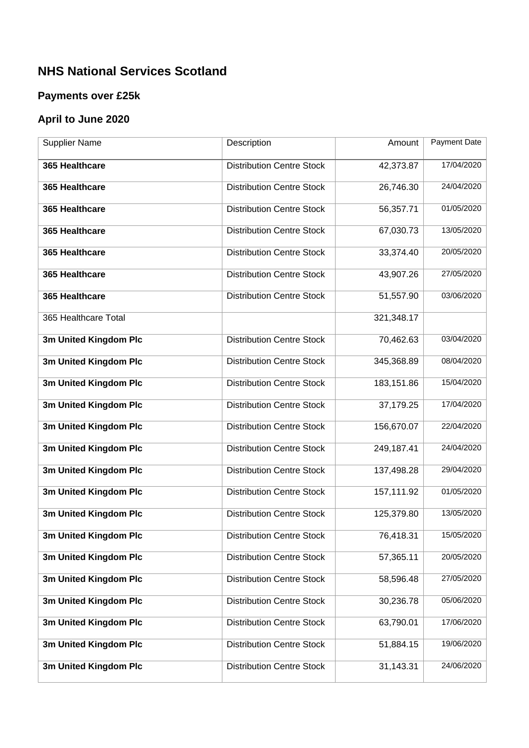## **NHS National Services Scotland**

## **Payments over £25k**

## **April to June 2020**

| <b>Supplier Name</b>  | Description                      | Amount     | Payment Date |
|-----------------------|----------------------------------|------------|--------------|
| 365 Healthcare        | <b>Distribution Centre Stock</b> | 42,373.87  | 17/04/2020   |
| 365 Healthcare        | <b>Distribution Centre Stock</b> | 26,746.30  | 24/04/2020   |
| 365 Healthcare        | <b>Distribution Centre Stock</b> | 56,357.71  | 01/05/2020   |
| 365 Healthcare        | <b>Distribution Centre Stock</b> | 67,030.73  | 13/05/2020   |
| 365 Healthcare        | <b>Distribution Centre Stock</b> | 33,374.40  | 20/05/2020   |
| 365 Healthcare        | <b>Distribution Centre Stock</b> | 43,907.26  | 27/05/2020   |
| 365 Healthcare        | <b>Distribution Centre Stock</b> | 51,557.90  | 03/06/2020   |
| 365 Healthcare Total  |                                  | 321,348.17 |              |
| 3m United Kingdom Plc | <b>Distribution Centre Stock</b> | 70,462.63  | 03/04/2020   |
| 3m United Kingdom Plc | <b>Distribution Centre Stock</b> | 345,368.89 | 08/04/2020   |
| 3m United Kingdom Plc | <b>Distribution Centre Stock</b> | 183,151.86 | 15/04/2020   |
| 3m United Kingdom Plc | <b>Distribution Centre Stock</b> | 37,179.25  | 17/04/2020   |
| 3m United Kingdom Plc | <b>Distribution Centre Stock</b> | 156,670.07 | 22/04/2020   |
| 3m United Kingdom Plc | <b>Distribution Centre Stock</b> | 249,187.41 | 24/04/2020   |
| 3m United Kingdom Plc | <b>Distribution Centre Stock</b> | 137,498.28 | 29/04/2020   |
| 3m United Kingdom Plc | <b>Distribution Centre Stock</b> | 157,111.92 | 01/05/2020   |
| 3m United Kingdom Plc | <b>Distribution Centre Stock</b> | 125,379.80 | 13/05/2020   |
| 3m United Kingdom Plc | <b>Distribution Centre Stock</b> | 76,418.31  | 15/05/2020   |
| 3m United Kingdom Plc | <b>Distribution Centre Stock</b> | 57,365.11  | 20/05/2020   |
| 3m United Kingdom Plc | <b>Distribution Centre Stock</b> | 58,596.48  | 27/05/2020   |
| 3m United Kingdom Plc | <b>Distribution Centre Stock</b> | 30,236.78  | 05/06/2020   |
| 3m United Kingdom Plc | <b>Distribution Centre Stock</b> | 63,790.01  | 17/06/2020   |
| 3m United Kingdom Plc | <b>Distribution Centre Stock</b> | 51,884.15  | 19/06/2020   |
| 3m United Kingdom Plc | <b>Distribution Centre Stock</b> | 31,143.31  | 24/06/2020   |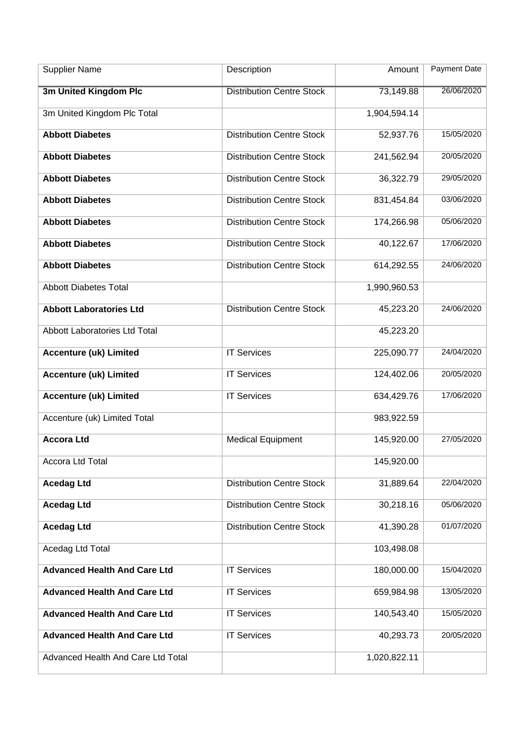| <b>Supplier Name</b>                | Description                      | Amount       | Payment Date |
|-------------------------------------|----------------------------------|--------------|--------------|
| 3m United Kingdom Plc               | <b>Distribution Centre Stock</b> | 73,149.88    | 26/06/2020   |
| 3m United Kingdom Plc Total         |                                  | 1,904,594.14 |              |
| <b>Abbott Diabetes</b>              | <b>Distribution Centre Stock</b> | 52,937.76    | 15/05/2020   |
| <b>Abbott Diabetes</b>              | <b>Distribution Centre Stock</b> | 241,562.94   | 20/05/2020   |
| <b>Abbott Diabetes</b>              | <b>Distribution Centre Stock</b> | 36,322.79    | 29/05/2020   |
| <b>Abbott Diabetes</b>              | <b>Distribution Centre Stock</b> | 831,454.84   | 03/06/2020   |
| <b>Abbott Diabetes</b>              | <b>Distribution Centre Stock</b> | 174,266.98   | 05/06/2020   |
| <b>Abbott Diabetes</b>              | <b>Distribution Centre Stock</b> | 40,122.67    | 17/06/2020   |
| <b>Abbott Diabetes</b>              | <b>Distribution Centre Stock</b> | 614,292.55   | 24/06/2020   |
| <b>Abbott Diabetes Total</b>        |                                  | 1,990,960.53 |              |
| <b>Abbott Laboratories Ltd</b>      | <b>Distribution Centre Stock</b> | 45,223.20    | 24/06/2020   |
| Abbott Laboratories Ltd Total       |                                  | 45,223.20    |              |
| <b>Accenture (uk) Limited</b>       | <b>IT Services</b>               | 225,090.77   | 24/04/2020   |
| <b>Accenture (uk) Limited</b>       | <b>IT Services</b>               | 124,402.06   | 20/05/2020   |
| <b>Accenture (uk) Limited</b>       | <b>IT Services</b>               | 634,429.76   | 17/06/2020   |
| Accenture (uk) Limited Total        |                                  | 983,922.59   |              |
| <b>Accora Ltd</b>                   | <b>Medical Equipment</b>         | 145,920.00   | 27/05/2020   |
| Accora Ltd Total                    |                                  | 145,920.00   |              |
| <b>Acedag Ltd</b>                   | <b>Distribution Centre Stock</b> | 31,889.64    | 22/04/2020   |
| <b>Acedag Ltd</b>                   | <b>Distribution Centre Stock</b> | 30,218.16    | 05/06/2020   |
| <b>Acedag Ltd</b>                   | <b>Distribution Centre Stock</b> | 41,390.28    | 01/07/2020   |
| Acedag Ltd Total                    |                                  | 103,498.08   |              |
| <b>Advanced Health And Care Ltd</b> | <b>IT Services</b>               | 180,000.00   | 15/04/2020   |
| <b>Advanced Health And Care Ltd</b> | <b>IT Services</b>               | 659,984.98   | 13/05/2020   |
| <b>Advanced Health And Care Ltd</b> | <b>IT Services</b>               | 140,543.40   | 15/05/2020   |
| <b>Advanced Health And Care Ltd</b> | <b>IT Services</b>               | 40,293.73    | 20/05/2020   |
| Advanced Health And Care Ltd Total  |                                  | 1,020,822.11 |              |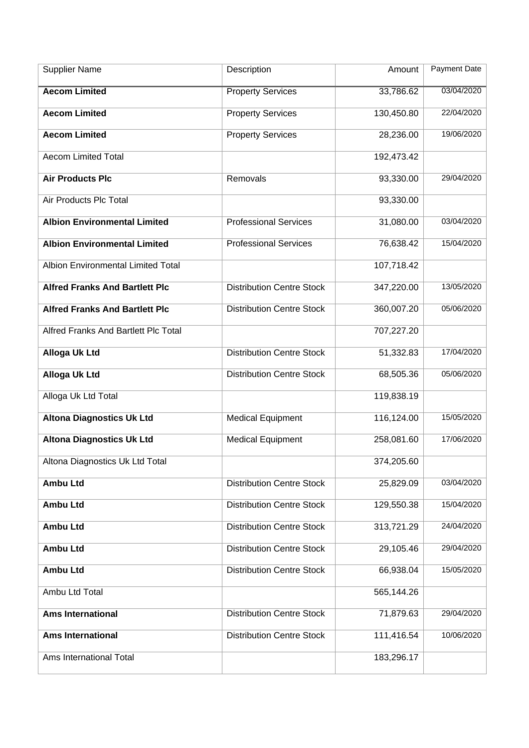| <b>Supplier Name</b>                      | Description                      | Amount     | <b>Payment Date</b> |
|-------------------------------------------|----------------------------------|------------|---------------------|
| <b>Aecom Limited</b>                      | <b>Property Services</b>         | 33,786.62  | 03/04/2020          |
| <b>Aecom Limited</b>                      | <b>Property Services</b>         | 130,450.80 | 22/04/2020          |
| <b>Aecom Limited</b>                      | <b>Property Services</b>         | 28,236.00  | 19/06/2020          |
| <b>Aecom Limited Total</b>                |                                  | 192,473.42 |                     |
| <b>Air Products Plc</b>                   | Removals                         | 93,330.00  | 29/04/2020          |
| Air Products Plc Total                    |                                  | 93,330.00  |                     |
| <b>Albion Environmental Limited</b>       | <b>Professional Services</b>     | 31,080.00  | 03/04/2020          |
| <b>Albion Environmental Limited</b>       | <b>Professional Services</b>     | 76,638.42  | 15/04/2020          |
| <b>Albion Environmental Limited Total</b> |                                  | 107,718.42 |                     |
| <b>Alfred Franks And Bartlett Plc</b>     | <b>Distribution Centre Stock</b> | 347,220.00 | 13/05/2020          |
| <b>Alfred Franks And Bartlett Plc</b>     | <b>Distribution Centre Stock</b> | 360,007.20 | 05/06/2020          |
| Alfred Franks And Bartlett Plc Total      |                                  | 707,227.20 |                     |
| <b>Alloga Uk Ltd</b>                      | <b>Distribution Centre Stock</b> | 51,332.83  | 17/04/2020          |
| <b>Alloga Uk Ltd</b>                      | <b>Distribution Centre Stock</b> | 68,505.36  | 05/06/2020          |
| Alloga Uk Ltd Total                       |                                  | 119,838.19 |                     |
| <b>Altona Diagnostics Uk Ltd</b>          | <b>Medical Equipment</b>         | 116,124.00 | 15/05/2020          |
| <b>Altona Diagnostics Uk Ltd</b>          | <b>Medical Equipment</b>         | 258,081.60 | 17/06/2020          |
| Altona Diagnostics Uk Ltd Total           |                                  | 374,205.60 |                     |
| <b>Ambu Ltd</b>                           | <b>Distribution Centre Stock</b> | 25,829.09  | 03/04/2020          |
| <b>Ambu Ltd</b>                           | <b>Distribution Centre Stock</b> | 129,550.38 | 15/04/2020          |
| <b>Ambu Ltd</b>                           | <b>Distribution Centre Stock</b> | 313,721.29 | 24/04/2020          |
| <b>Ambu Ltd</b>                           | <b>Distribution Centre Stock</b> | 29,105.46  | 29/04/2020          |
| <b>Ambu Ltd</b>                           | <b>Distribution Centre Stock</b> | 66,938.04  | 15/05/2020          |
| Ambu Ltd Total                            |                                  | 565,144.26 |                     |
| <b>Ams International</b>                  | <b>Distribution Centre Stock</b> | 71,879.63  | 29/04/2020          |
| <b>Ams International</b>                  | <b>Distribution Centre Stock</b> | 111,416.54 | 10/06/2020          |
| Ams International Total                   |                                  | 183,296.17 |                     |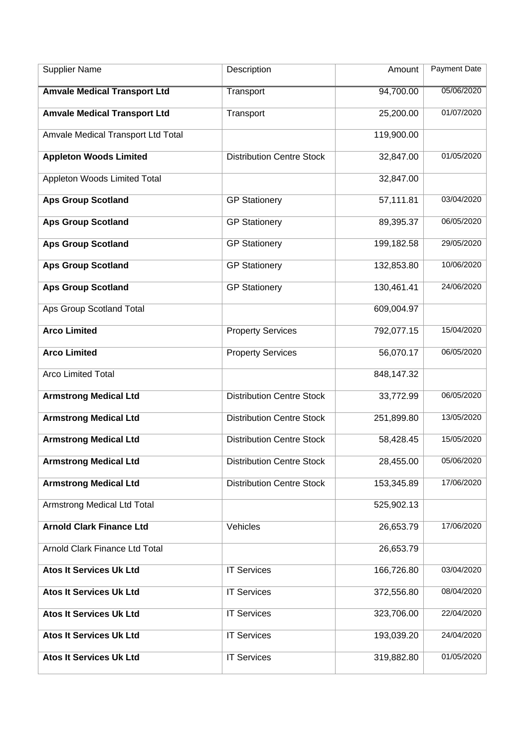| <b>Supplier Name</b>                | Description                      | Amount     | Payment Date |
|-------------------------------------|----------------------------------|------------|--------------|
| <b>Amvale Medical Transport Ltd</b> | <b>Transport</b>                 | 94,700.00  | 05/06/2020   |
| <b>Amvale Medical Transport Ltd</b> | Transport                        | 25,200.00  | 01/07/2020   |
| Amvale Medical Transport Ltd Total  |                                  | 119,900.00 |              |
| <b>Appleton Woods Limited</b>       | <b>Distribution Centre Stock</b> | 32,847.00  | 01/05/2020   |
| Appleton Woods Limited Total        |                                  | 32,847.00  |              |
| <b>Aps Group Scotland</b>           | <b>GP Stationery</b>             | 57,111.81  | 03/04/2020   |
| <b>Aps Group Scotland</b>           | <b>GP Stationery</b>             | 89,395.37  | 06/05/2020   |
| <b>Aps Group Scotland</b>           | <b>GP Stationery</b>             | 199,182.58 | 29/05/2020   |
| <b>Aps Group Scotland</b>           | <b>GP Stationery</b>             | 132,853.80 | 10/06/2020   |
| <b>Aps Group Scotland</b>           | <b>GP Stationery</b>             | 130,461.41 | 24/06/2020   |
| Aps Group Scotland Total            |                                  | 609,004.97 |              |
| <b>Arco Limited</b>                 | <b>Property Services</b>         | 792,077.15 | 15/04/2020   |
| <b>Arco Limited</b>                 | <b>Property Services</b>         | 56,070.17  | 06/05/2020   |
| <b>Arco Limited Total</b>           |                                  | 848,147.32 |              |
| <b>Armstrong Medical Ltd</b>        | <b>Distribution Centre Stock</b> | 33,772.99  | 06/05/2020   |
| <b>Armstrong Medical Ltd</b>        | <b>Distribution Centre Stock</b> | 251,899.80 | 13/05/2020   |
| <b>Armstrong Medical Ltd</b>        | <b>Distribution Centre Stock</b> | 58,428.45  | 15/05/2020   |
| <b>Armstrong Medical Ltd</b>        | <b>Distribution Centre Stock</b> | 28,455.00  | 05/06/2020   |
| <b>Armstrong Medical Ltd</b>        | <b>Distribution Centre Stock</b> | 153,345.89 | 17/06/2020   |
| <b>Armstrong Medical Ltd Total</b>  |                                  | 525,902.13 |              |
| <b>Arnold Clark Finance Ltd</b>     | Vehicles                         | 26,653.79  | 17/06/2020   |
| Arnold Clark Finance Ltd Total      |                                  | 26,653.79  |              |
| <b>Atos It Services Uk Ltd</b>      | <b>IT Services</b>               | 166,726.80 | 03/04/2020   |
| <b>Atos It Services Uk Ltd</b>      | <b>IT Services</b>               | 372,556.80 | 08/04/2020   |
| <b>Atos It Services Uk Ltd</b>      | <b>IT Services</b>               | 323,706.00 | 22/04/2020   |
| <b>Atos It Services Uk Ltd</b>      | <b>IT Services</b>               | 193,039.20 | 24/04/2020   |
| <b>Atos It Services Uk Ltd</b>      | <b>IT Services</b>               | 319,882.80 | 01/05/2020   |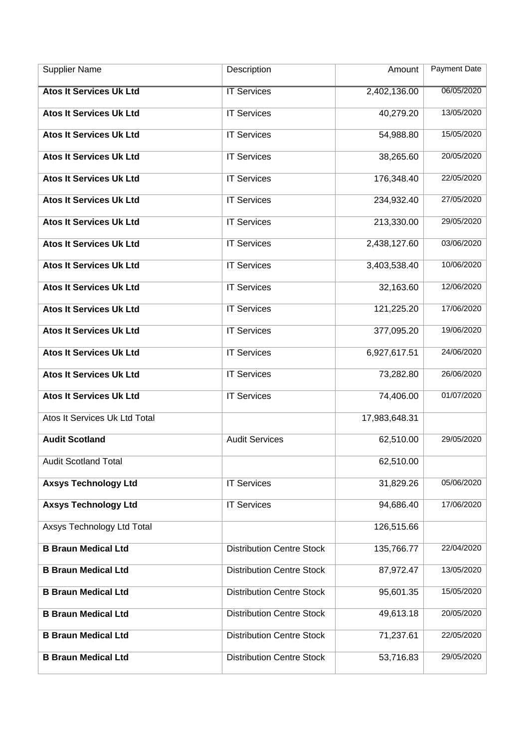| <b>Supplier Name</b>              | Description                      | Amount        | Payment Date |
|-----------------------------------|----------------------------------|---------------|--------------|
| <b>Atos It Services Uk Ltd</b>    | <b>IT Services</b>               | 2,402,136.00  | 06/05/2020   |
| <b>Atos It Services Uk Ltd</b>    | <b>IT Services</b>               | 40,279.20     | 13/05/2020   |
| <b>Atos It Services Uk Ltd</b>    | <b>IT Services</b>               | 54,988.80     | 15/05/2020   |
| <b>Atos It Services Uk Ltd</b>    | <b>IT Services</b>               | 38,265.60     | 20/05/2020   |
| <b>Atos It Services Uk Ltd</b>    | <b>IT Services</b>               | 176,348.40    | 22/05/2020   |
| <b>Atos It Services Uk Ltd</b>    | <b>IT Services</b>               | 234,932.40    | 27/05/2020   |
| <b>Atos It Services Uk Ltd</b>    | <b>IT Services</b>               | 213,330.00    | 29/05/2020   |
| <b>Atos It Services Uk Ltd</b>    | <b>IT Services</b>               | 2,438,127.60  | 03/06/2020   |
| <b>Atos It Services Uk Ltd</b>    | <b>IT Services</b>               | 3,403,538.40  | 10/06/2020   |
| <b>Atos It Services Uk Ltd</b>    | <b>IT Services</b>               | 32,163.60     | 12/06/2020   |
| <b>Atos It Services Uk Ltd</b>    | <b>IT Services</b>               | 121,225.20    | 17/06/2020   |
| <b>Atos It Services Uk Ltd</b>    | <b>IT Services</b>               | 377,095.20    | 19/06/2020   |
| <b>Atos It Services Uk Ltd</b>    | <b>IT Services</b>               | 6,927,617.51  | 24/06/2020   |
| <b>Atos It Services Uk Ltd</b>    | <b>IT Services</b>               | 73,282.80     | 26/06/2020   |
| <b>Atos It Services Uk Ltd</b>    | <b>IT Services</b>               | 74,406.00     | 01/07/2020   |
| Atos It Services Uk Ltd Total     |                                  | 17,983,648.31 |              |
| <b>Audit Scotland</b>             | <b>Audit Services</b>            | 62,510.00     | 29/05/2020   |
| <b>Audit Scotland Total</b>       |                                  | 62,510.00     |              |
| <b>Axsys Technology Ltd</b>       | <b>IT Services</b>               | 31,829.26     | 05/06/2020   |
| <b>Axsys Technology Ltd</b>       | <b>IT Services</b>               | 94,686.40     | 17/06/2020   |
| <b>Axsys Technology Ltd Total</b> |                                  | 126,515.66    |              |
| <b>B Braun Medical Ltd</b>        | <b>Distribution Centre Stock</b> | 135,766.77    | 22/04/2020   |
| <b>B Braun Medical Ltd</b>        | <b>Distribution Centre Stock</b> | 87,972.47     | 13/05/2020   |
| <b>B Braun Medical Ltd</b>        | <b>Distribution Centre Stock</b> | 95,601.35     | 15/05/2020   |
| <b>B Braun Medical Ltd</b>        | <b>Distribution Centre Stock</b> | 49,613.18     | 20/05/2020   |
| <b>B Braun Medical Ltd</b>        | <b>Distribution Centre Stock</b> | 71,237.61     | 22/05/2020   |
| <b>B Braun Medical Ltd</b>        | <b>Distribution Centre Stock</b> | 53,716.83     | 29/05/2020   |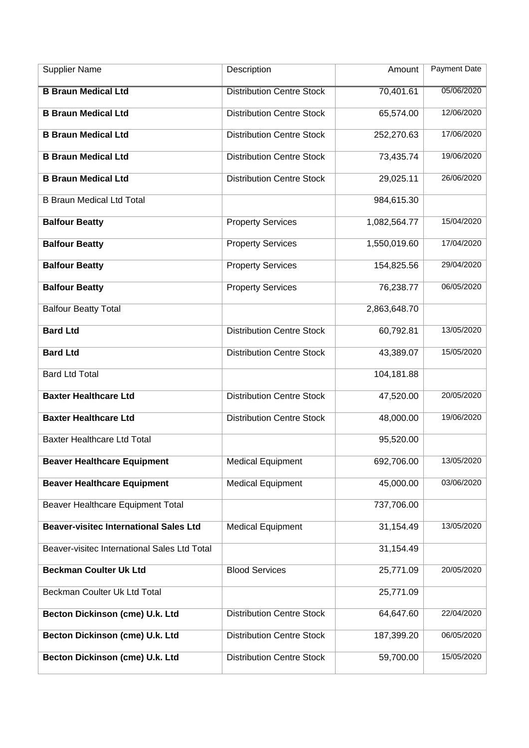| <b>Supplier Name</b>                          | Description                      | Amount       | <b>Payment Date</b> |
|-----------------------------------------------|----------------------------------|--------------|---------------------|
| <b>B Braun Medical Ltd</b>                    | <b>Distribution Centre Stock</b> | 70,401.61    | 05/06/2020          |
| <b>B Braun Medical Ltd</b>                    | <b>Distribution Centre Stock</b> | 65,574.00    | 12/06/2020          |
| <b>B Braun Medical Ltd</b>                    | <b>Distribution Centre Stock</b> | 252,270.63   | 17/06/2020          |
| <b>B Braun Medical Ltd</b>                    | <b>Distribution Centre Stock</b> | 73,435.74    | 19/06/2020          |
| <b>B Braun Medical Ltd</b>                    | <b>Distribution Centre Stock</b> | 29,025.11    | 26/06/2020          |
| <b>B Braun Medical Ltd Total</b>              |                                  | 984,615.30   |                     |
| <b>Balfour Beatty</b>                         | <b>Property Services</b>         | 1,082,564.77 | 15/04/2020          |
| <b>Balfour Beatty</b>                         | <b>Property Services</b>         | 1,550,019.60 | 17/04/2020          |
| <b>Balfour Beatty</b>                         | <b>Property Services</b>         | 154,825.56   | 29/04/2020          |
| <b>Balfour Beatty</b>                         | <b>Property Services</b>         | 76,238.77    | 06/05/2020          |
| <b>Balfour Beatty Total</b>                   |                                  | 2,863,648.70 |                     |
| <b>Bard Ltd</b>                               | <b>Distribution Centre Stock</b> | 60,792.81    | 13/05/2020          |
| <b>Bard Ltd</b>                               | <b>Distribution Centre Stock</b> | 43,389.07    | 15/05/2020          |
| <b>Bard Ltd Total</b>                         |                                  | 104,181.88   |                     |
| <b>Baxter Healthcare Ltd</b>                  | <b>Distribution Centre Stock</b> | 47,520.00    | 20/05/2020          |
| <b>Baxter Healthcare Ltd</b>                  | <b>Distribution Centre Stock</b> | 48,000.00    | 19/06/2020          |
| <b>Baxter Healthcare Ltd Total</b>            |                                  | 95,520.00    |                     |
| <b>Beaver Healthcare Equipment</b>            | <b>Medical Equipment</b>         | 692,706.00   | 13/05/2020          |
| <b>Beaver Healthcare Equipment</b>            | <b>Medical Equipment</b>         | 45,000.00    | 03/06/2020          |
| Beaver Healthcare Equipment Total             |                                  | 737,706.00   |                     |
| <b>Beaver-visitec International Sales Ltd</b> | <b>Medical Equipment</b>         | 31,154.49    | 13/05/2020          |
| Beaver-visitec International Sales Ltd Total  |                                  | 31,154.49    |                     |
| <b>Beckman Coulter Uk Ltd</b>                 | <b>Blood Services</b>            | 25,771.09    | 20/05/2020          |
| Beckman Coulter Uk Ltd Total                  |                                  | 25,771.09    |                     |
| Becton Dickinson (cme) U.k. Ltd               | <b>Distribution Centre Stock</b> | 64,647.60    | 22/04/2020          |
| Becton Dickinson (cme) U.k. Ltd               | <b>Distribution Centre Stock</b> | 187,399.20   | 06/05/2020          |
| Becton Dickinson (cme) U.k. Ltd               | <b>Distribution Centre Stock</b> | 59,700.00    | 15/05/2020          |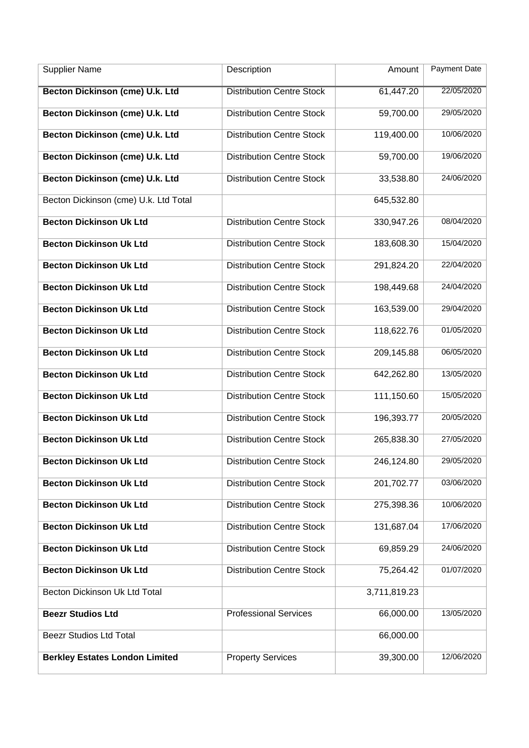| <b>Supplier Name</b>                  | Description                      | Amount       | <b>Payment Date</b> |
|---------------------------------------|----------------------------------|--------------|---------------------|
| Becton Dickinson (cme) U.k. Ltd       | <b>Distribution Centre Stock</b> | 61,447.20    | 22/05/2020          |
| Becton Dickinson (cme) U.k. Ltd       | <b>Distribution Centre Stock</b> | 59,700.00    | 29/05/2020          |
| Becton Dickinson (cme) U.k. Ltd       | <b>Distribution Centre Stock</b> | 119,400.00   | 10/06/2020          |
| Becton Dickinson (cme) U.k. Ltd       | <b>Distribution Centre Stock</b> | 59,700.00    | 19/06/2020          |
| Becton Dickinson (cme) U.k. Ltd       | <b>Distribution Centre Stock</b> | 33,538.80    | 24/06/2020          |
| Becton Dickinson (cme) U.k. Ltd Total |                                  | 645,532.80   |                     |
| <b>Becton Dickinson Uk Ltd</b>        | <b>Distribution Centre Stock</b> | 330,947.26   | 08/04/2020          |
| <b>Becton Dickinson Uk Ltd</b>        | <b>Distribution Centre Stock</b> | 183,608.30   | 15/04/2020          |
| <b>Becton Dickinson Uk Ltd</b>        | <b>Distribution Centre Stock</b> | 291,824.20   | 22/04/2020          |
| <b>Becton Dickinson Uk Ltd</b>        | <b>Distribution Centre Stock</b> | 198,449.68   | 24/04/2020          |
| <b>Becton Dickinson Uk Ltd</b>        | <b>Distribution Centre Stock</b> | 163,539.00   | 29/04/2020          |
| <b>Becton Dickinson Uk Ltd</b>        | <b>Distribution Centre Stock</b> | 118,622.76   | 01/05/2020          |
| <b>Becton Dickinson Uk Ltd</b>        | <b>Distribution Centre Stock</b> | 209,145.88   | 06/05/2020          |
| <b>Becton Dickinson Uk Ltd</b>        | <b>Distribution Centre Stock</b> | 642,262.80   | 13/05/2020          |
| <b>Becton Dickinson Uk Ltd</b>        | <b>Distribution Centre Stock</b> | 111,150.60   | 15/05/2020          |
| <b>Becton Dickinson Uk Ltd</b>        | <b>Distribution Centre Stock</b> | 196,393.77   | 20/05/2020          |
| <b>Becton Dickinson Uk Ltd</b>        | <b>Distribution Centre Stock</b> | 265,838.30   | 27/05/2020          |
| <b>Becton Dickinson Uk Ltd</b>        | <b>Distribution Centre Stock</b> | 246,124.80   | 29/05/2020          |
| <b>Becton Dickinson Uk Ltd</b>        | <b>Distribution Centre Stock</b> | 201,702.77   | 03/06/2020          |
| <b>Becton Dickinson Uk Ltd</b>        | <b>Distribution Centre Stock</b> | 275,398.36   | 10/06/2020          |
| <b>Becton Dickinson Uk Ltd</b>        | <b>Distribution Centre Stock</b> | 131,687.04   | 17/06/2020          |
| <b>Becton Dickinson Uk Ltd</b>        | <b>Distribution Centre Stock</b> | 69,859.29    | 24/06/2020          |
| <b>Becton Dickinson Uk Ltd</b>        | <b>Distribution Centre Stock</b> | 75,264.42    | 01/07/2020          |
| Becton Dickinson Uk Ltd Total         |                                  | 3,711,819.23 |                     |
| <b>Beezr Studios Ltd</b>              | <b>Professional Services</b>     | 66,000.00    | 13/05/2020          |
| <b>Beezr Studios Ltd Total</b>        |                                  | 66,000.00    |                     |
| <b>Berkley Estates London Limited</b> | <b>Property Services</b>         | 39,300.00    | 12/06/2020          |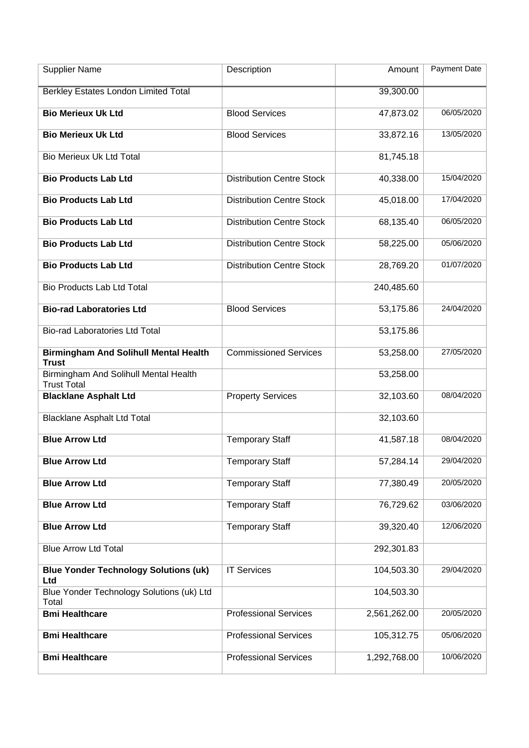| <b>Supplier Name</b>                                         | Description                      | Amount       | Payment Date |
|--------------------------------------------------------------|----------------------------------|--------------|--------------|
| <b>Berkley Estates London Limited Total</b>                  |                                  | 39,300.00    |              |
| <b>Bio Merieux Uk Ltd</b>                                    | <b>Blood Services</b>            | 47,873.02    | 06/05/2020   |
| <b>Bio Merieux Uk Ltd</b>                                    | <b>Blood Services</b>            | 33,872.16    | 13/05/2020   |
| <b>Bio Merieux Uk Ltd Total</b>                              |                                  | 81,745.18    |              |
| <b>Bio Products Lab Ltd</b>                                  | <b>Distribution Centre Stock</b> | 40,338.00    | 15/04/2020   |
| <b>Bio Products Lab Ltd</b>                                  | <b>Distribution Centre Stock</b> | 45,018.00    | 17/04/2020   |
| <b>Bio Products Lab Ltd</b>                                  | <b>Distribution Centre Stock</b> | 68,135.40    | 06/05/2020   |
| <b>Bio Products Lab Ltd</b>                                  | <b>Distribution Centre Stock</b> | 58,225.00    | 05/06/2020   |
| <b>Bio Products Lab Ltd</b>                                  | <b>Distribution Centre Stock</b> | 28,769.20    | 01/07/2020   |
| <b>Bio Products Lab Ltd Total</b>                            |                                  | 240,485.60   |              |
| <b>Bio-rad Laboratories Ltd</b>                              | <b>Blood Services</b>            | 53,175.86    | 24/04/2020   |
| <b>Bio-rad Laboratories Ltd Total</b>                        |                                  | 53,175.86    |              |
| <b>Birmingham And Solihull Mental Health</b><br><b>Trust</b> | <b>Commissioned Services</b>     | 53,258.00    | 27/05/2020   |
| Birmingham And Solihull Mental Health<br><b>Trust Total</b>  |                                  | 53,258.00    |              |
| <b>Blacklane Asphalt Ltd</b>                                 | <b>Property Services</b>         | 32,103.60    | 08/04/2020   |
| <b>Blacklane Asphalt Ltd Total</b>                           |                                  | 32,103.60    |              |
| <b>Blue Arrow Ltd</b>                                        | <b>Temporary Staff</b>           | 41,587.18    | 08/04/2020   |
| <b>Blue Arrow Ltd</b>                                        | <b>Temporary Staff</b>           | 57,284.14    | 29/04/2020   |
| <b>Blue Arrow Ltd</b>                                        | <b>Temporary Staff</b>           | 77,380.49    | 20/05/2020   |
| <b>Blue Arrow Ltd</b>                                        | <b>Temporary Staff</b>           | 76,729.62    | 03/06/2020   |
| <b>Blue Arrow Ltd</b>                                        | <b>Temporary Staff</b>           | 39,320.40    | 12/06/2020   |
| <b>Blue Arrow Ltd Total</b>                                  |                                  | 292,301.83   |              |
| <b>Blue Yonder Technology Solutions (uk)</b><br>Ltd          | <b>IT Services</b>               | 104,503.30   | 29/04/2020   |
| Blue Yonder Technology Solutions (uk) Ltd<br>Total           |                                  | 104,503.30   |              |
| <b>Bmi Healthcare</b>                                        | <b>Professional Services</b>     | 2,561,262.00 | 20/05/2020   |
| <b>Bmi Healthcare</b>                                        | <b>Professional Services</b>     | 105,312.75   | 05/06/2020   |
| <b>Bmi Healthcare</b>                                        | <b>Professional Services</b>     | 1,292,768.00 | 10/06/2020   |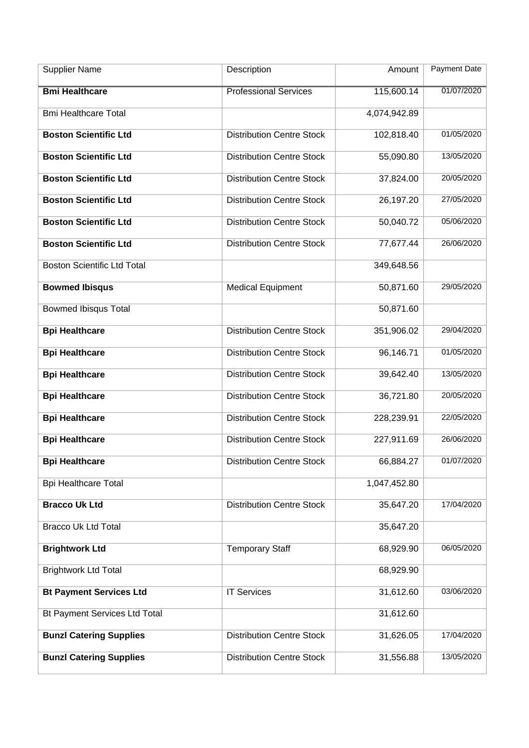| <b>Supplier Name</b>                 | Description                      | Amount       | <b>Payment Date</b> |
|--------------------------------------|----------------------------------|--------------|---------------------|
| <b>Bmi Healthcare</b>                | <b>Professional Services</b>     | 115,600.14   | 01/07/2020          |
| <b>Bmi Healthcare Total</b>          |                                  | 4,074,942.89 |                     |
| <b>Boston Scientific Ltd</b>         | <b>Distribution Centre Stock</b> | 102,818.40   | 01/05/2020          |
| <b>Boston Scientific Ltd</b>         | <b>Distribution Centre Stock</b> | 55,090.80    | 13/05/2020          |
| <b>Boston Scientific Ltd</b>         | <b>Distribution Centre Stock</b> | 37,824.00    | 20/05/2020          |
| <b>Boston Scientific Ltd</b>         | <b>Distribution Centre Stock</b> | 26,197.20    | 27/05/2020          |
| <b>Boston Scientific Ltd</b>         | <b>Distribution Centre Stock</b> | 50,040.72    | 05/06/2020          |
| <b>Boston Scientific Ltd</b>         | <b>Distribution Centre Stock</b> | 77,677.44    | 26/06/2020          |
| <b>Boston Scientific Ltd Total</b>   |                                  | 349,648.56   |                     |
| <b>Bowmed Ibisqus</b>                | <b>Medical Equipment</b>         | 50,871.60    | 29/05/2020          |
| <b>Bowmed Ibisqus Total</b>          |                                  | 50,871.60    |                     |
| <b>Bpi Healthcare</b>                | <b>Distribution Centre Stock</b> | 351,906.02   | 29/04/2020          |
| <b>Bpi Healthcare</b>                | <b>Distribution Centre Stock</b> | 96,146.71    | 01/05/2020          |
| <b>Bpi Healthcare</b>                | <b>Distribution Centre Stock</b> | 39,642.40    | 13/05/2020          |
| <b>Bpi Healthcare</b>                | <b>Distribution Centre Stock</b> | 36,721.80    | 20/05/2020          |
| <b>Bpi Healthcare</b>                | <b>Distribution Centre Stock</b> | 228,239.91   | 22/05/2020          |
| <b>Bpi Healthcare</b>                | <b>Distribution Centre Stock</b> | 227,911.69   | 26/06/2020          |
| <b>Bpi Healthcare</b>                | <b>Distribution Centre Stock</b> | 66,884.27    | 01/07/2020          |
| <b>Bpi Healthcare Total</b>          |                                  | 1,047,452.80 |                     |
| <b>Bracco Uk Ltd</b>                 | <b>Distribution Centre Stock</b> | 35,647.20    | 17/04/2020          |
| <b>Bracco Uk Ltd Total</b>           |                                  | 35,647.20    |                     |
| <b>Brightwork Ltd</b>                | <b>Temporary Staff</b>           | 68,929.90    | 06/05/2020          |
| <b>Brightwork Ltd Total</b>          |                                  | 68,929.90    |                     |
| <b>Bt Payment Services Ltd</b>       | <b>IT Services</b>               | 31,612.60    | 03/06/2020          |
| <b>Bt Payment Services Ltd Total</b> |                                  | 31,612.60    |                     |
| <b>Bunzl Catering Supplies</b>       | <b>Distribution Centre Stock</b> | 31,626.05    | 17/04/2020          |
| <b>Bunzl Catering Supplies</b>       | <b>Distribution Centre Stock</b> | 31,556.88    | 13/05/2020          |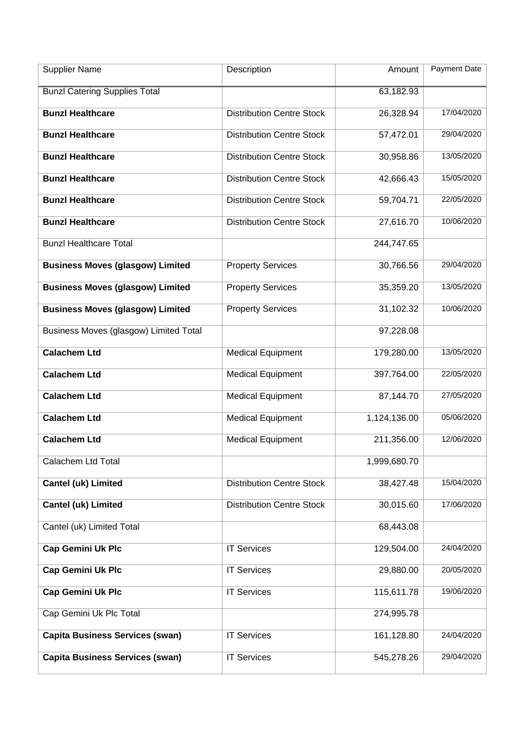| <b>Supplier Name</b>                    | Description                      | Amount       | Payment Date |
|-----------------------------------------|----------------------------------|--------------|--------------|
| <b>Bunzl Catering Supplies Total</b>    |                                  | 63,182.93    |              |
| <b>Bunzl Healthcare</b>                 | <b>Distribution Centre Stock</b> | 26,328.94    | 17/04/2020   |
| <b>Bunzl Healthcare</b>                 | <b>Distribution Centre Stock</b> | 57,472.01    | 29/04/2020   |
| <b>Bunzl Healthcare</b>                 | <b>Distribution Centre Stock</b> | 30,958.86    | 13/05/2020   |
| <b>Bunzl Healthcare</b>                 | <b>Distribution Centre Stock</b> | 42,666.43    | 15/05/2020   |
| <b>Bunzl Healthcare</b>                 | <b>Distribution Centre Stock</b> | 59,704.71    | 22/05/2020   |
| <b>Bunzl Healthcare</b>                 | <b>Distribution Centre Stock</b> | 27,616.70    | 10/06/2020   |
| <b>Bunzl Healthcare Total</b>           |                                  | 244,747.65   |              |
| <b>Business Moves (glasgow) Limited</b> | <b>Property Services</b>         | 30,766.56    | 29/04/2020   |
| <b>Business Moves (glasgow) Limited</b> | <b>Property Services</b>         | 35,359.20    | 13/05/2020   |
| <b>Business Moves (glasgow) Limited</b> | <b>Property Services</b>         | 31,102.32    | 10/06/2020   |
| Business Moves (glasgow) Limited Total  |                                  | 97,228.08    |              |
| <b>Calachem Ltd</b>                     | <b>Medical Equipment</b>         | 179,280.00   | 13/05/2020   |
| <b>Calachem Ltd</b>                     | <b>Medical Equipment</b>         | 397,764.00   | 22/05/2020   |
| <b>Calachem Ltd</b>                     | <b>Medical Equipment</b>         | 87,144.70    | 27/05/2020   |
| <b>Calachem Ltd</b>                     | <b>Medical Equipment</b>         | 1,124,136.00 | 05/06/2020   |
| <b>Calachem Ltd</b>                     | <b>Medical Equipment</b>         | 211,356.00   | 12/06/2020   |
| Calachem Ltd Total                      |                                  | 1,999,680.70 |              |
| <b>Cantel (uk) Limited</b>              | <b>Distribution Centre Stock</b> | 38,427.48    | 15/04/2020   |
| <b>Cantel (uk) Limited</b>              | <b>Distribution Centre Stock</b> | 30,015.60    | 17/06/2020   |
| Cantel (uk) Limited Total               |                                  | 68,443.08    |              |
| <b>Cap Gemini Uk Plc</b>                | <b>IT Services</b>               | 129,504.00   | 24/04/2020   |
| <b>Cap Gemini Uk Plc</b>                | <b>IT Services</b>               | 29,880.00    | 20/05/2020   |
| <b>Cap Gemini Uk Plc</b>                | <b>IT Services</b>               | 115,611.78   | 19/06/2020   |
| Cap Gemini Uk Plc Total                 |                                  | 274,995.78   |              |
| <b>Capita Business Services (swan)</b>  | <b>IT Services</b>               | 161,128.80   | 24/04/2020   |
| <b>Capita Business Services (swan)</b>  | <b>IT Services</b>               | 545,278.26   | 29/04/2020   |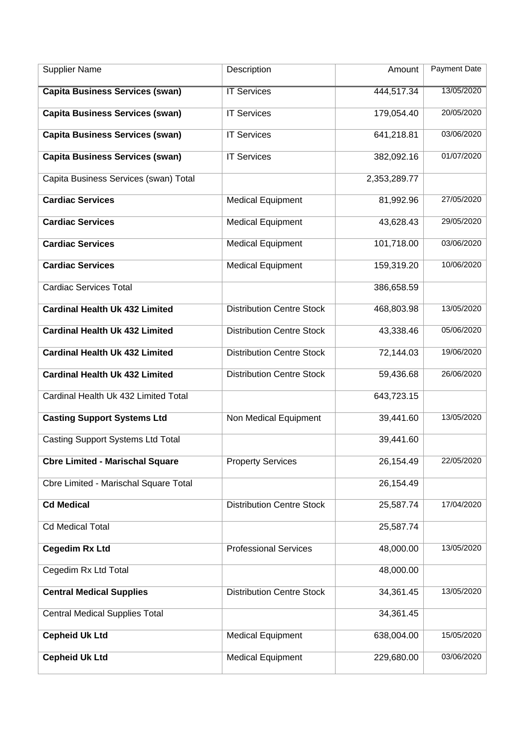| <b>Supplier Name</b>                         | Description                      | Amount       | <b>Payment Date</b> |
|----------------------------------------------|----------------------------------|--------------|---------------------|
| <b>Capita Business Services (swan)</b>       | <b>IT Services</b>               | 444,517.34   | 13/05/2020          |
| <b>Capita Business Services (swan)</b>       | <b>IT Services</b>               | 179,054.40   | 20/05/2020          |
| <b>Capita Business Services (swan)</b>       | <b>IT Services</b>               | 641,218.81   | 03/06/2020          |
| <b>Capita Business Services (swan)</b>       | <b>IT Services</b>               | 382,092.16   | 01/07/2020          |
| Capita Business Services (swan) Total        |                                  | 2,353,289.77 |                     |
| <b>Cardiac Services</b>                      | <b>Medical Equipment</b>         | 81,992.96    | 27/05/2020          |
| <b>Cardiac Services</b>                      | <b>Medical Equipment</b>         | 43,628.43    | 29/05/2020          |
| <b>Cardiac Services</b>                      | <b>Medical Equipment</b>         | 101,718.00   | 03/06/2020          |
| <b>Cardiac Services</b>                      | Medical Equipment                | 159,319.20   | 10/06/2020          |
| <b>Cardiac Services Total</b>                |                                  | 386,658.59   |                     |
| <b>Cardinal Health Uk 432 Limited</b>        | <b>Distribution Centre Stock</b> | 468,803.98   | 13/05/2020          |
| <b>Cardinal Health Uk 432 Limited</b>        | <b>Distribution Centre Stock</b> | 43,338.46    | 05/06/2020          |
| <b>Cardinal Health Uk 432 Limited</b>        | <b>Distribution Centre Stock</b> | 72,144.03    | 19/06/2020          |
| <b>Cardinal Health Uk 432 Limited</b>        | <b>Distribution Centre Stock</b> | 59,436.68    | 26/06/2020          |
| Cardinal Health Uk 432 Limited Total         |                                  | 643,723.15   |                     |
| <b>Casting Support Systems Ltd</b>           | Non Medical Equipment            | 39,441.60    | 13/05/2020          |
| <b>Casting Support Systems Ltd Total</b>     |                                  | 39,441.60    |                     |
| <b>Cbre Limited - Marischal Square</b>       | <b>Property Services</b>         | 26,154.49    | 22/05/2020          |
| <b>Cbre Limited - Marischal Square Total</b> |                                  | 26,154.49    |                     |
| <b>Cd Medical</b>                            | <b>Distribution Centre Stock</b> | 25,587.74    | 17/04/2020          |
| <b>Cd Medical Total</b>                      |                                  | 25,587.74    |                     |
| <b>Cegedim Rx Ltd</b>                        | <b>Professional Services</b>     | 48,000.00    | 13/05/2020          |
| Cegedim Rx Ltd Total                         |                                  | 48,000.00    |                     |
| <b>Central Medical Supplies</b>              | <b>Distribution Centre Stock</b> | 34,361.45    | 13/05/2020          |
| <b>Central Medical Supplies Total</b>        |                                  | 34,361.45    |                     |
| <b>Cepheid Uk Ltd</b>                        | <b>Medical Equipment</b>         | 638,004.00   | 15/05/2020          |
| <b>Cepheid Uk Ltd</b>                        | <b>Medical Equipment</b>         | 229,680.00   | 03/06/2020          |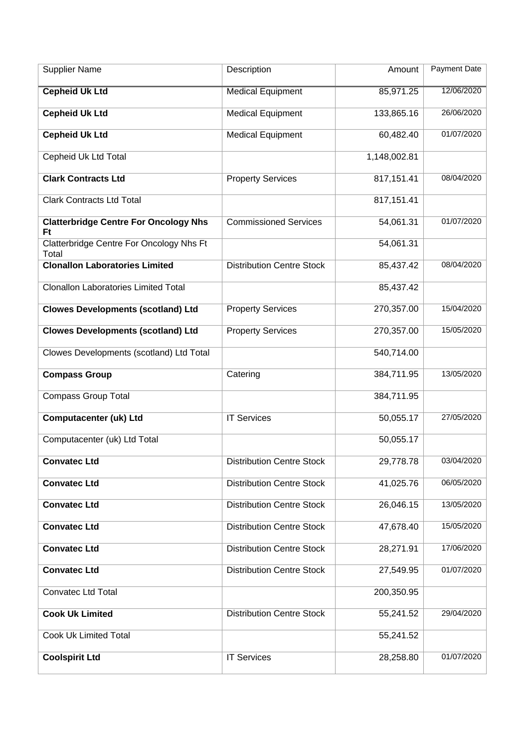| <b>Supplier Name</b>                                      | Description                      | Amount       | <b>Payment Date</b> |
|-----------------------------------------------------------|----------------------------------|--------------|---------------------|
| <b>Cepheid Uk Ltd</b>                                     | <b>Medical Equipment</b>         | 85,971.25    | 12/06/2020          |
| <b>Cepheid Uk Ltd</b>                                     | <b>Medical Equipment</b>         | 133,865.16   | 26/06/2020          |
| <b>Cepheid Uk Ltd</b>                                     | <b>Medical Equipment</b>         | 60,482.40    | 01/07/2020          |
| Cepheid Uk Ltd Total                                      |                                  | 1,148,002.81 |                     |
| <b>Clark Contracts Ltd</b>                                | <b>Property Services</b>         | 817,151.41   | 08/04/2020          |
| <b>Clark Contracts Ltd Total</b>                          |                                  | 817,151.41   |                     |
| <b>Clatterbridge Centre For Oncology Nhs</b><br><b>Ft</b> | <b>Commissioned Services</b>     | 54,061.31    | 01/07/2020          |
| Clatterbridge Centre For Oncology Nhs Ft<br>Total         |                                  | 54,061.31    |                     |
| <b>Clonallon Laboratories Limited</b>                     | <b>Distribution Centre Stock</b> | 85,437.42    | 08/04/2020          |
| <b>Clonallon Laboratories Limited Total</b>               |                                  | 85,437.42    |                     |
| <b>Clowes Developments (scotland) Ltd</b>                 | <b>Property Services</b>         | 270,357.00   | 15/04/2020          |
| <b>Clowes Developments (scotland) Ltd</b>                 | <b>Property Services</b>         | 270,357.00   | 15/05/2020          |
| Clowes Developments (scotland) Ltd Total                  |                                  | 540,714.00   |                     |
| <b>Compass Group</b>                                      | Catering                         | 384,711.95   | 13/05/2020          |
| <b>Compass Group Total</b>                                |                                  | 384,711.95   |                     |
| <b>Computacenter (uk) Ltd</b>                             | <b>IT Services</b>               | 50,055.17    | 27/05/2020          |
| Computacenter (uk) Ltd Total                              |                                  | 50,055.17    |                     |
| <b>Convatec Ltd</b>                                       | <b>Distribution Centre Stock</b> | 29,778.78    | 03/04/2020          |
| <b>Convatec Ltd</b>                                       | <b>Distribution Centre Stock</b> | 41,025.76    | 06/05/2020          |
| <b>Convatec Ltd</b>                                       | <b>Distribution Centre Stock</b> | 26,046.15    | 13/05/2020          |
| <b>Convatec Ltd</b>                                       | <b>Distribution Centre Stock</b> | 47,678.40    | 15/05/2020          |
| <b>Convatec Ltd</b>                                       | <b>Distribution Centre Stock</b> | 28,271.91    | 17/06/2020          |
| <b>Convatec Ltd</b>                                       | <b>Distribution Centre Stock</b> | 27,549.95    | 01/07/2020          |
| <b>Convatec Ltd Total</b>                                 |                                  | 200,350.95   |                     |
| <b>Cook Uk Limited</b>                                    | <b>Distribution Centre Stock</b> | 55,241.52    | 29/04/2020          |
| <b>Cook Uk Limited Total</b>                              |                                  | 55,241.52    |                     |
| <b>Coolspirit Ltd</b>                                     | <b>IT Services</b>               | 28,258.80    | 01/07/2020          |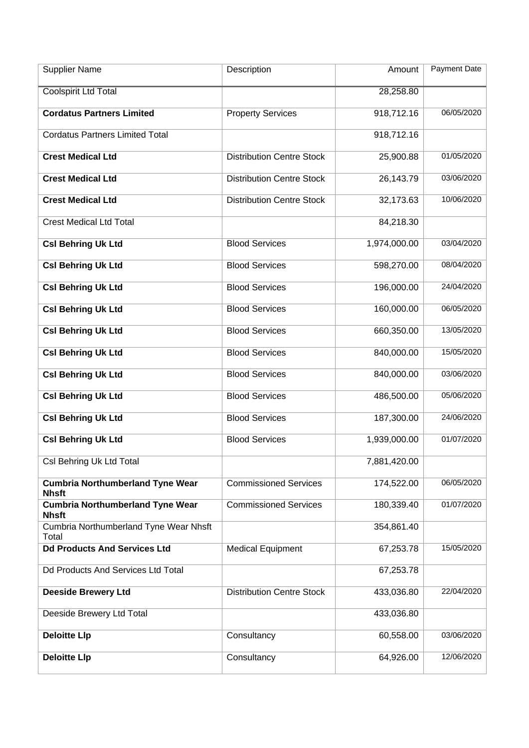| <b>Supplier Name</b>                                    | Description                      | Amount       | Payment Date |
|---------------------------------------------------------|----------------------------------|--------------|--------------|
| <b>Coolspirit Ltd Total</b>                             |                                  | 28,258.80    |              |
| <b>Cordatus Partners Limited</b>                        | <b>Property Services</b>         | 918,712.16   | 06/05/2020   |
| <b>Cordatus Partners Limited Total</b>                  |                                  | 918,712.16   |              |
| <b>Crest Medical Ltd</b>                                | <b>Distribution Centre Stock</b> | 25,900.88    | 01/05/2020   |
| <b>Crest Medical Ltd</b>                                | <b>Distribution Centre Stock</b> | 26,143.79    | 03/06/2020   |
| <b>Crest Medical Ltd</b>                                | <b>Distribution Centre Stock</b> | 32,173.63    | 10/06/2020   |
| <b>Crest Medical Ltd Total</b>                          |                                  | 84,218.30    |              |
| <b>Csl Behring Uk Ltd</b>                               | <b>Blood Services</b>            | 1,974,000.00 | 03/04/2020   |
| <b>Csl Behring Uk Ltd</b>                               | <b>Blood Services</b>            | 598,270.00   | 08/04/2020   |
| <b>Csl Behring Uk Ltd</b>                               | <b>Blood Services</b>            | 196,000.00   | 24/04/2020   |
| <b>Csl Behring Uk Ltd</b>                               | <b>Blood Services</b>            | 160,000.00   | 06/05/2020   |
| <b>Csl Behring Uk Ltd</b>                               | <b>Blood Services</b>            | 660,350.00   | 13/05/2020   |
| <b>Csl Behring Uk Ltd</b>                               | <b>Blood Services</b>            | 840,000.00   | 15/05/2020   |
| <b>Csl Behring Uk Ltd</b>                               | <b>Blood Services</b>            | 840,000.00   | 03/06/2020   |
| <b>Csl Behring Uk Ltd</b>                               | <b>Blood Services</b>            | 486,500.00   | 05/06/2020   |
| <b>Csl Behring Uk Ltd</b>                               | <b>Blood Services</b>            | 187,300.00   | 24/06/2020   |
| <b>Csl Behring Uk Ltd</b>                               | <b>Blood Services</b>            | 1,939,000.00 | 01/07/2020   |
| Csl Behring Uk Ltd Total                                |                                  | 7,881,420.00 |              |
| <b>Cumbria Northumberland Tyne Wear</b><br><b>Nhsft</b> | <b>Commissioned Services</b>     | 174,522.00   | 06/05/2020   |
| <b>Cumbria Northumberland Tyne Wear</b><br><b>Nhsft</b> | <b>Commissioned Services</b>     | 180,339.40   | 01/07/2020   |
| Cumbria Northumberland Tyne Wear Nhsft<br>Total         |                                  | 354,861.40   |              |
| <b>Dd Products And Services Ltd</b>                     | <b>Medical Equipment</b>         | 67,253.78    | 15/05/2020   |
| Dd Products And Services Ltd Total                      |                                  | 67,253.78    |              |
| <b>Deeside Brewery Ltd</b>                              | <b>Distribution Centre Stock</b> | 433,036.80   | 22/04/2020   |
| Deeside Brewery Ltd Total                               |                                  | 433,036.80   |              |
| <b>Deloitte Llp</b>                                     | Consultancy                      | 60,558.00    | 03/06/2020   |
| <b>Deloitte Llp</b>                                     | Consultancy                      | 64,926.00    | 12/06/2020   |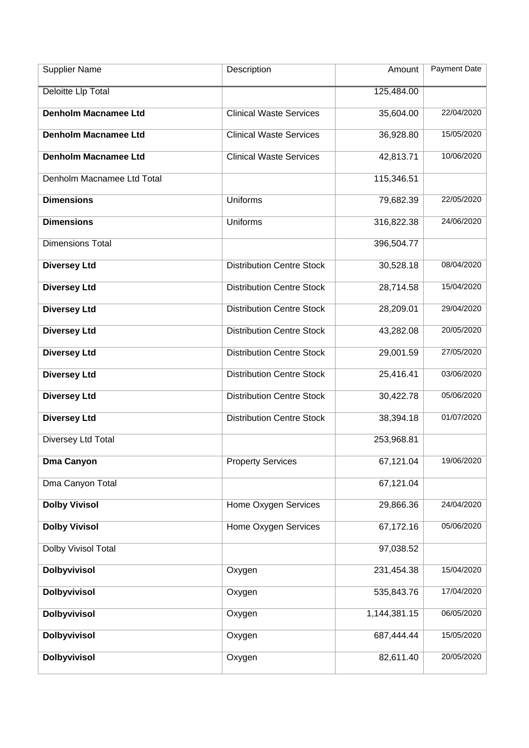| <b>Supplier Name</b>        | Description                      | Amount       | Payment Date |
|-----------------------------|----------------------------------|--------------|--------------|
| <b>Deloitte Llp Total</b>   |                                  | 125,484.00   |              |
| <b>Denholm Macnamee Ltd</b> | <b>Clinical Waste Services</b>   | 35,604.00    | 22/04/2020   |
| <b>Denholm Macnamee Ltd</b> | <b>Clinical Waste Services</b>   | 36,928.80    | 15/05/2020   |
| <b>Denholm Macnamee Ltd</b> | <b>Clinical Waste Services</b>   | 42,813.71    | 10/06/2020   |
| Denholm Macnamee Ltd Total  |                                  | 115,346.51   |              |
| <b>Dimensions</b>           | Uniforms                         | 79,682.39    | 22/05/2020   |
| <b>Dimensions</b>           | Uniforms                         | 316,822.38   | 24/06/2020   |
| <b>Dimensions Total</b>     |                                  | 396,504.77   |              |
| <b>Diversey Ltd</b>         | <b>Distribution Centre Stock</b> | 30,528.18    | 08/04/2020   |
| <b>Diversey Ltd</b>         | <b>Distribution Centre Stock</b> | 28,714.58    | 15/04/2020   |
| <b>Diversey Ltd</b>         | <b>Distribution Centre Stock</b> | 28,209.01    | 29/04/2020   |
| <b>Diversey Ltd</b>         | <b>Distribution Centre Stock</b> | 43,282.08    | 20/05/2020   |
| <b>Diversey Ltd</b>         | <b>Distribution Centre Stock</b> | 29,001.59    | 27/05/2020   |
| <b>Diversey Ltd</b>         | <b>Distribution Centre Stock</b> | 25,416.41    | 03/06/2020   |
| <b>Diversey Ltd</b>         | <b>Distribution Centre Stock</b> | 30,422.78    | 05/06/2020   |
| <b>Diversey Ltd</b>         | <b>Distribution Centre Stock</b> | 38,394.18    | 01/07/2020   |
| Diversey Ltd Total          |                                  | 253,968.81   |              |
| <b>Dma Canyon</b>           | <b>Property Services</b>         | 67,121.04    | 19/06/2020   |
| Dma Canyon Total            |                                  | 67,121.04    |              |
| <b>Dolby Vivisol</b>        | Home Oxygen Services             | 29,866.36    | 24/04/2020   |
| <b>Dolby Vivisol</b>        | Home Oxygen Services             | 67,172.16    | 05/06/2020   |
| Dolby Vivisol Total         |                                  | 97,038.52    |              |
| <b>Dolbyvivisol</b>         | Oxygen                           | 231,454.38   | 15/04/2020   |
| <b>Dolbyvivisol</b>         | Oxygen                           | 535,843.76   | 17/04/2020   |
| <b>Dolbyvivisol</b>         | Oxygen                           | 1,144,381.15 | 06/05/2020   |
| <b>Dolbyvivisol</b>         | Oxygen                           | 687,444.44   | 15/05/2020   |
| <b>Dolbyvivisol</b>         | Oxygen                           | 82,611.40    | 20/05/2020   |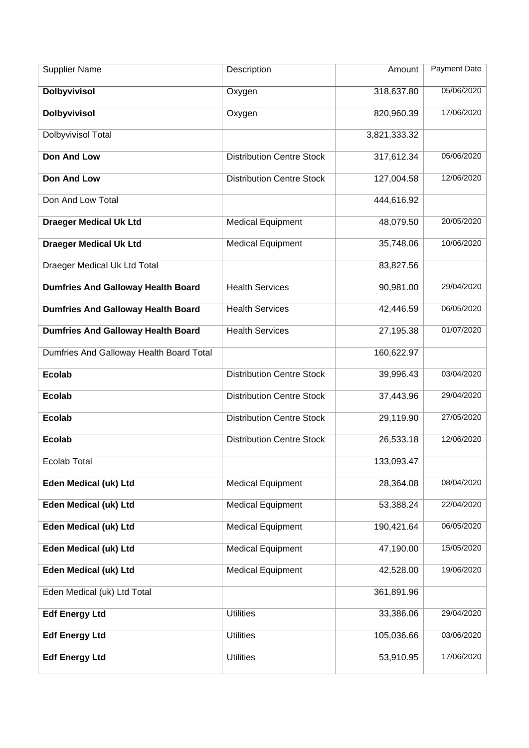| <b>Supplier Name</b>                      | Description                      | Amount       | <b>Payment Date</b> |
|-------------------------------------------|----------------------------------|--------------|---------------------|
| <b>Dolbyvivisol</b>                       | Oxygen                           | 318,637.80   | 05/06/2020          |
| <b>Dolbyvivisol</b>                       | Oxygen                           | 820,960.39   | 17/06/2020          |
| Dolbyvivisol Total                        |                                  | 3,821,333.32 |                     |
| <b>Don And Low</b>                        | <b>Distribution Centre Stock</b> | 317,612.34   | 05/06/2020          |
| <b>Don And Low</b>                        | <b>Distribution Centre Stock</b> | 127,004.58   | 12/06/2020          |
| Don And Low Total                         |                                  | 444,616.92   |                     |
| <b>Draeger Medical Uk Ltd</b>             | <b>Medical Equipment</b>         | 48,079.50    | 20/05/2020          |
| <b>Draeger Medical Uk Ltd</b>             | <b>Medical Equipment</b>         | 35,748.06    | 10/06/2020          |
| Draeger Medical Uk Ltd Total              |                                  | 83,827.56    |                     |
| <b>Dumfries And Galloway Health Board</b> | <b>Health Services</b>           | 90,981.00    | 29/04/2020          |
| <b>Dumfries And Galloway Health Board</b> | <b>Health Services</b>           | 42,446.59    | 06/05/2020          |
| <b>Dumfries And Galloway Health Board</b> | <b>Health Services</b>           | 27,195.38    | 01/07/2020          |
| Dumfries And Galloway Health Board Total  |                                  | 160,622.97   |                     |
| <b>Ecolab</b>                             | <b>Distribution Centre Stock</b> | 39,996.43    | 03/04/2020          |
| <b>Ecolab</b>                             | <b>Distribution Centre Stock</b> | 37,443.96    | 29/04/2020          |
| <b>Ecolab</b>                             | <b>Distribution Centre Stock</b> | 29,119.90    | 27/05/2020          |
| <b>Ecolab</b>                             | <b>Distribution Centre Stock</b> | 26,533.18    | 12/06/2020          |
| Ecolab Total                              |                                  | 133,093.47   |                     |
| Eden Medical (uk) Ltd                     | <b>Medical Equipment</b>         | 28,364.08    | 08/04/2020          |
| Eden Medical (uk) Ltd                     | <b>Medical Equipment</b>         | 53,388.24    | 22/04/2020          |
| Eden Medical (uk) Ltd                     | <b>Medical Equipment</b>         | 190,421.64   | 06/05/2020          |
| Eden Medical (uk) Ltd                     | <b>Medical Equipment</b>         | 47,190.00    | 15/05/2020          |
| Eden Medical (uk) Ltd                     | <b>Medical Equipment</b>         | 42,528.00    | 19/06/2020          |
| Eden Medical (uk) Ltd Total               |                                  | 361,891.96   |                     |
| <b>Edf Energy Ltd</b>                     | <b>Utilities</b>                 | 33,386.06    | 29/04/2020          |
| <b>Edf Energy Ltd</b>                     | <b>Utilities</b>                 | 105,036.66   | 03/06/2020          |
| <b>Edf Energy Ltd</b>                     | <b>Utilities</b>                 | 53,910.95    | 17/06/2020          |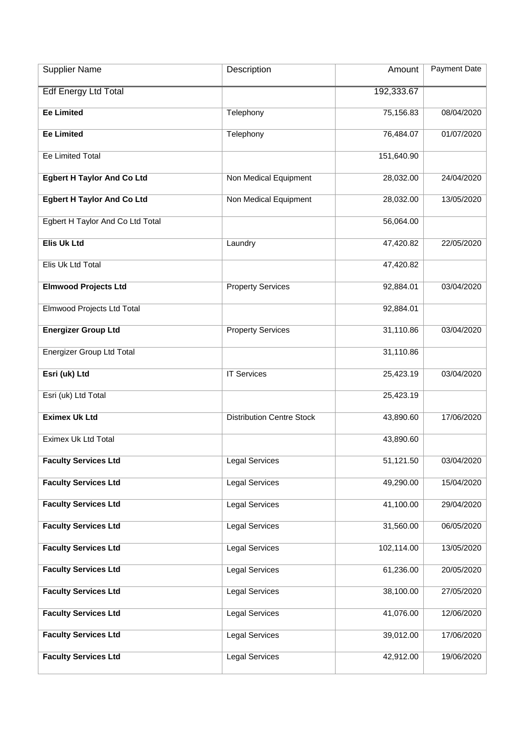| <b>Supplier Name</b>              | Description                      | Amount     | Payment Date |
|-----------------------------------|----------------------------------|------------|--------------|
| <b>Edf Energy Ltd Total</b>       |                                  | 192,333.67 |              |
| <b>Ee Limited</b>                 | Telephony                        | 75,156.83  | 08/04/2020   |
| <b>Ee Limited</b>                 | Telephony                        | 76,484.07  | 01/07/2020   |
| <b>Ee Limited Total</b>           |                                  | 151,640.90 |              |
| <b>Egbert H Taylor And Co Ltd</b> | Non Medical Equipment            | 28,032.00  | 24/04/2020   |
| <b>Egbert H Taylor And Co Ltd</b> | Non Medical Equipment            | 28,032.00  | 13/05/2020   |
| Egbert H Taylor And Co Ltd Total  |                                  | 56,064.00  |              |
| <b>Elis Uk Ltd</b>                | Laundry                          | 47,420.82  | 22/05/2020   |
| Elis Uk Ltd Total                 |                                  | 47,420.82  |              |
| <b>Elmwood Projects Ltd</b>       | <b>Property Services</b>         | 92,884.01  | 03/04/2020   |
| Elmwood Projects Ltd Total        |                                  | 92,884.01  |              |
| <b>Energizer Group Ltd</b>        | <b>Property Services</b>         | 31,110.86  | 03/04/2020   |
| Energizer Group Ltd Total         |                                  | 31,110.86  |              |
| Esri (uk) Ltd                     | <b>IT Services</b>               | 25,423.19  | 03/04/2020   |
| Esri (uk) Ltd Total               |                                  | 25,423.19  |              |
| <b>Eximex Uk Ltd</b>              | <b>Distribution Centre Stock</b> | 43,890.60  | 17/06/2020   |
| Eximex Uk Ltd Total               |                                  | 43,890.60  |              |
| <b>Faculty Services Ltd</b>       | <b>Legal Services</b>            | 51,121.50  | 03/04/2020   |
| <b>Faculty Services Ltd</b>       | <b>Legal Services</b>            | 49,290.00  | 15/04/2020   |
| <b>Faculty Services Ltd</b>       | <b>Legal Services</b>            | 41,100.00  | 29/04/2020   |
| <b>Faculty Services Ltd</b>       | <b>Legal Services</b>            | 31,560.00  | 06/05/2020   |
| <b>Faculty Services Ltd</b>       | <b>Legal Services</b>            | 102,114.00 | 13/05/2020   |
| <b>Faculty Services Ltd</b>       | <b>Legal Services</b>            | 61,236.00  | 20/05/2020   |
| <b>Faculty Services Ltd</b>       | <b>Legal Services</b>            | 38,100.00  | 27/05/2020   |
| <b>Faculty Services Ltd</b>       | <b>Legal Services</b>            | 41,076.00  | 12/06/2020   |
| <b>Faculty Services Ltd</b>       | <b>Legal Services</b>            | 39,012.00  | 17/06/2020   |
| <b>Faculty Services Ltd</b>       | <b>Legal Services</b>            | 42,912.00  | 19/06/2020   |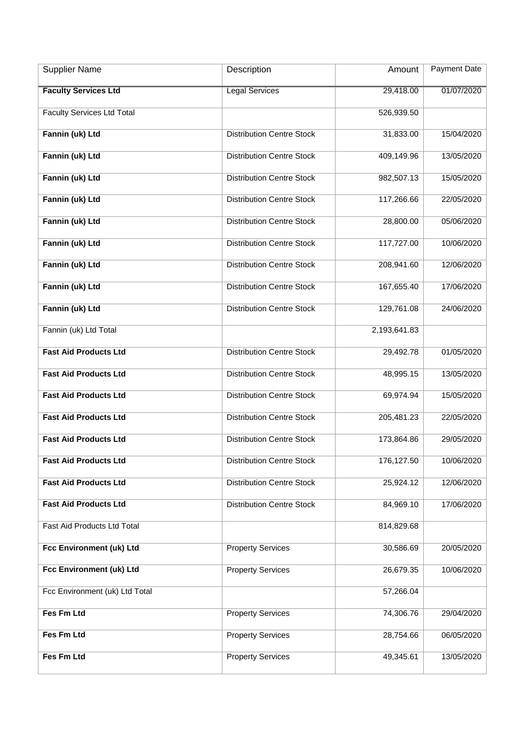| <b>Supplier Name</b>              | Description                      | Amount       | <b>Payment Date</b> |
|-----------------------------------|----------------------------------|--------------|---------------------|
| <b>Faculty Services Ltd</b>       | <b>Legal Services</b>            | 29,418.00    | 01/07/2020          |
| <b>Faculty Services Ltd Total</b> |                                  | 526,939.50   |                     |
| Fannin (uk) Ltd                   | <b>Distribution Centre Stock</b> | 31,833.00    | 15/04/2020          |
| Fannin (uk) Ltd                   | <b>Distribution Centre Stock</b> | 409,149.96   | 13/05/2020          |
| Fannin (uk) Ltd                   | <b>Distribution Centre Stock</b> | 982,507.13   | 15/05/2020          |
| Fannin (uk) Ltd                   | <b>Distribution Centre Stock</b> | 117,266.66   | 22/05/2020          |
| Fannin (uk) Ltd                   | <b>Distribution Centre Stock</b> | 28,800.00    | 05/06/2020          |
| Fannin (uk) Ltd                   | <b>Distribution Centre Stock</b> | 117,727.00   | 10/06/2020          |
| Fannin (uk) Ltd                   | <b>Distribution Centre Stock</b> | 208,941.60   | 12/06/2020          |
| Fannin (uk) Ltd                   | <b>Distribution Centre Stock</b> | 167,655.40   | 17/06/2020          |
| Fannin (uk) Ltd                   | <b>Distribution Centre Stock</b> | 129,761.08   | 24/06/2020          |
| Fannin (uk) Ltd Total             |                                  | 2,193,641.83 |                     |
| <b>Fast Aid Products Ltd</b>      | <b>Distribution Centre Stock</b> | 29,492.78    | 01/05/2020          |
| <b>Fast Aid Products Ltd</b>      | <b>Distribution Centre Stock</b> | 48,995.15    | 13/05/2020          |
| <b>Fast Aid Products Ltd</b>      | <b>Distribution Centre Stock</b> | 69,974.94    | 15/05/2020          |
| <b>Fast Aid Products Ltd</b>      | <b>Distribution Centre Stock</b> | 205,481.23   | 22/05/2020          |
| <b>Fast Aid Products Ltd</b>      | <b>Distribution Centre Stock</b> | 173,864.86   | 29/05/2020          |
| <b>Fast Aid Products Ltd</b>      | <b>Distribution Centre Stock</b> | 176,127.50   | 10/06/2020          |
| <b>Fast Aid Products Ltd</b>      | <b>Distribution Centre Stock</b> | 25,924.12    | 12/06/2020          |
| <b>Fast Aid Products Ltd</b>      | <b>Distribution Centre Stock</b> | 84,969.10    | 17/06/2020          |
| Fast Aid Products Ltd Total       |                                  | 814,829.68   |                     |
| Fcc Environment (uk) Ltd          | <b>Property Services</b>         | 30,586.69    | 20/05/2020          |
| Fcc Environment (uk) Ltd          | <b>Property Services</b>         | 26,679.35    | 10/06/2020          |
| Fcc Environment (uk) Ltd Total    |                                  | 57,266.04    |                     |
| Fes Fm Ltd                        | <b>Property Services</b>         | 74,306.76    | 29/04/2020          |
| Fes Fm Ltd                        | <b>Property Services</b>         | 28,754.66    | 06/05/2020          |
| Fes Fm Ltd                        | <b>Property Services</b>         | 49,345.61    | 13/05/2020          |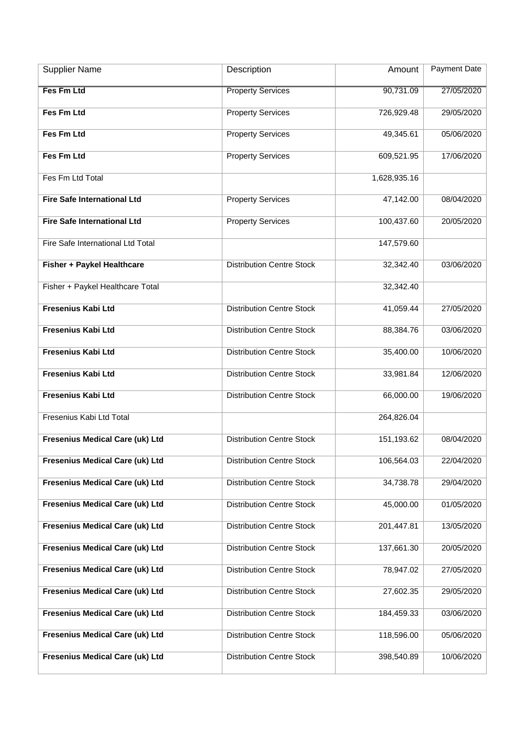| <b>Supplier Name</b>                   | Description                      | Amount       | <b>Payment Date</b> |
|----------------------------------------|----------------------------------|--------------|---------------------|
| <b>Fes Fm Ltd</b>                      | <b>Property Services</b>         | 90,731.09    | 27/05/2020          |
| Fes Fm Ltd                             | <b>Property Services</b>         | 726,929.48   | 29/05/2020          |
| Fes Fm Ltd                             | <b>Property Services</b>         | 49,345.61    | 05/06/2020          |
| Fes Fm Ltd                             | <b>Property Services</b>         | 609,521.95   | 17/06/2020          |
| Fes Fm Ltd Total                       |                                  | 1,628,935.16 |                     |
| <b>Fire Safe International Ltd</b>     | <b>Property Services</b>         | 47,142.00    | 08/04/2020          |
| <b>Fire Safe International Ltd</b>     | <b>Property Services</b>         | 100,437.60   | 20/05/2020          |
| Fire Safe International Ltd Total      |                                  | 147,579.60   |                     |
| Fisher + Paykel Healthcare             | <b>Distribution Centre Stock</b> | 32,342.40    | 03/06/2020          |
| Fisher + Paykel Healthcare Total       |                                  | 32,342.40    |                     |
| <b>Fresenius Kabi Ltd</b>              | <b>Distribution Centre Stock</b> | 41,059.44    | 27/05/2020          |
| <b>Fresenius Kabi Ltd</b>              | <b>Distribution Centre Stock</b> | 88,384.76    | 03/06/2020          |
| <b>Fresenius Kabi Ltd</b>              | <b>Distribution Centre Stock</b> | 35,400.00    | 10/06/2020          |
| <b>Fresenius Kabi Ltd</b>              | <b>Distribution Centre Stock</b> | 33,981.84    | 12/06/2020          |
| <b>Fresenius Kabi Ltd</b>              | <b>Distribution Centre Stock</b> | 66,000.00    | 19/06/2020          |
| Fresenius Kabi Ltd Total               |                                  | 264,826.04   |                     |
| Fresenius Medical Care (uk) Ltd        | <b>Distribution Centre Stock</b> | 151,193.62   | 08/04/2020          |
| Fresenius Medical Care (uk) Ltd        | <b>Distribution Centre Stock</b> | 106,564.03   | 22/04/2020          |
| <b>Fresenius Medical Care (uk) Ltd</b> | <b>Distribution Centre Stock</b> | 34,738.78    | 29/04/2020          |
| Fresenius Medical Care (uk) Ltd        | <b>Distribution Centre Stock</b> | 45,000.00    | 01/05/2020          |
| <b>Fresenius Medical Care (uk) Ltd</b> | <b>Distribution Centre Stock</b> | 201,447.81   | 13/05/2020          |
| Fresenius Medical Care (uk) Ltd        | <b>Distribution Centre Stock</b> | 137,661.30   | 20/05/2020          |
| Fresenius Medical Care (uk) Ltd        | <b>Distribution Centre Stock</b> | 78,947.02    | 27/05/2020          |
| Fresenius Medical Care (uk) Ltd        | <b>Distribution Centre Stock</b> | 27,602.35    | 29/05/2020          |
| Fresenius Medical Care (uk) Ltd        | <b>Distribution Centre Stock</b> | 184,459.33   | 03/06/2020          |
| Fresenius Medical Care (uk) Ltd        | <b>Distribution Centre Stock</b> | 118,596.00   | 05/06/2020          |
| Fresenius Medical Care (uk) Ltd        | <b>Distribution Centre Stock</b> | 398,540.89   | 10/06/2020          |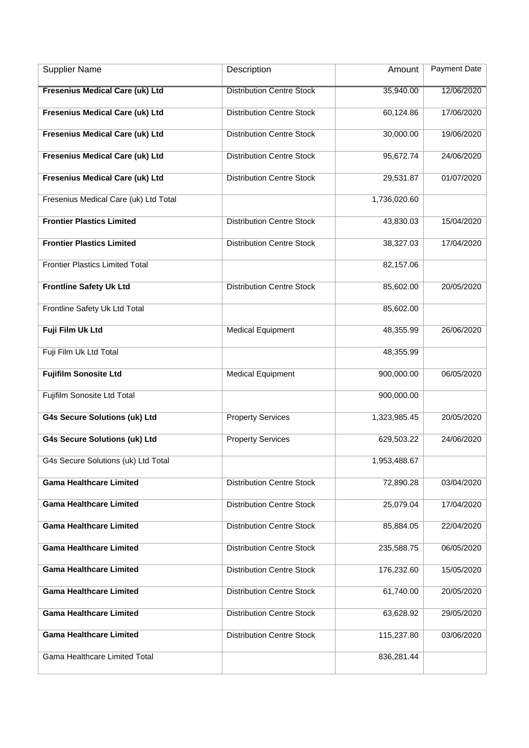| <b>Supplier Name</b>                   | Description                      | Amount       | Payment Date |
|----------------------------------------|----------------------------------|--------------|--------------|
| <b>Fresenius Medical Care (uk) Ltd</b> | <b>Distribution Centre Stock</b> | 35,940.00    | 12/06/2020   |
| <b>Fresenius Medical Care (uk) Ltd</b> | <b>Distribution Centre Stock</b> | 60,124.86    | 17/06/2020   |
| <b>Fresenius Medical Care (uk) Ltd</b> | <b>Distribution Centre Stock</b> | 30,000.00    | 19/06/2020   |
| <b>Fresenius Medical Care (uk) Ltd</b> | <b>Distribution Centre Stock</b> | 95,672.74    | 24/06/2020   |
| <b>Fresenius Medical Care (uk) Ltd</b> | <b>Distribution Centre Stock</b> | 29,531.87    | 01/07/2020   |
| Fresenius Medical Care (uk) Ltd Total  |                                  | 1,736,020.60 |              |
| <b>Frontier Plastics Limited</b>       | <b>Distribution Centre Stock</b> | 43,830.03    | 15/04/2020   |
| <b>Frontier Plastics Limited</b>       | <b>Distribution Centre Stock</b> | 38,327.03    | 17/04/2020   |
| <b>Frontier Plastics Limited Total</b> |                                  | 82,157.06    |              |
| <b>Frontline Safety Uk Ltd</b>         | <b>Distribution Centre Stock</b> | 85,602.00    | 20/05/2020   |
| Frontline Safety Uk Ltd Total          |                                  | 85,602.00    |              |
| Fuji Film Uk Ltd                       | <b>Medical Equipment</b>         | 48,355.99    | 26/06/2020   |
| Fuji Film Uk Ltd Total                 |                                  | 48,355.99    |              |
| <b>Fujifilm Sonosite Ltd</b>           | <b>Medical Equipment</b>         | 900,000.00   | 06/05/2020   |
| Fujifilm Sonosite Ltd Total            |                                  | 900,000.00   |              |
| <b>G4s Secure Solutions (uk) Ltd</b>   | <b>Property Services</b>         | 1,323,985.45 | 20/05/2020   |
| <b>G4s Secure Solutions (uk) Ltd</b>   | <b>Property Services</b>         | 629,503.22   | 24/06/2020   |
| G4s Secure Solutions (uk) Ltd Total    |                                  | 1,953,488.67 |              |
| <b>Gama Healthcare Limited</b>         | <b>Distribution Centre Stock</b> | 72,890.28    | 03/04/2020   |
| <b>Gama Healthcare Limited</b>         | <b>Distribution Centre Stock</b> | 25,079.04    | 17/04/2020   |
| <b>Gama Healthcare Limited</b>         | <b>Distribution Centre Stock</b> | 85,884.05    | 22/04/2020   |
| <b>Gama Healthcare Limited</b>         | <b>Distribution Centre Stock</b> | 235,588.75   | 06/05/2020   |
| <b>Gama Healthcare Limited</b>         | <b>Distribution Centre Stock</b> | 176,232.60   | 15/05/2020   |
| <b>Gama Healthcare Limited</b>         | <b>Distribution Centre Stock</b> | 61,740.00    | 20/05/2020   |
| <b>Gama Healthcare Limited</b>         | <b>Distribution Centre Stock</b> | 63,628.92    | 29/05/2020   |
| <b>Gama Healthcare Limited</b>         | <b>Distribution Centre Stock</b> | 115,237.80   | 03/06/2020   |
| Gama Healthcare Limited Total          |                                  | 836,281.44   |              |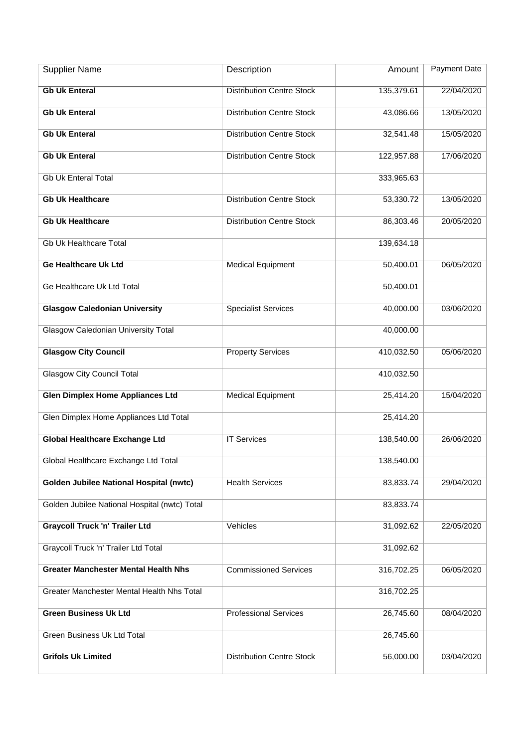| <b>Supplier Name</b>                           | Description                      | Amount     | Payment Date |
|------------------------------------------------|----------------------------------|------------|--------------|
| <b>Gb Uk Enteral</b>                           | <b>Distribution Centre Stock</b> | 135,379.61 | 22/04/2020   |
| <b>Gb Uk Enteral</b>                           | <b>Distribution Centre Stock</b> | 43,086.66  | 13/05/2020   |
| <b>Gb Uk Enteral</b>                           | <b>Distribution Centre Stock</b> | 32,541.48  | 15/05/2020   |
| <b>Gb Uk Enteral</b>                           | <b>Distribution Centre Stock</b> | 122,957.88 | 17/06/2020   |
| <b>Gb Uk Enteral Total</b>                     |                                  | 333,965.63 |              |
| <b>Gb Uk Healthcare</b>                        | <b>Distribution Centre Stock</b> | 53,330.72  | 13/05/2020   |
| <b>Gb Uk Healthcare</b>                        | <b>Distribution Centre Stock</b> | 86,303.46  | 20/05/2020   |
| <b>Gb Uk Healthcare Total</b>                  |                                  | 139,634.18 |              |
| <b>Ge Healthcare Uk Ltd</b>                    | <b>Medical Equipment</b>         | 50,400.01  | 06/05/2020   |
| Ge Healthcare Uk Ltd Total                     |                                  | 50,400.01  |              |
| <b>Glasgow Caledonian University</b>           | <b>Specialist Services</b>       | 40,000.00  | 03/06/2020   |
| <b>Glasgow Caledonian University Total</b>     |                                  | 40,000.00  |              |
| <b>Glasgow City Council</b>                    | <b>Property Services</b>         | 410,032.50 | 05/06/2020   |
| <b>Glasgow City Council Total</b>              |                                  | 410,032.50 |              |
| <b>Glen Dimplex Home Appliances Ltd</b>        | <b>Medical Equipment</b>         | 25,414.20  | 15/04/2020   |
| Glen Dimplex Home Appliances Ltd Total         |                                  | 25,414.20  |              |
| <b>Global Healthcare Exchange Ltd</b>          | <b>IT Services</b>               | 138,540.00 | 26/06/2020   |
| Global Healthcare Exchange Ltd Total           |                                  | 138,540.00 |              |
| <b>Golden Jubilee National Hospital (nwtc)</b> | <b>Health Services</b>           | 83,833.74  | 29/04/2020   |
| Golden Jubilee National Hospital (nwtc) Total  |                                  | 83,833.74  |              |
| <b>Graycoll Truck 'n' Trailer Ltd</b>          | Vehicles                         | 31,092.62  | 22/05/2020   |
| Graycoll Truck 'n' Trailer Ltd Total           |                                  | 31,092.62  |              |
| <b>Greater Manchester Mental Health Nhs</b>    | <b>Commissioned Services</b>     | 316,702.25 | 06/05/2020   |
| Greater Manchester Mental Health Nhs Total     |                                  | 316,702.25 |              |
| <b>Green Business Uk Ltd</b>                   | <b>Professional Services</b>     | 26,745.60  | 08/04/2020   |
| Green Business Uk Ltd Total                    |                                  | 26,745.60  |              |
| <b>Grifols Uk Limited</b>                      | <b>Distribution Centre Stock</b> | 56,000.00  | 03/04/2020   |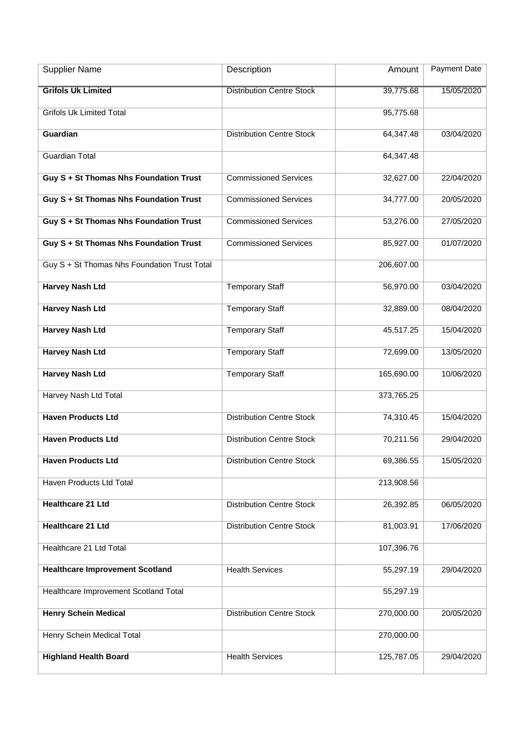| <b>Supplier Name</b>                         | Description                      | Amount     | <b>Payment Date</b> |
|----------------------------------------------|----------------------------------|------------|---------------------|
| <b>Grifols Uk Limited</b>                    | <b>Distribution Centre Stock</b> | 39,775.68  | 15/05/2020          |
| <b>Grifols Uk Limited Total</b>              |                                  | 95,775.68  |                     |
| Guardian                                     | <b>Distribution Centre Stock</b> | 64,347.48  | 03/04/2020          |
| <b>Guardian Total</b>                        |                                  | 64,347.48  |                     |
| Guy S + St Thomas Nhs Foundation Trust       | <b>Commissioned Services</b>     | 32,627.00  | 22/04/2020          |
| Guy S + St Thomas Nhs Foundation Trust       | <b>Commissioned Services</b>     | 34,777.00  | 20/05/2020          |
| Guy S + St Thomas Nhs Foundation Trust       | <b>Commissioned Services</b>     | 53,276.00  | 27/05/2020          |
| Guy S + St Thomas Nhs Foundation Trust       | <b>Commissioned Services</b>     | 85,927.00  | 01/07/2020          |
| Guy S + St Thomas Nhs Foundation Trust Total |                                  | 206,607.00 |                     |
| <b>Harvey Nash Ltd</b>                       | <b>Temporary Staff</b>           | 56,970.00  | 03/04/2020          |
| <b>Harvey Nash Ltd</b>                       | <b>Temporary Staff</b>           | 32,889.00  | 08/04/2020          |
| <b>Harvey Nash Ltd</b>                       | <b>Temporary Staff</b>           | 45,517.25  | 15/04/2020          |
| <b>Harvey Nash Ltd</b>                       | <b>Temporary Staff</b>           | 72,699.00  | 13/05/2020          |
| <b>Harvey Nash Ltd</b>                       | <b>Temporary Staff</b>           | 165,690.00 | 10/06/2020          |
| Harvey Nash Ltd Total                        |                                  | 373,765.25 |                     |
| <b>Haven Products Ltd</b>                    | <b>Distribution Centre Stock</b> | 74,310.45  | 15/04/2020          |
| <b>Haven Products Ltd</b>                    | <b>Distribution Centre Stock</b> | 70,211.56  | 29/04/2020          |
| <b>Haven Products Ltd</b>                    | <b>Distribution Centre Stock</b> | 69,386.55  | 15/05/2020          |
| Haven Products Ltd Total                     |                                  | 213,908.56 |                     |
| <b>Healthcare 21 Ltd</b>                     | <b>Distribution Centre Stock</b> | 26,392.85  | 06/05/2020          |
| <b>Healthcare 21 Ltd</b>                     | <b>Distribution Centre Stock</b> | 81,003.91  | 17/06/2020          |
| Healthcare 21 Ltd Total                      |                                  | 107,396.76 |                     |
| <b>Healthcare Improvement Scotland</b>       | <b>Health Services</b>           | 55,297.19  | 29/04/2020          |
| Healthcare Improvement Scotland Total        |                                  | 55,297.19  |                     |
| <b>Henry Schein Medical</b>                  | <b>Distribution Centre Stock</b> | 270,000.00 | 20/05/2020          |
| Henry Schein Medical Total                   |                                  | 270,000.00 |                     |
| <b>Highland Health Board</b>                 | <b>Health Services</b>           | 125,787.05 | 29/04/2020          |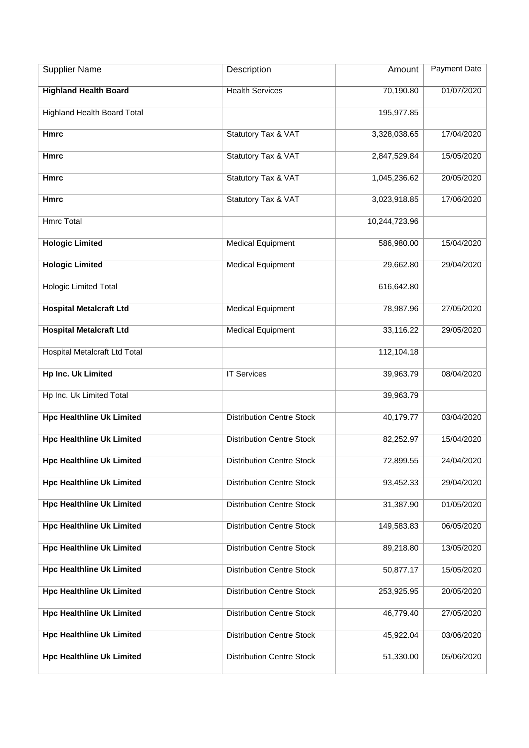| <b>Supplier Name</b>               | Description                      | Amount        | Payment Date |
|------------------------------------|----------------------------------|---------------|--------------|
| <b>Highland Health Board</b>       | <b>Health Services</b>           | 70,190.80     | 01/07/2020   |
| <b>Highland Health Board Total</b> |                                  | 195,977.85    |              |
| <b>Hmrc</b>                        | <b>Statutory Tax &amp; VAT</b>   | 3,328,038.65  | 17/04/2020   |
| <b>Hmrc</b>                        | <b>Statutory Tax &amp; VAT</b>   | 2,847,529.84  | 15/05/2020   |
| <b>Hmrc</b>                        | Statutory Tax & VAT              | 1,045,236.62  | 20/05/2020   |
| <b>Hmrc</b>                        | Statutory Tax & VAT              | 3,023,918.85  | 17/06/2020   |
| <b>Hmrc Total</b>                  |                                  | 10,244,723.96 |              |
| <b>Hologic Limited</b>             | <b>Medical Equipment</b>         | 586,980.00    | 15/04/2020   |
| <b>Hologic Limited</b>             | <b>Medical Equipment</b>         | 29,662.80     | 29/04/2020   |
| <b>Hologic Limited Total</b>       |                                  | 616,642.80    |              |
| <b>Hospital Metalcraft Ltd</b>     | <b>Medical Equipment</b>         | 78,987.96     | 27/05/2020   |
| <b>Hospital Metalcraft Ltd</b>     | <b>Medical Equipment</b>         | 33,116.22     | 29/05/2020   |
| Hospital Metalcraft Ltd Total      |                                  | 112,104.18    |              |
| <b>Hp Inc. Uk Limited</b>          | <b>IT Services</b>               | 39,963.79     | 08/04/2020   |
| Hp Inc. Uk Limited Total           |                                  | 39,963.79     |              |
| <b>Hpc Healthline Uk Limited</b>   | <b>Distribution Centre Stock</b> | 40,179.77     | 03/04/2020   |
| <b>Hpc Healthline Uk Limited</b>   | <b>Distribution Centre Stock</b> | 82,252.97     | 15/04/2020   |
| <b>Hpc Healthline Uk Limited</b>   | <b>Distribution Centre Stock</b> | 72,899.55     | 24/04/2020   |
| <b>Hpc Healthline Uk Limited</b>   | <b>Distribution Centre Stock</b> | 93,452.33     | 29/04/2020   |
| <b>Hpc Healthline Uk Limited</b>   | <b>Distribution Centre Stock</b> | 31,387.90     | 01/05/2020   |
| <b>Hpc Healthline Uk Limited</b>   | <b>Distribution Centre Stock</b> | 149,583.83    | 06/05/2020   |
| <b>Hpc Healthline Uk Limited</b>   | <b>Distribution Centre Stock</b> | 89,218.80     | 13/05/2020   |
| <b>Hpc Healthline Uk Limited</b>   | <b>Distribution Centre Stock</b> | 50,877.17     | 15/05/2020   |
| <b>Hpc Healthline Uk Limited</b>   | <b>Distribution Centre Stock</b> | 253,925.95    | 20/05/2020   |
| <b>Hpc Healthline Uk Limited</b>   | <b>Distribution Centre Stock</b> | 46,779.40     | 27/05/2020   |
| <b>Hpc Healthline Uk Limited</b>   | <b>Distribution Centre Stock</b> | 45,922.04     | 03/06/2020   |
| <b>Hpc Healthline Uk Limited</b>   | <b>Distribution Centre Stock</b> | 51,330.00     | 05/06/2020   |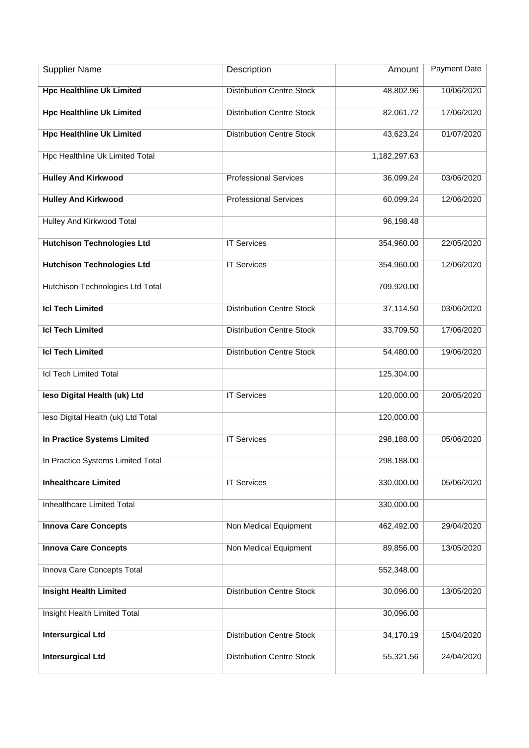| <b>Supplier Name</b>               | Description                      | Amount       | Payment Date |
|------------------------------------|----------------------------------|--------------|--------------|
| <b>Hpc Healthline Uk Limited</b>   | <b>Distribution Centre Stock</b> | 48,802.96    | 10/06/2020   |
| <b>Hpc Healthline Uk Limited</b>   | <b>Distribution Centre Stock</b> | 82,061.72    | 17/06/2020   |
| <b>Hpc Healthline Uk Limited</b>   | <b>Distribution Centre Stock</b> | 43,623.24    | 01/07/2020   |
| Hpc Healthline Uk Limited Total    |                                  | 1,182,297.63 |              |
| <b>Hulley And Kirkwood</b>         | <b>Professional Services</b>     | 36,099.24    | 03/06/2020   |
| <b>Hulley And Kirkwood</b>         | <b>Professional Services</b>     | 60,099.24    | 12/06/2020   |
| Hulley And Kirkwood Total          |                                  | 96,198.48    |              |
| <b>Hutchison Technologies Ltd</b>  | <b>IT Services</b>               | 354,960.00   | 22/05/2020   |
| <b>Hutchison Technologies Ltd</b>  | <b>IT Services</b>               | 354,960.00   | 12/06/2020   |
| Hutchison Technologies Ltd Total   |                                  | 709,920.00   |              |
| <b>Icl Tech Limited</b>            | <b>Distribution Centre Stock</b> | 37,114.50    | 03/06/2020   |
| <b>Icl Tech Limited</b>            | <b>Distribution Centre Stock</b> | 33,709.50    | 17/06/2020   |
| <b>Icl Tech Limited</b>            | <b>Distribution Centre Stock</b> | 54,480.00    | 19/06/2020   |
| <b>Icl Tech Limited Total</b>      |                                  | 125,304.00   |              |
| leso Digital Health (uk) Ltd       | <b>IT Services</b>               | 120,000.00   | 20/05/2020   |
| leso Digital Health (uk) Ltd Total |                                  | 120,000.00   |              |
| In Practice Systems Limited        | <b>IT Services</b>               | 298,188.00   | 05/06/2020   |
| In Practice Systems Limited Total  |                                  | 298,188.00   |              |
| <b>Inhealthcare Limited</b>        | <b>IT Services</b>               | 330,000.00   | 05/06/2020   |
| Inhealthcare Limited Total         |                                  | 330,000.00   |              |
| <b>Innova Care Concepts</b>        | Non Medical Equipment            | 462,492.00   | 29/04/2020   |
| <b>Innova Care Concepts</b>        | Non Medical Equipment            | 89,856.00    | 13/05/2020   |
| Innova Care Concepts Total         |                                  | 552,348.00   |              |
| <b>Insight Health Limited</b>      | <b>Distribution Centre Stock</b> | 30,096.00    | 13/05/2020   |
| Insight Health Limited Total       |                                  | 30,096.00    |              |
| <b>Intersurgical Ltd</b>           | <b>Distribution Centre Stock</b> | 34,170.19    | 15/04/2020   |
| <b>Intersurgical Ltd</b>           | <b>Distribution Centre Stock</b> | 55,321.56    | 24/04/2020   |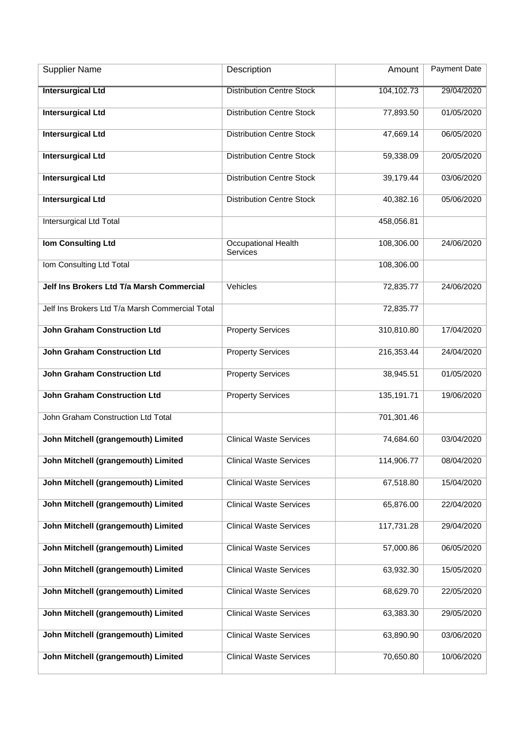| <b>Supplier Name</b>                            | Description                                   | Amount     | <b>Payment Date</b> |
|-------------------------------------------------|-----------------------------------------------|------------|---------------------|
| <b>Intersurgical Ltd</b>                        | <b>Distribution Centre Stock</b>              | 104,102.73 | 29/04/2020          |
| <b>Intersurgical Ltd</b>                        | <b>Distribution Centre Stock</b>              | 77,893.50  | 01/05/2020          |
| <b>Intersurgical Ltd</b>                        | <b>Distribution Centre Stock</b>              | 47,669.14  | 06/05/2020          |
| <b>Intersurgical Ltd</b>                        | <b>Distribution Centre Stock</b>              | 59,338.09  | 20/05/2020          |
| <b>Intersurgical Ltd</b>                        | <b>Distribution Centre Stock</b>              | 39,179.44  | 03/06/2020          |
| <b>Intersurgical Ltd</b>                        | <b>Distribution Centre Stock</b>              | 40,382.16  | 05/06/2020          |
| Intersurgical Ltd Total                         |                                               | 458,056.81 |                     |
| <b>Iom Consulting Ltd</b>                       | <b>Occupational Health</b><br><b>Services</b> | 108,306.00 | 24/06/2020          |
| Iom Consulting Ltd Total                        |                                               | 108,306.00 |                     |
| Jelf Ins Brokers Ltd T/a Marsh Commercial       | Vehicles                                      | 72,835.77  | 24/06/2020          |
| Jelf Ins Brokers Ltd T/a Marsh Commercial Total |                                               | 72,835.77  |                     |
| <b>John Graham Construction Ltd</b>             | <b>Property Services</b>                      | 310,810.80 | 17/04/2020          |
| <b>John Graham Construction Ltd</b>             | <b>Property Services</b>                      | 216,353.44 | 24/04/2020          |
| <b>John Graham Construction Ltd</b>             | <b>Property Services</b>                      | 38,945.51  | 01/05/2020          |
| <b>John Graham Construction Ltd</b>             | <b>Property Services</b>                      | 135,191.71 | 19/06/2020          |
| John Graham Construction Ltd Total              |                                               | 701,301.46 |                     |
| John Mitchell (grangemouth) Limited             | <b>Clinical Waste Services</b>                | 74,684.60  | 03/04/2020          |
| John Mitchell (grangemouth) Limited             | <b>Clinical Waste Services</b>                | 114,906.77 | 08/04/2020          |
| John Mitchell (grangemouth) Limited             | <b>Clinical Waste Services</b>                | 67,518.80  | 15/04/2020          |
| John Mitchell (grangemouth) Limited             | <b>Clinical Waste Services</b>                | 65,876.00  | 22/04/2020          |
| John Mitchell (grangemouth) Limited             | <b>Clinical Waste Services</b>                | 117,731.28 | 29/04/2020          |
| John Mitchell (grangemouth) Limited             | <b>Clinical Waste Services</b>                | 57,000.86  | 06/05/2020          |
| John Mitchell (grangemouth) Limited             | <b>Clinical Waste Services</b>                | 63,932.30  | 15/05/2020          |
| John Mitchell (grangemouth) Limited             | <b>Clinical Waste Services</b>                | 68,629.70  | 22/05/2020          |
| John Mitchell (grangemouth) Limited             | <b>Clinical Waste Services</b>                | 63,383.30  | 29/05/2020          |
| John Mitchell (grangemouth) Limited             | <b>Clinical Waste Services</b>                | 63,890.90  | 03/06/2020          |
| John Mitchell (grangemouth) Limited             | <b>Clinical Waste Services</b>                | 70,650.80  | 10/06/2020          |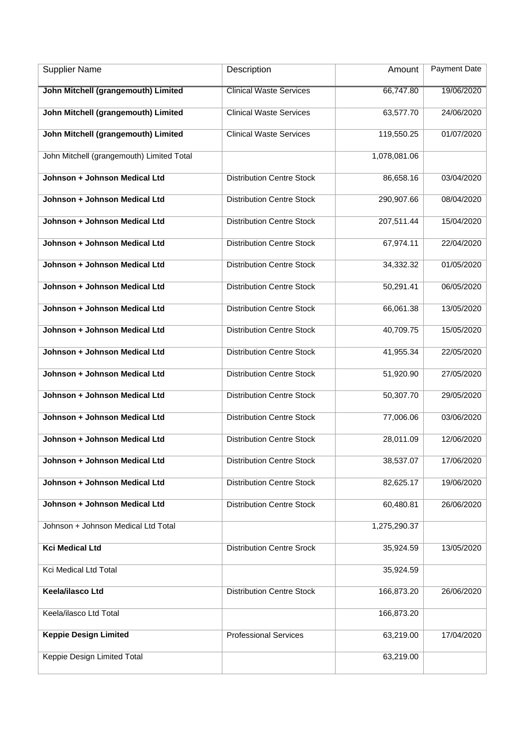| <b>Supplier Name</b>                      | Description                      | Amount       | <b>Payment Date</b> |
|-------------------------------------------|----------------------------------|--------------|---------------------|
| John Mitchell (grangemouth) Limited       | <b>Clinical Waste Services</b>   | 66,747.80    | 19/06/2020          |
| John Mitchell (grangemouth) Limited       | <b>Clinical Waste Services</b>   | 63,577.70    | 24/06/2020          |
| John Mitchell (grangemouth) Limited       | <b>Clinical Waste Services</b>   | 119,550.25   | 01/07/2020          |
| John Mitchell (grangemouth) Limited Total |                                  | 1,078,081.06 |                     |
| Johnson + Johnson Medical Ltd             | <b>Distribution Centre Stock</b> | 86,658.16    | 03/04/2020          |
| Johnson + Johnson Medical Ltd             | <b>Distribution Centre Stock</b> | 290,907.66   | 08/04/2020          |
| Johnson + Johnson Medical Ltd             | <b>Distribution Centre Stock</b> | 207,511.44   | 15/04/2020          |
| Johnson + Johnson Medical Ltd             | <b>Distribution Centre Stock</b> | 67,974.11    | 22/04/2020          |
| Johnson + Johnson Medical Ltd             | <b>Distribution Centre Stock</b> | 34,332.32    | 01/05/2020          |
| Johnson + Johnson Medical Ltd             | <b>Distribution Centre Stock</b> | 50,291.41    | 06/05/2020          |
| Johnson + Johnson Medical Ltd             | <b>Distribution Centre Stock</b> | 66,061.38    | 13/05/2020          |
| Johnson + Johnson Medical Ltd             | <b>Distribution Centre Stock</b> | 40,709.75    | 15/05/2020          |
| Johnson + Johnson Medical Ltd             | <b>Distribution Centre Stock</b> | 41,955.34    | 22/05/2020          |
| Johnson + Johnson Medical Ltd             | <b>Distribution Centre Stock</b> | 51,920.90    | 27/05/2020          |
| Johnson + Johnson Medical Ltd             | <b>Distribution Centre Stock</b> | 50,307.70    | 29/05/2020          |
| Johnson + Johnson Medical Ltd             | <b>Distribution Centre Stock</b> | 77,006.06    | 03/06/2020          |
| Johnson + Johnson Medical Ltd             | <b>Distribution Centre Stock</b> | 28,011.09    | 12/06/2020          |
| Johnson + Johnson Medical Ltd             | <b>Distribution Centre Stock</b> | 38,537.07    | 17/06/2020          |
| Johnson + Johnson Medical Ltd             | <b>Distribution Centre Stock</b> | 82,625.17    | 19/06/2020          |
| Johnson + Johnson Medical Ltd             | <b>Distribution Centre Stock</b> | 60,480.81    | 26/06/2020          |
| Johnson + Johnson Medical Ltd Total       |                                  | 1,275,290.37 |                     |
| <b>Kci Medical Ltd</b>                    | <b>Distribution Centre Srock</b> | 35,924.59    | 13/05/2020          |
| Kci Medical Ltd Total                     |                                  | 35,924.59    |                     |
| Keela/ilasco Ltd                          | <b>Distribution Centre Stock</b> | 166,873.20   | 26/06/2020          |
| Keela/ilasco Ltd Total                    |                                  | 166,873.20   |                     |
| <b>Keppie Design Limited</b>              | <b>Professional Services</b>     | 63,219.00    | 17/04/2020          |
| Keppie Design Limited Total               |                                  | 63,219.00    |                     |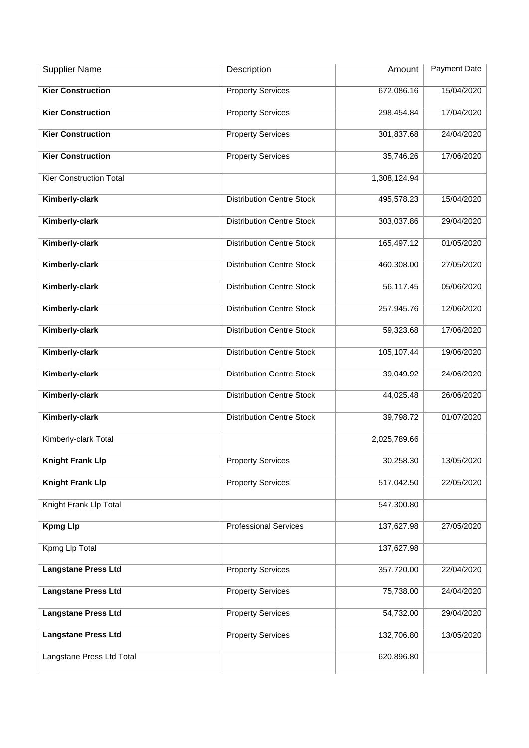| <b>Supplier Name</b>           | Description                      | Amount       | <b>Payment Date</b> |
|--------------------------------|----------------------------------|--------------|---------------------|
| <b>Kier Construction</b>       | <b>Property Services</b>         | 672,086.16   | 15/04/2020          |
| <b>Kier Construction</b>       | <b>Property Services</b>         | 298,454.84   | 17/04/2020          |
| <b>Kier Construction</b>       | <b>Property Services</b>         | 301,837.68   | 24/04/2020          |
| <b>Kier Construction</b>       | <b>Property Services</b>         | 35,746.26    | 17/06/2020          |
| <b>Kier Construction Total</b> |                                  | 1,308,124.94 |                     |
| Kimberly-clark                 | <b>Distribution Centre Stock</b> | 495,578.23   | 15/04/2020          |
| Kimberly-clark                 | <b>Distribution Centre Stock</b> | 303,037.86   | 29/04/2020          |
| Kimberly-clark                 | <b>Distribution Centre Stock</b> | 165,497.12   | 01/05/2020          |
| Kimberly-clark                 | <b>Distribution Centre Stock</b> | 460,308.00   | 27/05/2020          |
| Kimberly-clark                 | <b>Distribution Centre Stock</b> | 56,117.45    | 05/06/2020          |
| Kimberly-clark                 | <b>Distribution Centre Stock</b> | 257,945.76   | 12/06/2020          |
| Kimberly-clark                 | <b>Distribution Centre Stock</b> | 59,323.68    | 17/06/2020          |
| Kimberly-clark                 | <b>Distribution Centre Stock</b> | 105,107.44   | 19/06/2020          |
| Kimberly-clark                 | <b>Distribution Centre Stock</b> | 39,049.92    | 24/06/2020          |
| Kimberly-clark                 | <b>Distribution Centre Stock</b> | 44,025.48    | 26/06/2020          |
| Kimberly-clark                 | <b>Distribution Centre Stock</b> | 39,798.72    | 01/07/2020          |
| Kimberly-clark Total           |                                  | 2,025,789.66 |                     |
| <b>Knight Frank Llp</b>        | <b>Property Services</b>         | 30,258.30    | 13/05/2020          |
| <b>Knight Frank Llp</b>        | <b>Property Services</b>         | 517,042.50   | 22/05/2020          |
| Knight Frank Llp Total         |                                  | 547,300.80   |                     |
| <b>Kpmg Llp</b>                | <b>Professional Services</b>     | 137,627.98   | 27/05/2020          |
| Kpmg Llp Total                 |                                  | 137,627.98   |                     |
| <b>Langstane Press Ltd</b>     | <b>Property Services</b>         | 357,720.00   | 22/04/2020          |
| <b>Langstane Press Ltd</b>     | <b>Property Services</b>         | 75,738.00    | 24/04/2020          |
| <b>Langstane Press Ltd</b>     | <b>Property Services</b>         | 54,732.00    | 29/04/2020          |
| <b>Langstane Press Ltd</b>     | <b>Property Services</b>         | 132,706.80   | 13/05/2020          |
| Langstane Press Ltd Total      |                                  | 620,896.80   |                     |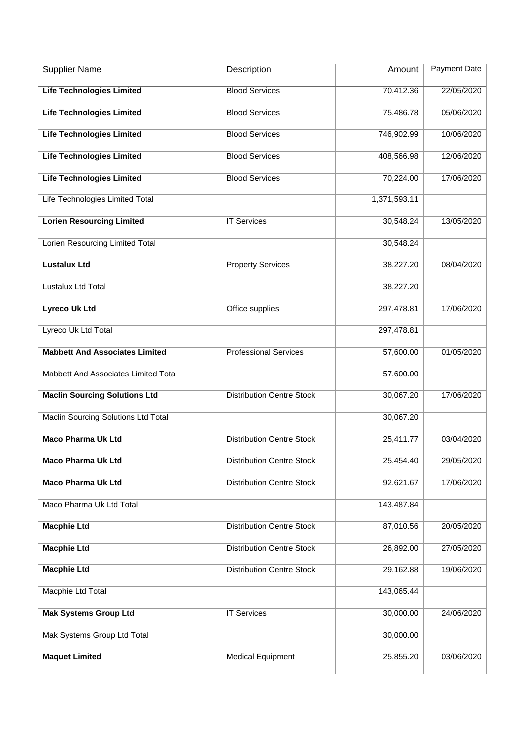| <b>Supplier Name</b>                  | Description                      | Amount       | Payment Date |
|---------------------------------------|----------------------------------|--------------|--------------|
| <b>Life Technologies Limited</b>      | <b>Blood Services</b>            | 70,412.36    | 22/05/2020   |
| <b>Life Technologies Limited</b>      | <b>Blood Services</b>            | 75,486.78    | 05/06/2020   |
| <b>Life Technologies Limited</b>      | <b>Blood Services</b>            | 746,902.99   | 10/06/2020   |
| <b>Life Technologies Limited</b>      | <b>Blood Services</b>            | 408,566.98   | 12/06/2020   |
| <b>Life Technologies Limited</b>      | <b>Blood Services</b>            | 70,224.00    | 17/06/2020   |
| Life Technologies Limited Total       |                                  | 1,371,593.11 |              |
| <b>Lorien Resourcing Limited</b>      | <b>IT Services</b>               | 30,548.24    | 13/05/2020   |
| Lorien Resourcing Limited Total       |                                  | 30,548.24    |              |
| <b>Lustalux Ltd</b>                   | <b>Property Services</b>         | 38,227.20    | 08/04/2020   |
| Lustalux Ltd Total                    |                                  | 38,227.20    |              |
| <b>Lyreco Uk Ltd</b>                  | Office supplies                  | 297,478.81   | 17/06/2020   |
| Lyreco Uk Ltd Total                   |                                  | 297,478.81   |              |
| <b>Mabbett And Associates Limited</b> | <b>Professional Services</b>     | 57,600.00    | 01/05/2020   |
| Mabbett And Associates Limited Total  |                                  | 57,600.00    |              |
| <b>Maclin Sourcing Solutions Ltd</b>  | <b>Distribution Centre Stock</b> | 30,067.20    | 17/06/2020   |
| Maclin Sourcing Solutions Ltd Total   |                                  | 30,067.20    |              |
| <b>Maco Pharma Uk Ltd</b>             | <b>Distribution Centre Stock</b> | 25,411.77    | 03/04/2020   |
| <b>Maco Pharma Uk Ltd</b>             | <b>Distribution Centre Stock</b> | 25,454.40    | 29/05/2020   |
| <b>Maco Pharma Uk Ltd</b>             | <b>Distribution Centre Stock</b> | 92,621.67    | 17/06/2020   |
| Maco Pharma Uk Ltd Total              |                                  | 143,487.84   |              |
| <b>Macphie Ltd</b>                    | <b>Distribution Centre Stock</b> | 87,010.56    | 20/05/2020   |
| <b>Macphie Ltd</b>                    | <b>Distribution Centre Stock</b> | 26,892.00    | 27/05/2020   |
| <b>Macphie Ltd</b>                    | <b>Distribution Centre Stock</b> | 29,162.88    | 19/06/2020   |
| Macphie Ltd Total                     |                                  | 143,065.44   |              |
| <b>Mak Systems Group Ltd</b>          | <b>IT Services</b>               | 30,000.00    | 24/06/2020   |
| Mak Systems Group Ltd Total           |                                  | 30,000.00    |              |
| <b>Maquet Limited</b>                 | <b>Medical Equipment</b>         | 25,855.20    | 03/06/2020   |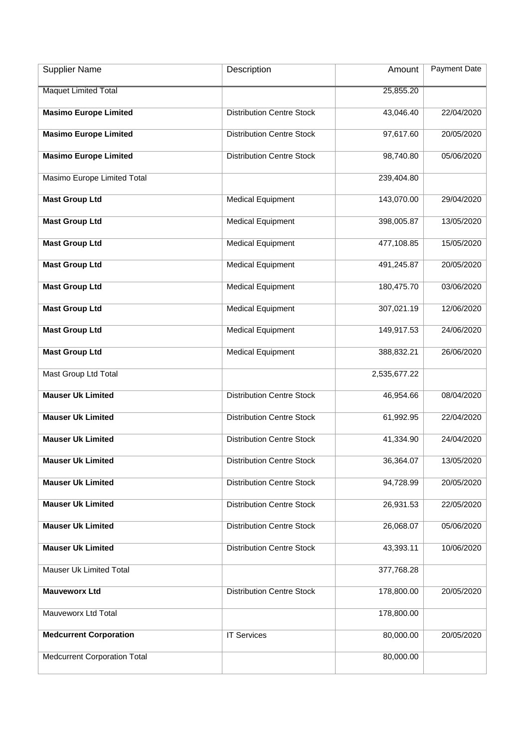| <b>Supplier Name</b>                | Description                      | Amount       | Payment Date |
|-------------------------------------|----------------------------------|--------------|--------------|
| <b>Maquet Limited Total</b>         |                                  | 25,855.20    |              |
| <b>Masimo Europe Limited</b>        | <b>Distribution Centre Stock</b> | 43,046.40    | 22/04/2020   |
| <b>Masimo Europe Limited</b>        | <b>Distribution Centre Stock</b> | 97,617.60    | 20/05/2020   |
| <b>Masimo Europe Limited</b>        | <b>Distribution Centre Stock</b> | 98,740.80    | 05/06/2020   |
| Masimo Europe Limited Total         |                                  | 239,404.80   |              |
| <b>Mast Group Ltd</b>               | <b>Medical Equipment</b>         | 143,070.00   | 29/04/2020   |
| <b>Mast Group Ltd</b>               | <b>Medical Equipment</b>         | 398,005.87   | 13/05/2020   |
| <b>Mast Group Ltd</b>               | <b>Medical Equipment</b>         | 477,108.85   | 15/05/2020   |
| <b>Mast Group Ltd</b>               | <b>Medical Equipment</b>         | 491,245.87   | 20/05/2020   |
| <b>Mast Group Ltd</b>               | <b>Medical Equipment</b>         | 180,475.70   | 03/06/2020   |
| <b>Mast Group Ltd</b>               | <b>Medical Equipment</b>         | 307,021.19   | 12/06/2020   |
| <b>Mast Group Ltd</b>               | <b>Medical Equipment</b>         | 149,917.53   | 24/06/2020   |
| <b>Mast Group Ltd</b>               | <b>Medical Equipment</b>         | 388,832.21   | 26/06/2020   |
| Mast Group Ltd Total                |                                  | 2,535,677.22 |              |
| <b>Mauser Uk Limited</b>            | <b>Distribution Centre Stock</b> | 46,954.66    | 08/04/2020   |
| <b>Mauser Uk Limited</b>            | <b>Distribution Centre Stock</b> | 61,992.95    | 22/04/2020   |
| <b>Mauser Uk Limited</b>            | <b>Distribution Centre Stock</b> | 41,334.90    | 24/04/2020   |
| <b>Mauser Uk Limited</b>            | <b>Distribution Centre Stock</b> | 36,364.07    | 13/05/2020   |
| <b>Mauser Uk Limited</b>            | <b>Distribution Centre Stock</b> | 94,728.99    | 20/05/2020   |
| <b>Mauser Uk Limited</b>            | <b>Distribution Centre Stock</b> | 26,931.53    | 22/05/2020   |
| <b>Mauser Uk Limited</b>            | <b>Distribution Centre Stock</b> | 26,068.07    | 05/06/2020   |
| <b>Mauser Uk Limited</b>            | <b>Distribution Centre Stock</b> | 43,393.11    | 10/06/2020   |
| Mauser Uk Limited Total             |                                  | 377,768.28   |              |
| <b>Mauveworx Ltd</b>                | <b>Distribution Centre Stock</b> | 178,800.00   | 20/05/2020   |
| Mauveworx Ltd Total                 |                                  | 178,800.00   |              |
| <b>Medcurrent Corporation</b>       | <b>IT Services</b>               | 80,000.00    | 20/05/2020   |
| <b>Medcurrent Corporation Total</b> |                                  | 80,000.00    |              |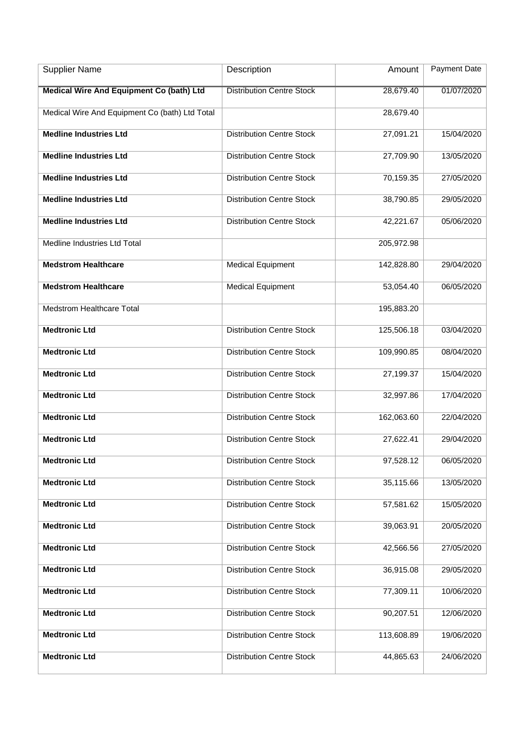| <b>Supplier Name</b>                           | Description                      | Amount     | <b>Payment Date</b> |
|------------------------------------------------|----------------------------------|------------|---------------------|
| Medical Wire And Equipment Co (bath) Ltd       | <b>Distribution Centre Stock</b> | 28,679.40  | 01/07/2020          |
| Medical Wire And Equipment Co (bath) Ltd Total |                                  | 28,679.40  |                     |
| <b>Medline Industries Ltd</b>                  | <b>Distribution Centre Stock</b> | 27,091.21  | 15/04/2020          |
| <b>Medline Industries Ltd</b>                  | <b>Distribution Centre Stock</b> | 27,709.90  | 13/05/2020          |
| <b>Medline Industries Ltd</b>                  | <b>Distribution Centre Stock</b> | 70,159.35  | 27/05/2020          |
| <b>Medline Industries Ltd</b>                  | <b>Distribution Centre Stock</b> | 38,790.85  | 29/05/2020          |
| <b>Medline Industries Ltd</b>                  | <b>Distribution Centre Stock</b> | 42,221.67  | 05/06/2020          |
| Medline Industries Ltd Total                   |                                  | 205,972.98 |                     |
| <b>Medstrom Healthcare</b>                     | <b>Medical Equipment</b>         | 142,828.80 | 29/04/2020          |
| <b>Medstrom Healthcare</b>                     | <b>Medical Equipment</b>         | 53,054.40  | 06/05/2020          |
| <b>Medstrom Healthcare Total</b>               |                                  | 195,883.20 |                     |
| <b>Medtronic Ltd</b>                           | <b>Distribution Centre Stock</b> | 125,506.18 | 03/04/2020          |
| <b>Medtronic Ltd</b>                           | <b>Distribution Centre Stock</b> | 109,990.85 | 08/04/2020          |
| <b>Medtronic Ltd</b>                           | <b>Distribution Centre Stock</b> | 27,199.37  | 15/04/2020          |
| <b>Medtronic Ltd</b>                           | <b>Distribution Centre Stock</b> | 32,997.86  | 17/04/2020          |
| <b>Medtronic Ltd</b>                           | <b>Distribution Centre Stock</b> | 162,063.60 | 22/04/2020          |
| <b>Medtronic Ltd</b>                           | <b>Distribution Centre Stock</b> | 27,622.41  | 29/04/2020          |
| <b>Medtronic Ltd</b>                           | <b>Distribution Centre Stock</b> | 97,528.12  | 06/05/2020          |
| <b>Medtronic Ltd</b>                           | <b>Distribution Centre Stock</b> | 35,115.66  | 13/05/2020          |
| <b>Medtronic Ltd</b>                           | <b>Distribution Centre Stock</b> | 57,581.62  | 15/05/2020          |
| <b>Medtronic Ltd</b>                           | <b>Distribution Centre Stock</b> | 39,063.91  | 20/05/2020          |
| <b>Medtronic Ltd</b>                           | <b>Distribution Centre Stock</b> | 42,566.56  | 27/05/2020          |
| <b>Medtronic Ltd</b>                           | <b>Distribution Centre Stock</b> | 36,915.08  | 29/05/2020          |
| <b>Medtronic Ltd</b>                           | <b>Distribution Centre Stock</b> | 77,309.11  | 10/06/2020          |
| <b>Medtronic Ltd</b>                           | <b>Distribution Centre Stock</b> | 90,207.51  | 12/06/2020          |
| <b>Medtronic Ltd</b>                           | <b>Distribution Centre Stock</b> | 113,608.89 | 19/06/2020          |
| <b>Medtronic Ltd</b>                           | <b>Distribution Centre Stock</b> | 44,865.63  | 24/06/2020          |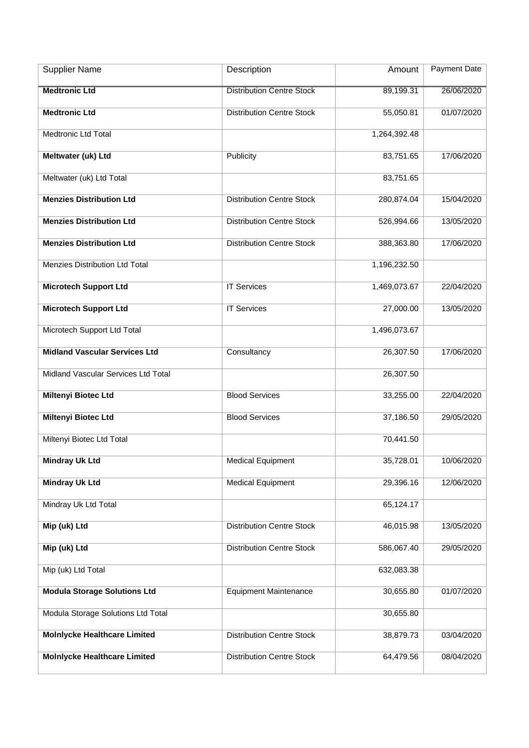| <b>Supplier Name</b>                 | Description                      | Amount       | <b>Payment Date</b> |
|--------------------------------------|----------------------------------|--------------|---------------------|
| <b>Medtronic Ltd</b>                 | <b>Distribution Centre Stock</b> | 89,199.31    | 26/06/2020          |
| <b>Medtronic Ltd</b>                 | <b>Distribution Centre Stock</b> | 55,050.81    | 01/07/2020          |
| Medtronic Ltd Total                  |                                  | 1,264,392.48 |                     |
| Meltwater (uk) Ltd                   | Publicity                        | 83,751.65    | 17/06/2020          |
| Meltwater (uk) Ltd Total             |                                  | 83,751.65    |                     |
| <b>Menzies Distribution Ltd</b>      | <b>Distribution Centre Stock</b> | 280,874.04   | 15/04/2020          |
| <b>Menzies Distribution Ltd</b>      | <b>Distribution Centre Stock</b> | 526,994.66   | 13/05/2020          |
| <b>Menzies Distribution Ltd</b>      | <b>Distribution Centre Stock</b> | 388,363.80   | 17/06/2020          |
| Menzies Distribution Ltd Total       |                                  | 1,196,232.50 |                     |
| <b>Microtech Support Ltd</b>         | <b>IT Services</b>               | 1,469,073.67 | 22/04/2020          |
| <b>Microtech Support Ltd</b>         | <b>IT Services</b>               | 27,000.00    | 13/05/2020          |
| Microtech Support Ltd Total          |                                  | 1,496,073.67 |                     |
| <b>Midland Vascular Services Ltd</b> | Consultancy                      | 26,307.50    | 17/06/2020          |
| Midland Vascular Services Ltd Total  |                                  | 26,307.50    |                     |
| <b>Miltenyi Biotec Ltd</b>           | <b>Blood Services</b>            | 33,255.00    | 22/04/2020          |
| <b>Miltenyi Biotec Ltd</b>           | <b>Blood Services</b>            | 37,186.50    | 29/05/2020          |
| Miltenyi Biotec Ltd Total            |                                  | 70,441.50    |                     |
| <b>Mindray Uk Ltd</b>                | <b>Medical Equipment</b>         | 35,728.01    | 10/06/2020          |
| <b>Mindray Uk Ltd</b>                | <b>Medical Equipment</b>         | 29,396.16    | 12/06/2020          |
| Mindray Uk Ltd Total                 |                                  | 65,124.17    |                     |
| Mip (uk) Ltd                         | <b>Distribution Centre Stock</b> | 46,015.98    | 13/05/2020          |
| Mip (uk) Ltd                         | <b>Distribution Centre Stock</b> | 586,067.40   | 29/05/2020          |
| Mip (uk) Ltd Total                   |                                  | 632,083.38   |                     |
| <b>Modula Storage Solutions Ltd</b>  | <b>Equipment Maintenance</b>     | 30,655.80    | 01/07/2020          |
| Modula Storage Solutions Ltd Total   |                                  | 30,655.80    |                     |
| <b>Molnlycke Healthcare Limited</b>  | <b>Distribution Centre Stock</b> | 38,879.73    | 03/04/2020          |
| <b>Molnlycke Healthcare Limited</b>  | <b>Distribution Centre Stock</b> | 64,479.56    | 08/04/2020          |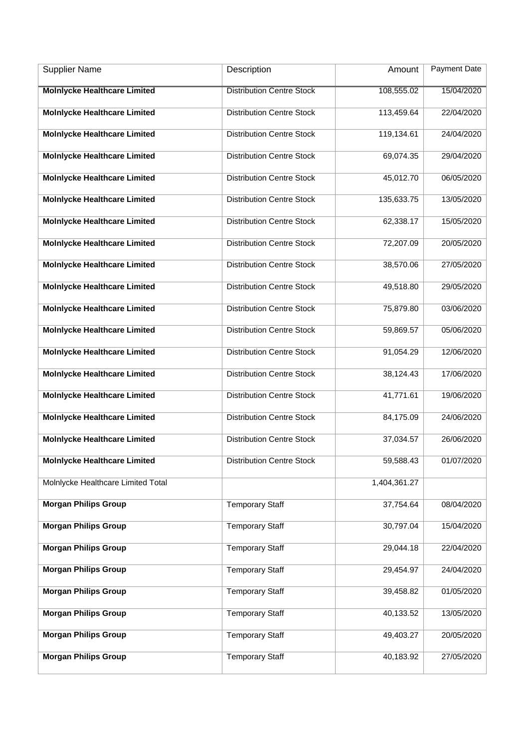| <b>Supplier Name</b>                | Description                      | Amount       | <b>Payment Date</b> |
|-------------------------------------|----------------------------------|--------------|---------------------|
| <b>Molnlycke Healthcare Limited</b> | <b>Distribution Centre Stock</b> | 108,555.02   | 15/04/2020          |
| <b>Molnlycke Healthcare Limited</b> | <b>Distribution Centre Stock</b> | 113,459.64   | 22/04/2020          |
| <b>Molnlycke Healthcare Limited</b> | <b>Distribution Centre Stock</b> | 119,134.61   | 24/04/2020          |
| <b>Molnlycke Healthcare Limited</b> | <b>Distribution Centre Stock</b> | 69,074.35    | 29/04/2020          |
| <b>Molnlycke Healthcare Limited</b> | <b>Distribution Centre Stock</b> | 45,012.70    | 06/05/2020          |
| <b>Molnlycke Healthcare Limited</b> | <b>Distribution Centre Stock</b> | 135,633.75   | 13/05/2020          |
| <b>Molnlycke Healthcare Limited</b> | <b>Distribution Centre Stock</b> | 62,338.17    | 15/05/2020          |
| <b>Molnlycke Healthcare Limited</b> | <b>Distribution Centre Stock</b> | 72,207.09    | 20/05/2020          |
| <b>Molnlycke Healthcare Limited</b> | <b>Distribution Centre Stock</b> | 38,570.06    | 27/05/2020          |
| <b>Molnlycke Healthcare Limited</b> | <b>Distribution Centre Stock</b> | 49,518.80    | 29/05/2020          |
| <b>Molnlycke Healthcare Limited</b> | <b>Distribution Centre Stock</b> | 75,879.80    | 03/06/2020          |
| <b>Molnlycke Healthcare Limited</b> | <b>Distribution Centre Stock</b> | 59,869.57    | 05/06/2020          |
| <b>Molnlycke Healthcare Limited</b> | <b>Distribution Centre Stock</b> | 91,054.29    | 12/06/2020          |
| <b>Molnlycke Healthcare Limited</b> | <b>Distribution Centre Stock</b> | 38,124.43    | 17/06/2020          |
| <b>Molnlycke Healthcare Limited</b> | <b>Distribution Centre Stock</b> | 41,771.61    | 19/06/2020          |
| <b>Molnlycke Healthcare Limited</b> | <b>Distribution Centre Stock</b> | 84,175.09    | 24/06/2020          |
| <b>Molnlycke Healthcare Limited</b> | <b>Distribution Centre Stock</b> | 37,034.57    | 26/06/2020          |
| <b>Molnlycke Healthcare Limited</b> | <b>Distribution Centre Stock</b> | 59,588.43    | 01/07/2020          |
| Molnlycke Healthcare Limited Total  |                                  | 1,404,361.27 |                     |
| <b>Morgan Philips Group</b>         | <b>Temporary Staff</b>           | 37,754.64    | 08/04/2020          |
| <b>Morgan Philips Group</b>         | <b>Temporary Staff</b>           | 30,797.04    | 15/04/2020          |
| <b>Morgan Philips Group</b>         | <b>Temporary Staff</b>           | 29,044.18    | 22/04/2020          |
| <b>Morgan Philips Group</b>         | <b>Temporary Staff</b>           | 29,454.97    | 24/04/2020          |
| <b>Morgan Philips Group</b>         | <b>Temporary Staff</b>           | 39,458.82    | 01/05/2020          |
| <b>Morgan Philips Group</b>         | <b>Temporary Staff</b>           | 40,133.52    | 13/05/2020          |
| <b>Morgan Philips Group</b>         | <b>Temporary Staff</b>           | 49,403.27    | 20/05/2020          |
| <b>Morgan Philips Group</b>         | <b>Temporary Staff</b>           | 40,183.92    | 27/05/2020          |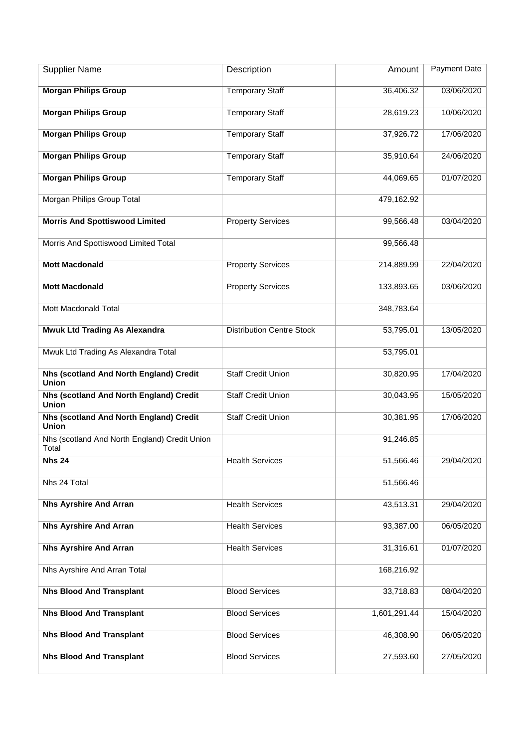| <b>Supplier Name</b>                                    | Description                      | Amount       | Payment Date |
|---------------------------------------------------------|----------------------------------|--------------|--------------|
| <b>Morgan Philips Group</b>                             | <b>Temporary Staff</b>           | 36,406.32    | 03/06/2020   |
| <b>Morgan Philips Group</b>                             | <b>Temporary Staff</b>           | 28,619.23    | 10/06/2020   |
| <b>Morgan Philips Group</b>                             | <b>Temporary Staff</b>           | 37,926.72    | 17/06/2020   |
| <b>Morgan Philips Group</b>                             | <b>Temporary Staff</b>           | 35,910.64    | 24/06/2020   |
| <b>Morgan Philips Group</b>                             | <b>Temporary Staff</b>           | 44,069.65    | 01/07/2020   |
| Morgan Philips Group Total                              |                                  | 479,162.92   |              |
| <b>Morris And Spottiswood Limited</b>                   | <b>Property Services</b>         | 99,566.48    | 03/04/2020   |
| Morris And Spottiswood Limited Total                    |                                  | 99,566.48    |              |
| <b>Mott Macdonald</b>                                   | <b>Property Services</b>         | 214,889.99   | 22/04/2020   |
| <b>Mott Macdonald</b>                                   | <b>Property Services</b>         | 133,893.65   | 03/06/2020   |
| Mott Macdonald Total                                    |                                  | 348,783.64   |              |
| <b>Mwuk Ltd Trading As Alexandra</b>                    | <b>Distribution Centre Stock</b> | 53,795.01    | 13/05/2020   |
| Mwuk Ltd Trading As Alexandra Total                     |                                  | 53,795.01    |              |
| Nhs (scotland And North England) Credit<br><b>Union</b> | <b>Staff Credit Union</b>        | 30,820.95    | 17/04/2020   |
| Nhs (scotland And North England) Credit<br>Union        | <b>Staff Credit Union</b>        | 30,043.95    | 15/05/2020   |
| Nhs (scotland And North England) Credit<br>Union        | <b>Staff Credit Union</b>        | 30,381.95    | 17/06/2020   |
| Nhs (scotland And North England) Credit Union<br>Total  |                                  | 91,246.85    |              |
| <b>Nhs 24</b>                                           | <b>Health Services</b>           | 51,566.46    | 29/04/2020   |
| Nhs 24 Total                                            |                                  | 51,566.46    |              |
| <b>Nhs Ayrshire And Arran</b>                           | <b>Health Services</b>           | 43,513.31    | 29/04/2020   |
| <b>Nhs Ayrshire And Arran</b>                           | <b>Health Services</b>           | 93,387.00    | 06/05/2020   |
| <b>Nhs Ayrshire And Arran</b>                           | <b>Health Services</b>           | 31,316.61    | 01/07/2020   |
| Nhs Ayrshire And Arran Total                            |                                  | 168,216.92   |              |
| <b>Nhs Blood And Transplant</b>                         | <b>Blood Services</b>            | 33,718.83    | 08/04/2020   |
| <b>Nhs Blood And Transplant</b>                         | <b>Blood Services</b>            | 1,601,291.44 | 15/04/2020   |
| <b>Nhs Blood And Transplant</b>                         | <b>Blood Services</b>            | 46,308.90    | 06/05/2020   |
| <b>Nhs Blood And Transplant</b>                         | <b>Blood Services</b>            | 27,593.60    | 27/05/2020   |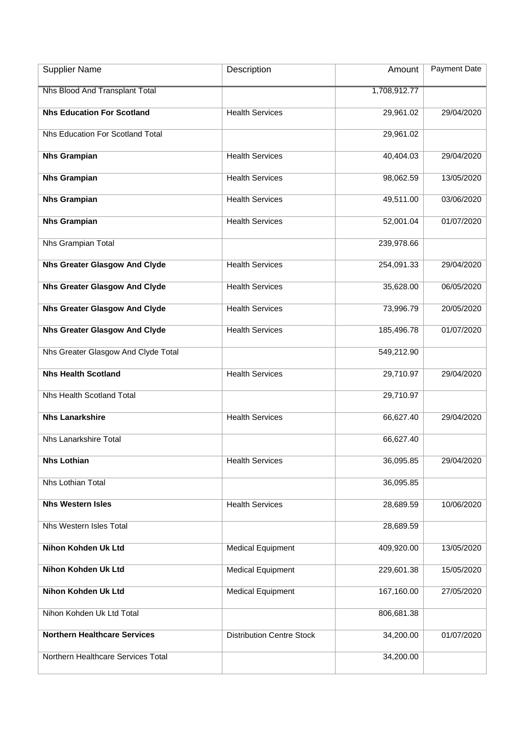| <b>Supplier Name</b>                 | Description                      | Amount       | Payment Date |
|--------------------------------------|----------------------------------|--------------|--------------|
| Nhs Blood And Transplant Total       |                                  | 1,708,912.77 |              |
| <b>Nhs Education For Scotland</b>    | <b>Health Services</b>           | 29,961.02    | 29/04/2020   |
|                                      |                                  |              |              |
| Nhs Education For Scotland Total     |                                  | 29,961.02    |              |
| <b>Nhs Grampian</b>                  | <b>Health Services</b>           | 40,404.03    | 29/04/2020   |
| <b>Nhs Grampian</b>                  | <b>Health Services</b>           | 98,062.59    | 13/05/2020   |
| <b>Nhs Grampian</b>                  | <b>Health Services</b>           | 49,511.00    | 03/06/2020   |
| <b>Nhs Grampian</b>                  | <b>Health Services</b>           | 52,001.04    | 01/07/2020   |
| Nhs Grampian Total                   |                                  | 239,978.66   |              |
| <b>Nhs Greater Glasgow And Clyde</b> | <b>Health Services</b>           | 254,091.33   | 29/04/2020   |
| <b>Nhs Greater Glasgow And Clyde</b> | <b>Health Services</b>           | 35,628.00    | 06/05/2020   |
| <b>Nhs Greater Glasgow And Clyde</b> | <b>Health Services</b>           | 73,996.79    | 20/05/2020   |
| <b>Nhs Greater Glasgow And Clyde</b> | <b>Health Services</b>           | 185,496.78   | 01/07/2020   |
| Nhs Greater Glasgow And Clyde Total  |                                  | 549,212.90   |              |
| <b>Nhs Health Scotland</b>           | <b>Health Services</b>           | 29,710.97    | 29/04/2020   |
| Nhs Health Scotland Total            |                                  | 29,710.97    |              |
| <b>Nhs Lanarkshire</b>               | <b>Health Services</b>           | 66,627.40    | 29/04/2020   |
| Nhs Lanarkshire Total                |                                  | 66,627.40    |              |
| <b>Nhs Lothian</b>                   | <b>Health Services</b>           | 36,095.85    | 29/04/2020   |
| Nhs Lothian Total                    |                                  | 36,095.85    |              |
| <b>Nhs Western Isles</b>             | <b>Health Services</b>           | 28,689.59    | 10/06/2020   |
| Nhs Western Isles Total              |                                  | 28,689.59    |              |
| <b>Nihon Kohden Uk Ltd</b>           | <b>Medical Equipment</b>         | 409,920.00   | 13/05/2020   |
| <b>Nihon Kohden Uk Ltd</b>           | <b>Medical Equipment</b>         | 229,601.38   | 15/05/2020   |
| Nihon Kohden Uk Ltd                  | <b>Medical Equipment</b>         | 167,160.00   | 27/05/2020   |
| Nihon Kohden Uk Ltd Total            |                                  | 806,681.38   |              |
| <b>Northern Healthcare Services</b>  | <b>Distribution Centre Stock</b> | 34,200.00    | 01/07/2020   |
| Northern Healthcare Services Total   |                                  | 34,200.00    |              |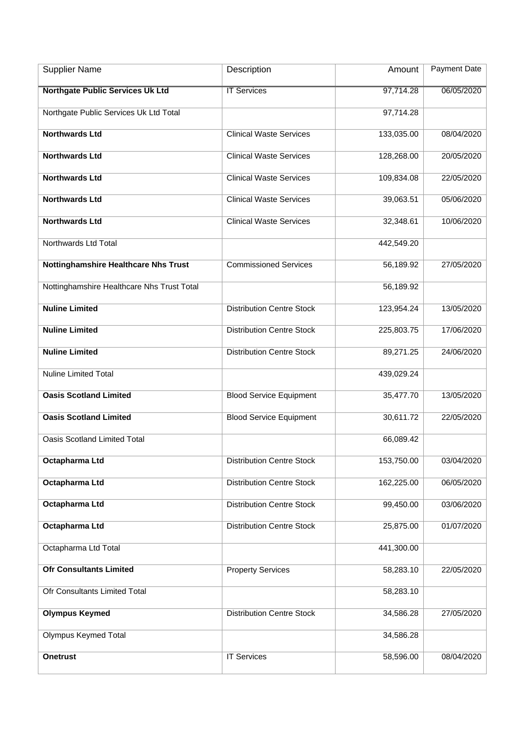| <b>Supplier Name</b>                        | Description                      | Amount     | <b>Payment Date</b> |
|---------------------------------------------|----------------------------------|------------|---------------------|
| <b>Northgate Public Services Uk Ltd</b>     | <b>IT Services</b>               | 97,714.28  | 06/05/2020          |
| Northgate Public Services Uk Ltd Total      |                                  | 97,714.28  |                     |
| <b>Northwards Ltd</b>                       | <b>Clinical Waste Services</b>   | 133,035.00 | 08/04/2020          |
| <b>Northwards Ltd</b>                       | <b>Clinical Waste Services</b>   | 128,268.00 | 20/05/2020          |
| <b>Northwards Ltd</b>                       | <b>Clinical Waste Services</b>   | 109,834.08 | 22/05/2020          |
| <b>Northwards Ltd</b>                       | <b>Clinical Waste Services</b>   | 39,063.51  | 05/06/2020          |
| <b>Northwards Ltd</b>                       | <b>Clinical Waste Services</b>   | 32,348.61  | 10/06/2020          |
| Northwards Ltd Total                        |                                  | 442,549.20 |                     |
| <b>Nottinghamshire Healthcare Nhs Trust</b> | <b>Commissioned Services</b>     | 56,189.92  | 27/05/2020          |
| Nottinghamshire Healthcare Nhs Trust Total  |                                  | 56,189.92  |                     |
| <b>Nuline Limited</b>                       | <b>Distribution Centre Stock</b> | 123,954.24 | 13/05/2020          |
| <b>Nuline Limited</b>                       | <b>Distribution Centre Stock</b> | 225,803.75 | 17/06/2020          |
| <b>Nuline Limited</b>                       | <b>Distribution Centre Stock</b> | 89,271.25  | 24/06/2020          |
| <b>Nuline Limited Total</b>                 |                                  | 439,029.24 |                     |
| <b>Oasis Scotland Limited</b>               | <b>Blood Service Equipment</b>   | 35,477.70  | 13/05/2020          |
| <b>Oasis Scotland Limited</b>               | <b>Blood Service Equipment</b>   | 30,611.72  | 22/05/2020          |
| <b>Oasis Scotland Limited Total</b>         |                                  | 66,089.42  |                     |
| Octapharma Ltd                              | <b>Distribution Centre Stock</b> | 153,750.00 | 03/04/2020          |
| Octapharma Ltd                              | <b>Distribution Centre Stock</b> | 162,225.00 | 06/05/2020          |
| Octapharma Ltd                              | <b>Distribution Centre Stock</b> | 99,450.00  | 03/06/2020          |
| Octapharma Ltd                              | <b>Distribution Centre Stock</b> | 25,875.00  | 01/07/2020          |
| Octapharma Ltd Total                        |                                  | 441,300.00 |                     |
| <b>Ofr Consultants Limited</b>              | <b>Property Services</b>         | 58,283.10  | 22/05/2020          |
| Ofr Consultants Limited Total               |                                  | 58,283.10  |                     |
| <b>Olympus Keymed</b>                       | <b>Distribution Centre Stock</b> | 34,586.28  | 27/05/2020          |
| Olympus Keymed Total                        |                                  | 34,586.28  |                     |
| <b>Onetrust</b>                             | <b>IT Services</b>               | 58,596.00  | 08/04/2020          |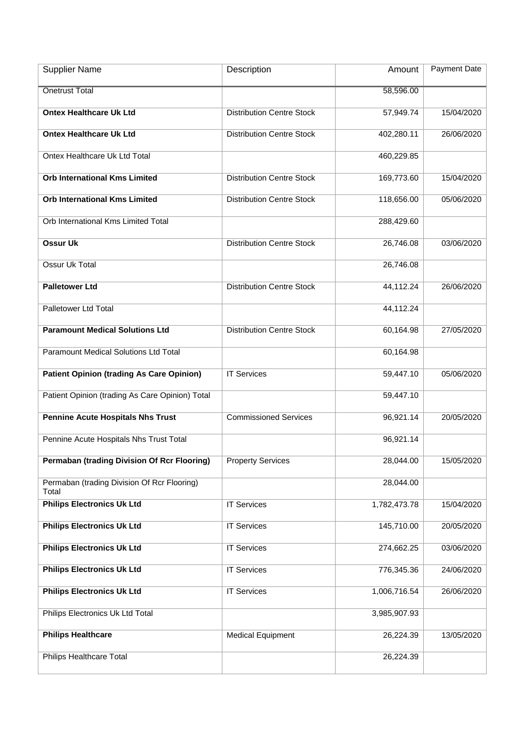| <b>Supplier Name</b>                                 | Description                      | Amount       | Payment Date |
|------------------------------------------------------|----------------------------------|--------------|--------------|
| <b>Onetrust Total</b>                                |                                  | 58,596.00    |              |
| <b>Ontex Healthcare Uk Ltd</b>                       | <b>Distribution Centre Stock</b> | 57,949.74    | 15/04/2020   |
| <b>Ontex Healthcare Uk Ltd</b>                       | <b>Distribution Centre Stock</b> | 402,280.11   | 26/06/2020   |
| Ontex Healthcare Uk Ltd Total                        |                                  | 460,229.85   |              |
| <b>Orb International Kms Limited</b>                 | <b>Distribution Centre Stock</b> | 169,773.60   | 15/04/2020   |
| <b>Orb International Kms Limited</b>                 | <b>Distribution Centre Stock</b> | 118,656.00   | 05/06/2020   |
| Orb International Kms Limited Total                  |                                  | 288,429.60   |              |
| <b>Ossur Uk</b>                                      | <b>Distribution Centre Stock</b> | 26,746.08    | 03/06/2020   |
| Ossur Uk Total                                       |                                  | 26,746.08    |              |
| <b>Palletower Ltd</b>                                | <b>Distribution Centre Stock</b> | 44,112.24    | 26/06/2020   |
| Palletower Ltd Total                                 |                                  | 44,112.24    |              |
| <b>Paramount Medical Solutions Ltd</b>               | <b>Distribution Centre Stock</b> | 60,164.98    | 27/05/2020   |
| Paramount Medical Solutions Ltd Total                |                                  | 60,164.98    |              |
| <b>Patient Opinion (trading As Care Opinion)</b>     | <b>IT Services</b>               | 59,447.10    | 05/06/2020   |
| Patient Opinion (trading As Care Opinion) Total      |                                  | 59,447.10    |              |
| <b>Pennine Acute Hospitals Nhs Trust</b>             | <b>Commissioned Services</b>     | 96,921.14    | 20/05/2020   |
| Pennine Acute Hospitals Nhs Trust Total              |                                  | 96,921.14    |              |
| <b>Permaban (trading Division Of Rcr Flooring)</b>   | <b>Property Services</b>         | 28,044.00    | 15/05/2020   |
| Permaban (trading Division Of Rcr Flooring)<br>Total |                                  | 28,044.00    |              |
| <b>Philips Electronics Uk Ltd</b>                    | <b>IT Services</b>               | 1,782,473.78 | 15/04/2020   |
| <b>Philips Electronics Uk Ltd</b>                    | <b>IT Services</b>               | 145,710.00   | 20/05/2020   |
| <b>Philips Electronics Uk Ltd</b>                    | <b>IT Services</b>               | 274,662.25   | 03/06/2020   |
| <b>Philips Electronics Uk Ltd</b>                    | <b>IT Services</b>               | 776,345.36   | 24/06/2020   |
| <b>Philips Electronics Uk Ltd</b>                    | <b>IT Services</b>               | 1,006,716.54 | 26/06/2020   |
| Philips Electronics Uk Ltd Total                     |                                  | 3,985,907.93 |              |
| <b>Philips Healthcare</b>                            | <b>Medical Equipment</b>         | 26,224.39    | 13/05/2020   |
| <b>Philips Healthcare Total</b>                      |                                  | 26,224.39    |              |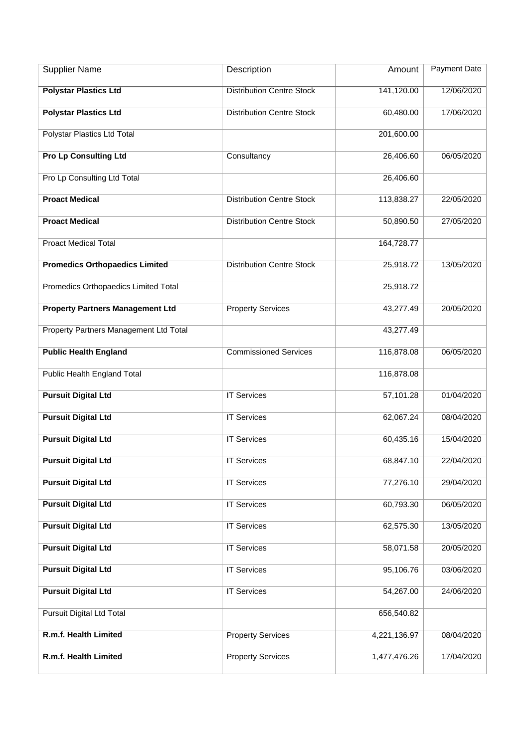| <b>Supplier Name</b>                    | Description                      | Amount       | Payment Date |
|-----------------------------------------|----------------------------------|--------------|--------------|
| <b>Polystar Plastics Ltd</b>            | <b>Distribution Centre Stock</b> | 141,120.00   | 12/06/2020   |
| <b>Polystar Plastics Ltd</b>            | <b>Distribution Centre Stock</b> | 60,480.00    | 17/06/2020   |
| Polystar Plastics Ltd Total             |                                  | 201,600.00   |              |
| <b>Pro Lp Consulting Ltd</b>            | Consultancy                      | 26,406.60    | 06/05/2020   |
| Pro Lp Consulting Ltd Total             |                                  | 26,406.60    |              |
| <b>Proact Medical</b>                   | <b>Distribution Centre Stock</b> | 113,838.27   | 22/05/2020   |
| <b>Proact Medical</b>                   | <b>Distribution Centre Stock</b> | 50,890.50    | 27/05/2020   |
| <b>Proact Medical Total</b>             |                                  | 164,728.77   |              |
| <b>Promedics Orthopaedics Limited</b>   | <b>Distribution Centre Stock</b> | 25,918.72    | 13/05/2020   |
| Promedics Orthopaedics Limited Total    |                                  | 25,918.72    |              |
| <b>Property Partners Management Ltd</b> | <b>Property Services</b>         | 43,277.49    | 20/05/2020   |
| Property Partners Management Ltd Total  |                                  | 43,277.49    |              |
| <b>Public Health England</b>            | <b>Commissioned Services</b>     | 116,878.08   | 06/05/2020   |
| Public Health England Total             |                                  | 116,878.08   |              |
| <b>Pursuit Digital Ltd</b>              | <b>IT Services</b>               | 57,101.28    | 01/04/2020   |
| <b>Pursuit Digital Ltd</b>              | <b>IT Services</b>               | 62,067.24    | 08/04/2020   |
| <b>Pursuit Digital Ltd</b>              | <b>IT Services</b>               | 60,435.16    | 15/04/2020   |
| <b>Pursuit Digital Ltd</b>              | <b>IT Services</b>               | 68,847.10    | 22/04/2020   |
| <b>Pursuit Digital Ltd</b>              | <b>IT Services</b>               | 77,276.10    | 29/04/2020   |
| <b>Pursuit Digital Ltd</b>              | <b>IT Services</b>               | 60,793.30    | 06/05/2020   |
| <b>Pursuit Digital Ltd</b>              | <b>IT Services</b>               | 62,575.30    | 13/05/2020   |
| <b>Pursuit Digital Ltd</b>              | <b>IT Services</b>               | 58,071.58    | 20/05/2020   |
| <b>Pursuit Digital Ltd</b>              | <b>IT Services</b>               | 95,106.76    | 03/06/2020   |
| <b>Pursuit Digital Ltd</b>              | <b>IT Services</b>               | 54,267.00    | 24/06/2020   |
| Pursuit Digital Ltd Total               |                                  | 656,540.82   |              |
| R.m.f. Health Limited                   | <b>Property Services</b>         | 4,221,136.97 | 08/04/2020   |
| R.m.f. Health Limited                   | <b>Property Services</b>         | 1,477,476.26 | 17/04/2020   |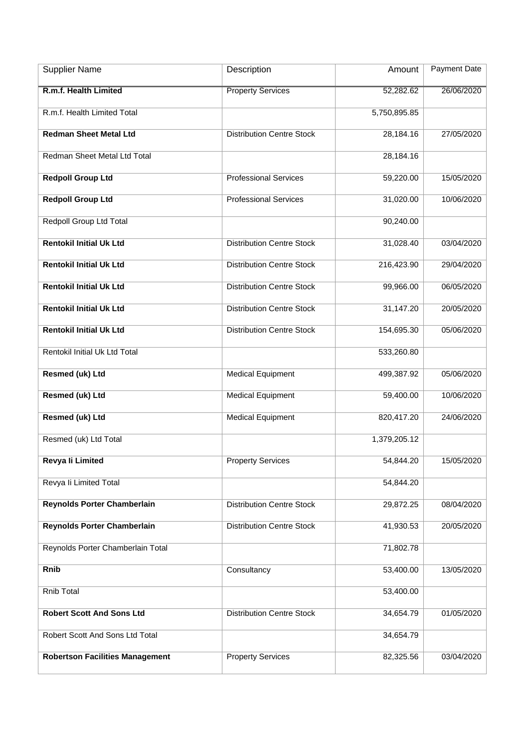| <b>Supplier Name</b>                   | Description                      | Amount       | <b>Payment Date</b> |
|----------------------------------------|----------------------------------|--------------|---------------------|
| R.m.f. Health Limited                  | <b>Property Services</b>         | 52,282.62    | 26/06/2020          |
| R.m.f. Health Limited Total            |                                  | 5,750,895.85 |                     |
| <b>Redman Sheet Metal Ltd</b>          | <b>Distribution Centre Stock</b> | 28,184.16    | 27/05/2020          |
| Redman Sheet Metal Ltd Total           |                                  | 28,184.16    |                     |
| <b>Redpoll Group Ltd</b>               | <b>Professional Services</b>     | 59,220.00    | 15/05/2020          |
| <b>Redpoll Group Ltd</b>               | <b>Professional Services</b>     | 31,020.00    | 10/06/2020          |
| Redpoll Group Ltd Total                |                                  | 90,240.00    |                     |
| <b>Rentokil Initial Uk Ltd</b>         | <b>Distribution Centre Stock</b> | 31,028.40    | 03/04/2020          |
| <b>Rentokil Initial Uk Ltd</b>         | <b>Distribution Centre Stock</b> | 216,423.90   | 29/04/2020          |
| <b>Rentokil Initial Uk Ltd</b>         | <b>Distribution Centre Stock</b> | 99,966.00    | 06/05/2020          |
| <b>Rentokil Initial Uk Ltd</b>         | <b>Distribution Centre Stock</b> | 31,147.20    | 20/05/2020          |
| <b>Rentokil Initial Uk Ltd</b>         | <b>Distribution Centre Stock</b> | 154,695.30   | 05/06/2020          |
| Rentokil Initial Uk Ltd Total          |                                  | 533,260.80   |                     |
| Resmed (uk) Ltd                        | <b>Medical Equipment</b>         | 499,387.92   | 05/06/2020          |
| Resmed (uk) Ltd                        | <b>Medical Equipment</b>         | 59,400.00    | 10/06/2020          |
| <b>Resmed (uk) Ltd</b>                 | <b>Medical Equipment</b>         | 820,417.20   | 24/06/2020          |
| Resmed (uk) Ltd Total                  |                                  | 1,379,205.12 |                     |
| Revya li Limited                       | <b>Property Services</b>         | 54,844.20    | 15/05/2020          |
| Revya li Limited Total                 |                                  | 54,844.20    |                     |
| Reynolds Porter Chamberlain            | <b>Distribution Centre Stock</b> | 29,872.25    | 08/04/2020          |
| Reynolds Porter Chamberlain            | <b>Distribution Centre Stock</b> | 41,930.53    | 20/05/2020          |
| Reynolds Porter Chamberlain Total      |                                  | 71,802.78    |                     |
| Rnib                                   | Consultancy                      | 53,400.00    | 13/05/2020          |
| Rnib Total                             |                                  | 53,400.00    |                     |
| <b>Robert Scott And Sons Ltd</b>       | <b>Distribution Centre Stock</b> | 34,654.79    | 01/05/2020          |
| Robert Scott And Sons Ltd Total        |                                  | 34,654.79    |                     |
| <b>Robertson Facilities Management</b> | <b>Property Services</b>         | 82,325.56    | 03/04/2020          |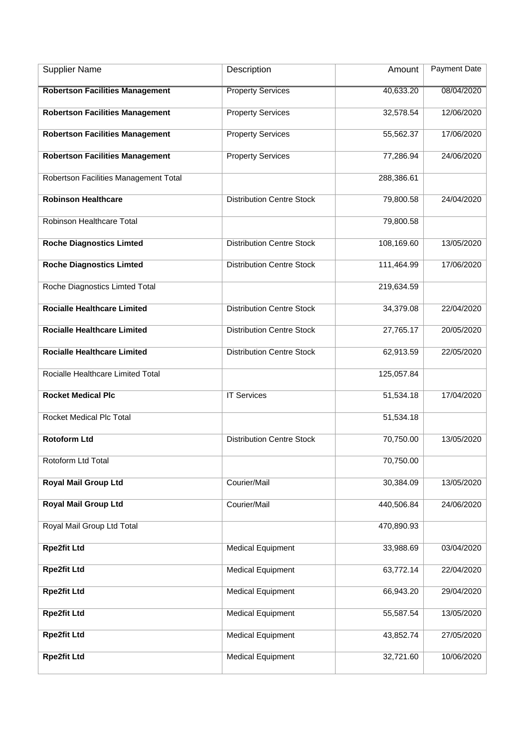| <b>Supplier Name</b>                   | Description                      | Amount     | <b>Payment Date</b> |
|----------------------------------------|----------------------------------|------------|---------------------|
| <b>Robertson Facilities Management</b> | <b>Property Services</b>         | 40,633.20  | 08/04/2020          |
| <b>Robertson Facilities Management</b> | <b>Property Services</b>         | 32,578.54  | 12/06/2020          |
| <b>Robertson Facilities Management</b> | <b>Property Services</b>         | 55,562.37  | 17/06/2020          |
| <b>Robertson Facilities Management</b> | <b>Property Services</b>         | 77,286.94  | 24/06/2020          |
| Robertson Facilities Management Total  |                                  | 288,386.61 |                     |
| <b>Robinson Healthcare</b>             | <b>Distribution Centre Stock</b> | 79,800.58  | 24/04/2020          |
| Robinson Healthcare Total              |                                  | 79,800.58  |                     |
| <b>Roche Diagnostics Limted</b>        | <b>Distribution Centre Stock</b> | 108,169.60 | 13/05/2020          |
| <b>Roche Diagnostics Limted</b>        | <b>Distribution Centre Stock</b> | 111,464.99 | 17/06/2020          |
| Roche Diagnostics Limted Total         |                                  | 219,634.59 |                     |
| <b>Rocialle Healthcare Limited</b>     | <b>Distribution Centre Stock</b> | 34,379.08  | 22/04/2020          |
| <b>Rocialle Healthcare Limited</b>     | <b>Distribution Centre Stock</b> | 27,765.17  | 20/05/2020          |
| <b>Rocialle Healthcare Limited</b>     | <b>Distribution Centre Stock</b> | 62,913.59  | 22/05/2020          |
| Rocialle Healthcare Limited Total      |                                  | 125,057.84 |                     |
| <b>Rocket Medical Plc</b>              | <b>IT Services</b>               | 51,534.18  | 17/04/2020          |
| Rocket Medical Plc Total               |                                  | 51,534.18  |                     |
| <b>Rotoform Ltd</b>                    | <b>Distribution Centre Stock</b> | 70,750.00  | 13/05/2020          |
| Rotoform Ltd Total                     |                                  | 70,750.00  |                     |
| <b>Royal Mail Group Ltd</b>            | Courier/Mail                     | 30,384.09  | 13/05/2020          |
| <b>Royal Mail Group Ltd</b>            | Courier/Mail                     | 440,506.84 | 24/06/2020          |
| Royal Mail Group Ltd Total             |                                  | 470,890.93 |                     |
| <b>Rpe2fit Ltd</b>                     | <b>Medical Equipment</b>         | 33,988.69  | 03/04/2020          |
| <b>Rpe2fit Ltd</b>                     | <b>Medical Equipment</b>         | 63,772.14  | 22/04/2020          |
| <b>Rpe2fit Ltd</b>                     | <b>Medical Equipment</b>         | 66,943.20  | 29/04/2020          |
| <b>Rpe2fit Ltd</b>                     | <b>Medical Equipment</b>         | 55,587.54  | 13/05/2020          |
| <b>Rpe2fit Ltd</b>                     | <b>Medical Equipment</b>         | 43,852.74  | 27/05/2020          |
| <b>Rpe2fit Ltd</b>                     | <b>Medical Equipment</b>         | 32,721.60  | 10/06/2020          |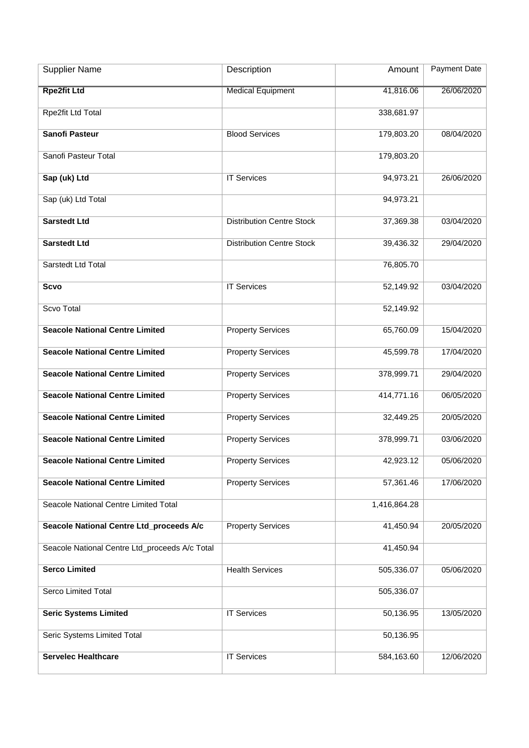| <b>Supplier Name</b>                           | Description                      | Amount       | <b>Payment Date</b> |
|------------------------------------------------|----------------------------------|--------------|---------------------|
| <b>Rpe2fit Ltd</b>                             | <b>Medical Equipment</b>         | 41,816.06    | 26/06/2020          |
| Rpe2fit Ltd Total                              |                                  | 338,681.97   |                     |
| Sanofi Pasteur                                 | <b>Blood Services</b>            | 179,803.20   | 08/04/2020          |
| Sanofi Pasteur Total                           |                                  | 179,803.20   |                     |
| Sap (uk) Ltd                                   | <b>IT Services</b>               | 94,973.21    | 26/06/2020          |
| Sap (uk) Ltd Total                             |                                  | 94,973.21    |                     |
| <b>Sarstedt Ltd</b>                            | <b>Distribution Centre Stock</b> | 37,369.38    | 03/04/2020          |
| <b>Sarstedt Ltd</b>                            | <b>Distribution Centre Stock</b> | 39,436.32    | 29/04/2020          |
| Sarstedt Ltd Total                             |                                  | 76,805.70    |                     |
| <b>Scvo</b>                                    | <b>IT Services</b>               | 52,149.92    | 03/04/2020          |
| Scvo Total                                     |                                  | 52,149.92    |                     |
| <b>Seacole National Centre Limited</b>         | <b>Property Services</b>         | 65,760.09    | 15/04/2020          |
| <b>Seacole National Centre Limited</b>         | <b>Property Services</b>         | 45,599.78    | 17/04/2020          |
| <b>Seacole National Centre Limited</b>         | <b>Property Services</b>         | 378,999.71   | 29/04/2020          |
| <b>Seacole National Centre Limited</b>         | <b>Property Services</b>         | 414,771.16   | 06/05/2020          |
| <b>Seacole National Centre Limited</b>         | <b>Property Services</b>         | 32,449.25    | 20/05/2020          |
| <b>Seacole National Centre Limited</b>         | <b>Property Services</b>         | 378,999.71   | 03/06/2020          |
| <b>Seacole National Centre Limited</b>         | <b>Property Services</b>         | 42,923.12    | 05/06/2020          |
| <b>Seacole National Centre Limited</b>         | <b>Property Services</b>         | 57,361.46    | 17/06/2020          |
| Seacole National Centre Limited Total          |                                  | 1,416,864.28 |                     |
| Seacole National Centre Ltd_proceeds A/c       | <b>Property Services</b>         | 41,450.94    | 20/05/2020          |
| Seacole National Centre Ltd_proceeds A/c Total |                                  | 41,450.94    |                     |
| <b>Serco Limited</b>                           | <b>Health Services</b>           | 505,336.07   | 05/06/2020          |
| Serco Limited Total                            |                                  | 505,336.07   |                     |
| <b>Seric Systems Limited</b>                   | <b>IT Services</b>               | 50,136.95    | 13/05/2020          |
| Seric Systems Limited Total                    |                                  | 50,136.95    |                     |
| <b>Servelec Healthcare</b>                     | <b>IT Services</b>               | 584,163.60   | 12/06/2020          |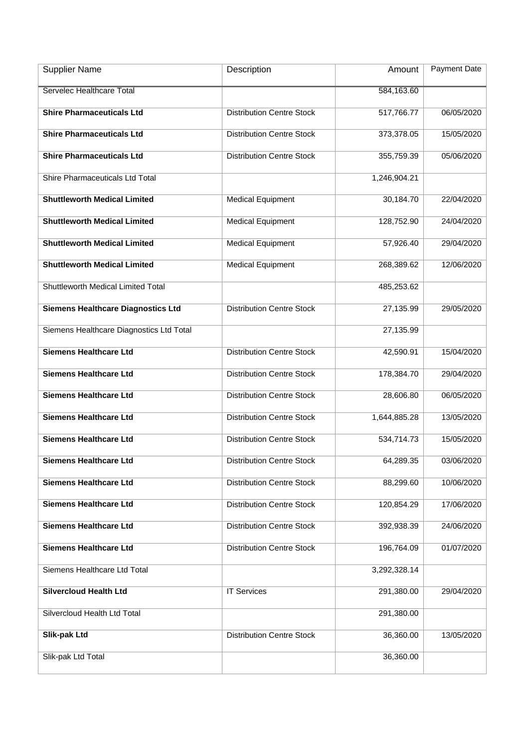| <b>Supplier Name</b>                      | Description                      | Amount       | <b>Payment Date</b> |
|-------------------------------------------|----------------------------------|--------------|---------------------|
| Servelec Healthcare Total                 |                                  | 584,163.60   |                     |
| <b>Shire Pharmaceuticals Ltd</b>          | <b>Distribution Centre Stock</b> | 517,766.77   | 06/05/2020          |
| <b>Shire Pharmaceuticals Ltd</b>          | <b>Distribution Centre Stock</b> | 373,378.05   | 15/05/2020          |
| <b>Shire Pharmaceuticals Ltd</b>          | <b>Distribution Centre Stock</b> | 355,759.39   | 05/06/2020          |
| Shire Pharmaceuticals Ltd Total           |                                  | 1,246,904.21 |                     |
| <b>Shuttleworth Medical Limited</b>       | <b>Medical Equipment</b>         | 30,184.70    | 22/04/2020          |
| <b>Shuttleworth Medical Limited</b>       | <b>Medical Equipment</b>         | 128,752.90   | 24/04/2020          |
| <b>Shuttleworth Medical Limited</b>       | <b>Medical Equipment</b>         | 57,926.40    | 29/04/2020          |
| <b>Shuttleworth Medical Limited</b>       | <b>Medical Equipment</b>         | 268,389.62   | 12/06/2020          |
| Shuttleworth Medical Limited Total        |                                  | 485,253.62   |                     |
| <b>Siemens Healthcare Diagnostics Ltd</b> | <b>Distribution Centre Stock</b> | 27,135.99    | 29/05/2020          |
| Siemens Healthcare Diagnostics Ltd Total  |                                  | 27,135.99    |                     |
| <b>Siemens Healthcare Ltd</b>             | <b>Distribution Centre Stock</b> | 42,590.91    | 15/04/2020          |
| <b>Siemens Healthcare Ltd</b>             | <b>Distribution Centre Stock</b> | 178,384.70   | 29/04/2020          |
| <b>Siemens Healthcare Ltd</b>             | <b>Distribution Centre Stock</b> | 28,606.80    | 06/05/2020          |
| <b>Siemens Healthcare Ltd</b>             | <b>Distribution Centre Stock</b> | 1,644,885.28 | 13/05/2020          |
| <b>Siemens Healthcare Ltd</b>             | <b>Distribution Centre Stock</b> | 534,714.73   | 15/05/2020          |
| <b>Siemens Healthcare Ltd</b>             | <b>Distribution Centre Stock</b> | 64,289.35    | 03/06/2020          |
| <b>Siemens Healthcare Ltd</b>             | <b>Distribution Centre Stock</b> | 88,299.60    | 10/06/2020          |
| <b>Siemens Healthcare Ltd</b>             | <b>Distribution Centre Stock</b> | 120,854.29   | 17/06/2020          |
| <b>Siemens Healthcare Ltd</b>             | <b>Distribution Centre Stock</b> | 392,938.39   | 24/06/2020          |
| <b>Siemens Healthcare Ltd</b>             | <b>Distribution Centre Stock</b> | 196,764.09   | 01/07/2020          |
| Siemens Healthcare Ltd Total              |                                  | 3,292,328.14 |                     |
| <b>Silvercloud Health Ltd</b>             | <b>IT Services</b>               | 291,380.00   | 29/04/2020          |
| Silvercloud Health Ltd Total              |                                  | 291,380.00   |                     |
| <b>Slik-pak Ltd</b>                       | <b>Distribution Centre Stock</b> | 36,360.00    | 13/05/2020          |
| Slik-pak Ltd Total                        |                                  | 36,360.00    |                     |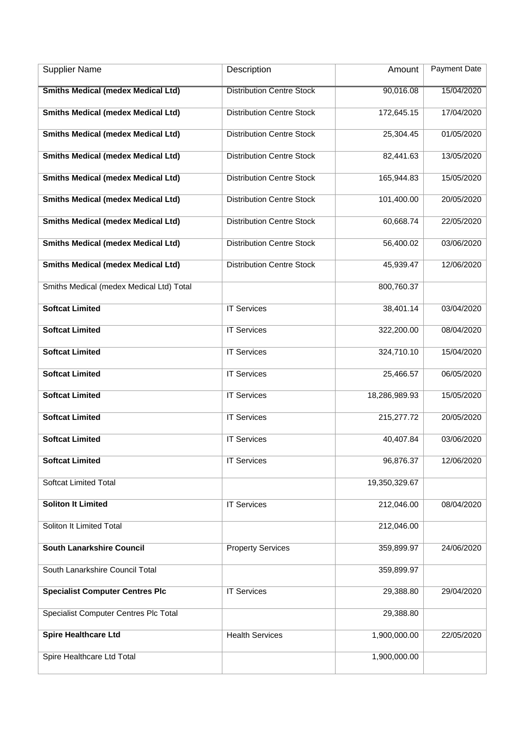| <b>Supplier Name</b>                      | Description                      | Amount        | <b>Payment Date</b> |
|-------------------------------------------|----------------------------------|---------------|---------------------|
| <b>Smiths Medical (medex Medical Ltd)</b> | <b>Distribution Centre Stock</b> | 90,016.08     | 15/04/2020          |
| <b>Smiths Medical (medex Medical Ltd)</b> | <b>Distribution Centre Stock</b> | 172,645.15    | 17/04/2020          |
| <b>Smiths Medical (medex Medical Ltd)</b> | <b>Distribution Centre Stock</b> | 25,304.45     | 01/05/2020          |
| <b>Smiths Medical (medex Medical Ltd)</b> | <b>Distribution Centre Stock</b> | 82,441.63     | 13/05/2020          |
| <b>Smiths Medical (medex Medical Ltd)</b> | <b>Distribution Centre Stock</b> | 165,944.83    | 15/05/2020          |
| <b>Smiths Medical (medex Medical Ltd)</b> | <b>Distribution Centre Stock</b> | 101,400.00    | 20/05/2020          |
| <b>Smiths Medical (medex Medical Ltd)</b> | <b>Distribution Centre Stock</b> | 60,668.74     | 22/05/2020          |
| <b>Smiths Medical (medex Medical Ltd)</b> | <b>Distribution Centre Stock</b> | 56,400.02     | 03/06/2020          |
| <b>Smiths Medical (medex Medical Ltd)</b> | <b>Distribution Centre Stock</b> | 45,939.47     | 12/06/2020          |
| Smiths Medical (medex Medical Ltd) Total  |                                  | 800,760.37    |                     |
| <b>Softcat Limited</b>                    | <b>IT Services</b>               | 38,401.14     | 03/04/2020          |
| <b>Softcat Limited</b>                    | <b>IT Services</b>               | 322,200.00    | 08/04/2020          |
| <b>Softcat Limited</b>                    | <b>IT Services</b>               | 324,710.10    | 15/04/2020          |
| <b>Softcat Limited</b>                    | <b>IT Services</b>               | 25,466.57     | 06/05/2020          |
| <b>Softcat Limited</b>                    | <b>IT Services</b>               | 18,286,989.93 | 15/05/2020          |
| <b>Softcat Limited</b>                    | <b>IT Services</b>               | 215,277.72    | 20/05/2020          |
| <b>Softcat Limited</b>                    | <b>IT Services</b>               | 40,407.84     | 03/06/2020          |
| <b>Softcat Limited</b>                    | <b>IT Services</b>               | 96,876.37     | 12/06/2020          |
| <b>Softcat Limited Total</b>              |                                  | 19,350,329.67 |                     |
| <b>Soliton It Limited</b>                 | <b>IT Services</b>               | 212,046.00    | 08/04/2020          |
| Soliton It Limited Total                  |                                  | 212,046.00    |                     |
| <b>South Lanarkshire Council</b>          | <b>Property Services</b>         | 359,899.97    | 24/06/2020          |
| South Lanarkshire Council Total           |                                  | 359,899.97    |                     |
| <b>Specialist Computer Centres Plc</b>    | <b>IT Services</b>               | 29,388.80     | 29/04/2020          |
| Specialist Computer Centres Plc Total     |                                  | 29,388.80     |                     |
| <b>Spire Healthcare Ltd</b>               | <b>Health Services</b>           | 1,900,000.00  | 22/05/2020          |
| Spire Healthcare Ltd Total                |                                  | 1,900,000.00  |                     |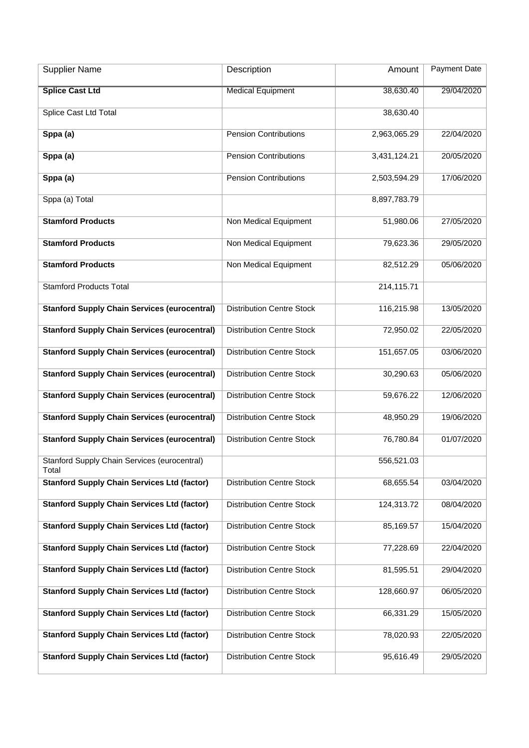| <b>Supplier Name</b>                                  | Description                      | Amount       | <b>Payment Date</b> |
|-------------------------------------------------------|----------------------------------|--------------|---------------------|
| <b>Splice Cast Ltd</b>                                | <b>Medical Equipment</b>         | 38,630.40    | 29/04/2020          |
| <b>Splice Cast Ltd Total</b>                          |                                  | 38,630.40    |                     |
| Sppa (a)                                              | <b>Pension Contributions</b>     | 2,963,065.29 | 22/04/2020          |
| Sppa (a)                                              | <b>Pension Contributions</b>     | 3,431,124.21 | 20/05/2020          |
| Sppa (a)                                              | <b>Pension Contributions</b>     | 2,503,594.29 | 17/06/2020          |
| Sppa (a) Total                                        |                                  | 8,897,783.79 |                     |
| <b>Stamford Products</b>                              | Non Medical Equipment            | 51,980.06    | 27/05/2020          |
| <b>Stamford Products</b>                              | Non Medical Equipment            | 79,623.36    | 29/05/2020          |
| <b>Stamford Products</b>                              | Non Medical Equipment            | 82,512.29    | 05/06/2020          |
| <b>Stamford Products Total</b>                        |                                  | 214,115.71   |                     |
| <b>Stanford Supply Chain Services (eurocentral)</b>   | <b>Distribution Centre Stock</b> | 116,215.98   | 13/05/2020          |
| <b>Stanford Supply Chain Services (eurocentral)</b>   | <b>Distribution Centre Stock</b> | 72,950.02    | 22/05/2020          |
| <b>Stanford Supply Chain Services (eurocentral)</b>   | <b>Distribution Centre Stock</b> | 151,657.05   | 03/06/2020          |
| <b>Stanford Supply Chain Services (eurocentral)</b>   | <b>Distribution Centre Stock</b> | 30,290.63    | 05/06/2020          |
| <b>Stanford Supply Chain Services (eurocentral)</b>   | <b>Distribution Centre Stock</b> | 59,676.22    | 12/06/2020          |
| <b>Stanford Supply Chain Services (eurocentral)</b>   | <b>Distribution Centre Stock</b> | 48,950.29    | 19/06/2020          |
| <b>Stanford Supply Chain Services (eurocentral)</b>   | <b>Distribution Centre Stock</b> | 76,780.84    | 01/07/2020          |
| Stanford Supply Chain Services (eurocentral)<br>Total |                                  | 556,521.03   |                     |
| <b>Stanford Supply Chain Services Ltd (factor)</b>    | <b>Distribution Centre Stock</b> | 68,655.54    | 03/04/2020          |
| <b>Stanford Supply Chain Services Ltd (factor)</b>    | <b>Distribution Centre Stock</b> | 124,313.72   | 08/04/2020          |
| <b>Stanford Supply Chain Services Ltd (factor)</b>    | <b>Distribution Centre Stock</b> | 85,169.57    | 15/04/2020          |
| <b>Stanford Supply Chain Services Ltd (factor)</b>    | <b>Distribution Centre Stock</b> | 77,228.69    | 22/04/2020          |
| <b>Stanford Supply Chain Services Ltd (factor)</b>    | <b>Distribution Centre Stock</b> | 81,595.51    | 29/04/2020          |
| <b>Stanford Supply Chain Services Ltd (factor)</b>    | <b>Distribution Centre Stock</b> | 128,660.97   | 06/05/2020          |
| <b>Stanford Supply Chain Services Ltd (factor)</b>    | <b>Distribution Centre Stock</b> | 66,331.29    | 15/05/2020          |
| <b>Stanford Supply Chain Services Ltd (factor)</b>    | <b>Distribution Centre Stock</b> | 78,020.93    | 22/05/2020          |
| <b>Stanford Supply Chain Services Ltd (factor)</b>    | <b>Distribution Centre Stock</b> | 95,616.49    | 29/05/2020          |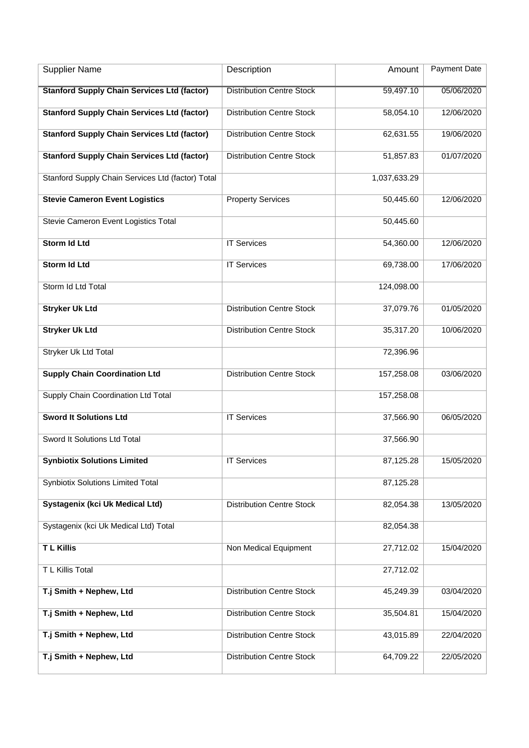| <b>Supplier Name</b>                               | Description                      | Amount       | <b>Payment Date</b> |
|----------------------------------------------------|----------------------------------|--------------|---------------------|
| <b>Stanford Supply Chain Services Ltd (factor)</b> | <b>Distribution Centre Stock</b> | 59,497.10    | 05/06/2020          |
| <b>Stanford Supply Chain Services Ltd (factor)</b> | <b>Distribution Centre Stock</b> | 58,054.10    | 12/06/2020          |
| <b>Stanford Supply Chain Services Ltd (factor)</b> | <b>Distribution Centre Stock</b> | 62,631.55    | 19/06/2020          |
| <b>Stanford Supply Chain Services Ltd (factor)</b> | <b>Distribution Centre Stock</b> | 51,857.83    | 01/07/2020          |
| Stanford Supply Chain Services Ltd (factor) Total  |                                  | 1,037,633.29 |                     |
| <b>Stevie Cameron Event Logistics</b>              | <b>Property Services</b>         | 50,445.60    | 12/06/2020          |
| Stevie Cameron Event Logistics Total               |                                  | 50,445.60    |                     |
| <b>Storm Id Ltd</b>                                | <b>IT Services</b>               | 54,360.00    | 12/06/2020          |
| Storm Id Ltd                                       | <b>IT Services</b>               | 69,738.00    | 17/06/2020          |
| Storm Id Ltd Total                                 |                                  | 124,098.00   |                     |
| <b>Stryker Uk Ltd</b>                              | <b>Distribution Centre Stock</b> | 37,079.76    | 01/05/2020          |
| <b>Stryker Uk Ltd</b>                              | <b>Distribution Centre Stock</b> | 35,317.20    | 10/06/2020          |
| Stryker Uk Ltd Total                               |                                  | 72,396.96    |                     |
| <b>Supply Chain Coordination Ltd</b>               | <b>Distribution Centre Stock</b> | 157,258.08   | 03/06/2020          |
| Supply Chain Coordination Ltd Total                |                                  | 157,258.08   |                     |
| <b>Sword It Solutions Ltd</b>                      | <b>IT Services</b>               | 37,566.90    | 06/05/2020          |
| Sword It Solutions Ltd Total                       |                                  | 37,566.90    |                     |
| <b>Synbiotix Solutions Limited</b>                 | <b>IT Services</b>               | 87,125.28    | 15/05/2020          |
| <b>Synbiotix Solutions Limited Total</b>           |                                  | 87,125.28    |                     |
| Systagenix (kci Uk Medical Ltd)                    | <b>Distribution Centre Stock</b> | 82,054.38    | 13/05/2020          |
| Systagenix (kci Uk Medical Ltd) Total              |                                  | 82,054.38    |                     |
| <b>TL Killis</b>                                   | Non Medical Equipment            | 27,712.02    | 15/04/2020          |
| T L Killis Total                                   |                                  | 27,712.02    |                     |
| T.j Smith + Nephew, Ltd                            | <b>Distribution Centre Stock</b> | 45,249.39    | 03/04/2020          |
| T.j Smith + Nephew, Ltd                            | <b>Distribution Centre Stock</b> | 35,504.81    | 15/04/2020          |
| T.j Smith + Nephew, Ltd                            | <b>Distribution Centre Stock</b> | 43,015.89    | 22/04/2020          |
| T.j Smith + Nephew, Ltd                            | <b>Distribution Centre Stock</b> | 64,709.22    | 22/05/2020          |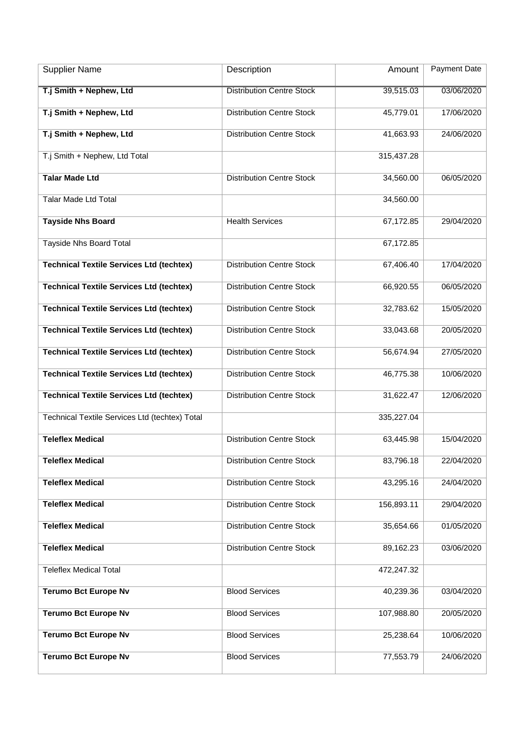| <b>Supplier Name</b>                            | Description                      | Amount     | Payment Date |
|-------------------------------------------------|----------------------------------|------------|--------------|
| T.j Smith + Nephew, Ltd                         | <b>Distribution Centre Stock</b> | 39,515.03  | 03/06/2020   |
| T.j Smith + Nephew, Ltd                         | <b>Distribution Centre Stock</b> | 45,779.01  | 17/06/2020   |
| T.j Smith + Nephew, Ltd                         | <b>Distribution Centre Stock</b> | 41,663.93  | 24/06/2020   |
| T.j Smith + Nephew, Ltd Total                   |                                  | 315,437.28 |              |
| <b>Talar Made Ltd</b>                           | <b>Distribution Centre Stock</b> | 34,560.00  | 06/05/2020   |
| <b>Talar Made Ltd Total</b>                     |                                  | 34,560.00  |              |
| <b>Tayside Nhs Board</b>                        | <b>Health Services</b>           | 67,172.85  | 29/04/2020   |
| Tayside Nhs Board Total                         |                                  | 67,172.85  |              |
| <b>Technical Textile Services Ltd (techtex)</b> | <b>Distribution Centre Stock</b> | 67,406.40  | 17/04/2020   |
| <b>Technical Textile Services Ltd (techtex)</b> | <b>Distribution Centre Stock</b> | 66,920.55  | 06/05/2020   |
| <b>Technical Textile Services Ltd (techtex)</b> | <b>Distribution Centre Stock</b> | 32,783.62  | 15/05/2020   |
| <b>Technical Textile Services Ltd (techtex)</b> | <b>Distribution Centre Stock</b> | 33,043.68  | 20/05/2020   |
| <b>Technical Textile Services Ltd (techtex)</b> | <b>Distribution Centre Stock</b> | 56,674.94  | 27/05/2020   |
| <b>Technical Textile Services Ltd (techtex)</b> | <b>Distribution Centre Stock</b> | 46,775.38  | 10/06/2020   |
| <b>Technical Textile Services Ltd (techtex)</b> | <b>Distribution Centre Stock</b> | 31,622.47  | 12/06/2020   |
| Technical Textile Services Ltd (techtex) Total  |                                  | 335,227.04 |              |
| <b>Teleflex Medical</b>                         | <b>Distribution Centre Stock</b> | 63,445.98  | 15/04/2020   |
| <b>Teleflex Medical</b>                         | <b>Distribution Centre Stock</b> | 83,796.18  | 22/04/2020   |
| <b>Teleflex Medical</b>                         | <b>Distribution Centre Stock</b> | 43,295.16  | 24/04/2020   |
| <b>Teleflex Medical</b>                         | <b>Distribution Centre Stock</b> | 156,893.11 | 29/04/2020   |
| <b>Teleflex Medical</b>                         | <b>Distribution Centre Stock</b> | 35,654.66  | 01/05/2020   |
| <b>Teleflex Medical</b>                         | <b>Distribution Centre Stock</b> | 89,162.23  | 03/06/2020   |
| <b>Teleflex Medical Total</b>                   |                                  | 472,247.32 |              |
| <b>Terumo Bct Europe Nv</b>                     | <b>Blood Services</b>            | 40,239.36  | 03/04/2020   |
| <b>Terumo Bct Europe Nv</b>                     | <b>Blood Services</b>            | 107,988.80 | 20/05/2020   |
| <b>Terumo Bct Europe Nv</b>                     | <b>Blood Services</b>            | 25,238.64  | 10/06/2020   |
| <b>Terumo Bct Europe Nv</b>                     | <b>Blood Services</b>            | 77,553.79  | 24/06/2020   |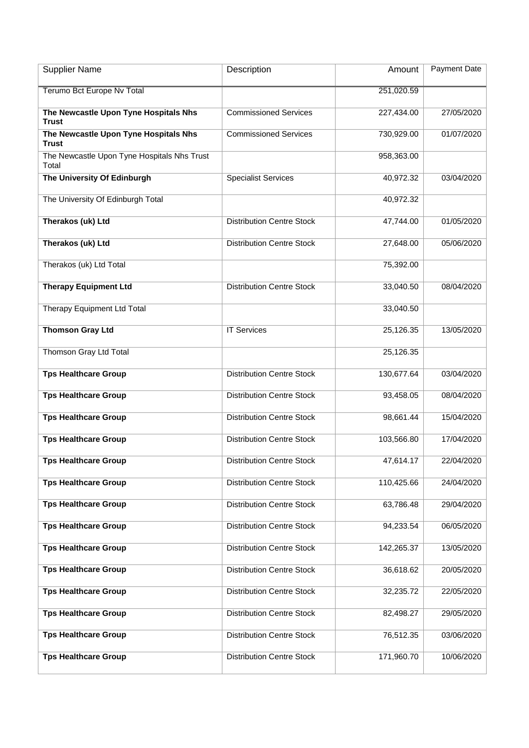| <b>Supplier Name</b>                                  | Description                      | Amount     | Payment Date |
|-------------------------------------------------------|----------------------------------|------------|--------------|
| Terumo Bct Europe Nv Total                            |                                  | 251,020.59 |              |
| The Newcastle Upon Tyne Hospitals Nhs<br><b>Trust</b> | <b>Commissioned Services</b>     | 227,434.00 | 27/05/2020   |
| The Newcastle Upon Tyne Hospitals Nhs<br><b>Trust</b> | <b>Commissioned Services</b>     | 730,929.00 | 01/07/2020   |
| The Newcastle Upon Tyne Hospitals Nhs Trust<br>Total  |                                  | 958,363.00 |              |
| The University Of Edinburgh                           | <b>Specialist Services</b>       | 40,972.32  | 03/04/2020   |
| The University Of Edinburgh Total                     |                                  | 40,972.32  |              |
| Therakos (uk) Ltd                                     | <b>Distribution Centre Stock</b> | 47,744.00  | 01/05/2020   |
| Therakos (uk) Ltd                                     | <b>Distribution Centre Stock</b> | 27,648.00  | 05/06/2020   |
| Therakos (uk) Ltd Total                               |                                  | 75,392.00  |              |
| <b>Therapy Equipment Ltd</b>                          | <b>Distribution Centre Stock</b> | 33,040.50  | 08/04/2020   |
| Therapy Equipment Ltd Total                           |                                  | 33,040.50  |              |
| <b>Thomson Gray Ltd</b>                               | <b>IT Services</b>               | 25,126.35  | 13/05/2020   |
| Thomson Gray Ltd Total                                |                                  | 25,126.35  |              |
| <b>Tps Healthcare Group</b>                           | <b>Distribution Centre Stock</b> | 130,677.64 | 03/04/2020   |
| <b>Tps Healthcare Group</b>                           | <b>Distribution Centre Stock</b> | 93,458.05  | 08/04/2020   |
| <b>Tps Healthcare Group</b>                           | <b>Distribution Centre Stock</b> | 98,661.44  | 15/04/2020   |
| <b>Tps Healthcare Group</b>                           | <b>Distribution Centre Stock</b> | 103,566.80 | 17/04/2020   |
| <b>Tps Healthcare Group</b>                           | <b>Distribution Centre Stock</b> | 47,614.17  | 22/04/2020   |
| <b>Tps Healthcare Group</b>                           | <b>Distribution Centre Stock</b> | 110,425.66 | 24/04/2020   |
| <b>Tps Healthcare Group</b>                           | <b>Distribution Centre Stock</b> | 63,786.48  | 29/04/2020   |
| <b>Tps Healthcare Group</b>                           | <b>Distribution Centre Stock</b> | 94,233.54  | 06/05/2020   |
| <b>Tps Healthcare Group</b>                           | <b>Distribution Centre Stock</b> | 142,265.37 | 13/05/2020   |
| <b>Tps Healthcare Group</b>                           | <b>Distribution Centre Stock</b> | 36,618.62  | 20/05/2020   |
| <b>Tps Healthcare Group</b>                           | <b>Distribution Centre Stock</b> | 32,235.72  | 22/05/2020   |
| <b>Tps Healthcare Group</b>                           | <b>Distribution Centre Stock</b> | 82,498.27  | 29/05/2020   |
| <b>Tps Healthcare Group</b>                           | <b>Distribution Centre Stock</b> | 76,512.35  | 03/06/2020   |
| <b>Tps Healthcare Group</b>                           | <b>Distribution Centre Stock</b> | 171,960.70 | 10/06/2020   |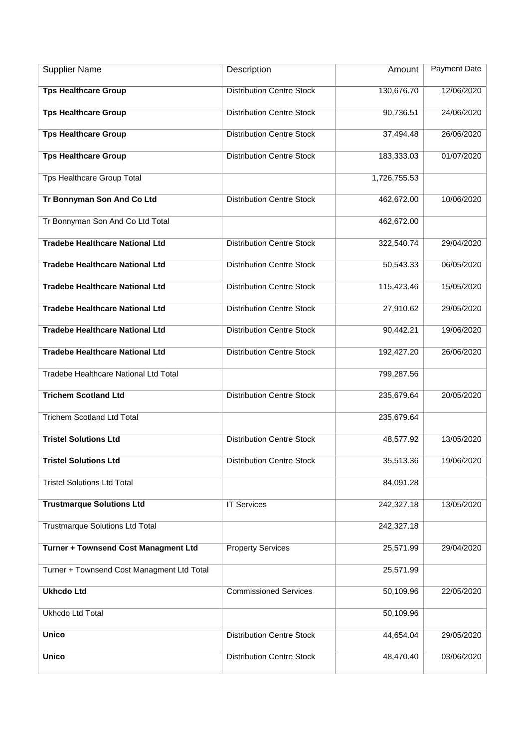| <b>Supplier Name</b>                       | Description                      | Amount       | <b>Payment Date</b> |
|--------------------------------------------|----------------------------------|--------------|---------------------|
| <b>Tps Healthcare Group</b>                | <b>Distribution Centre Stock</b> | 130,676.70   | 12/06/2020          |
| <b>Tps Healthcare Group</b>                | <b>Distribution Centre Stock</b> | 90,736.51    | 24/06/2020          |
| <b>Tps Healthcare Group</b>                | <b>Distribution Centre Stock</b> | 37,494.48    | 26/06/2020          |
| <b>Tps Healthcare Group</b>                | <b>Distribution Centre Stock</b> | 183,333.03   | 01/07/2020          |
| Tps Healthcare Group Total                 |                                  | 1,726,755.53 |                     |
| Tr Bonnyman Son And Co Ltd                 | <b>Distribution Centre Stock</b> | 462,672.00   | 10/06/2020          |
| Tr Bonnyman Son And Co Ltd Total           |                                  | 462,672.00   |                     |
| <b>Tradebe Healthcare National Ltd</b>     | <b>Distribution Centre Stock</b> | 322,540.74   | 29/04/2020          |
| <b>Tradebe Healthcare National Ltd</b>     | <b>Distribution Centre Stock</b> | 50,543.33    | 06/05/2020          |
| <b>Tradebe Healthcare National Ltd</b>     | <b>Distribution Centre Stock</b> | 115,423.46   | 15/05/2020          |
| <b>Tradebe Healthcare National Ltd</b>     | <b>Distribution Centre Stock</b> | 27,910.62    | 29/05/2020          |
| <b>Tradebe Healthcare National Ltd</b>     | <b>Distribution Centre Stock</b> | 90,442.21    | 19/06/2020          |
| <b>Tradebe Healthcare National Ltd</b>     | <b>Distribution Centre Stock</b> | 192,427.20   | 26/06/2020          |
| Tradebe Healthcare National Ltd Total      |                                  | 799,287.56   |                     |
| <b>Trichem Scotland Ltd</b>                | <b>Distribution Centre Stock</b> | 235,679.64   | 20/05/2020          |
| <b>Trichem Scotland Ltd Total</b>          |                                  | 235,679.64   |                     |
| <b>Tristel Solutions Ltd</b>               | <b>Distribution Centre Stock</b> | 48,577.92    | 13/05/2020          |
| <b>Tristel Solutions Ltd</b>               | <b>Distribution Centre Stock</b> | 35,513.36    | 19/06/2020          |
| <b>Tristel Solutions Ltd Total</b>         |                                  | 84,091.28    |                     |
| <b>Trustmarque Solutions Ltd</b>           | <b>IT Services</b>               | 242,327.18   | 13/05/2020          |
| <b>Trustmarque Solutions Ltd Total</b>     |                                  | 242,327.18   |                     |
| Turner + Townsend Cost Managment Ltd       | <b>Property Services</b>         | 25,571.99    | 29/04/2020          |
| Turner + Townsend Cost Managment Ltd Total |                                  | 25,571.99    |                     |
| <b>Ukhcdo Ltd</b>                          | <b>Commissioned Services</b>     | 50,109.96    | 22/05/2020          |
| Ukhcdo Ltd Total                           |                                  | 50,109.96    |                     |
| <b>Unico</b>                               | <b>Distribution Centre Stock</b> | 44,654.04    | 29/05/2020          |
| <b>Unico</b>                               | <b>Distribution Centre Stock</b> | 48,470.40    | 03/06/2020          |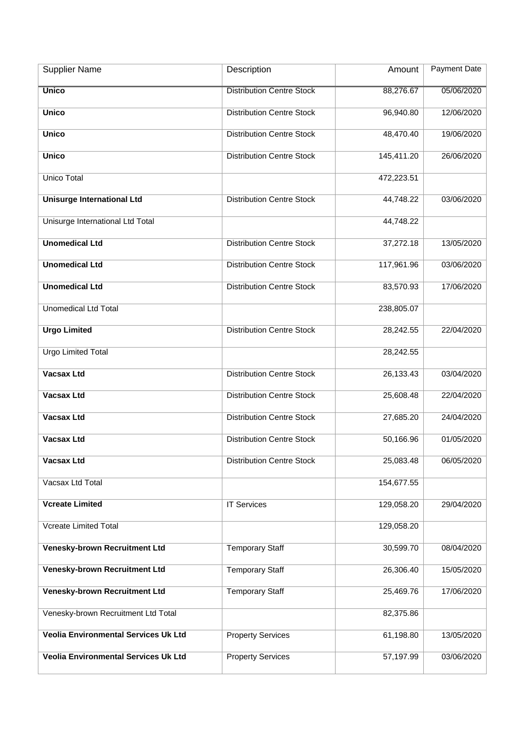| <b>Supplier Name</b>                 | Description                      | Amount     | Payment Date |
|--------------------------------------|----------------------------------|------------|--------------|
| <b>Unico</b>                         | <b>Distribution Centre Stock</b> | 88,276.67  | 05/06/2020   |
| <b>Unico</b>                         | <b>Distribution Centre Stock</b> | 96,940.80  | 12/06/2020   |
| <b>Unico</b>                         | <b>Distribution Centre Stock</b> | 48,470.40  | 19/06/2020   |
| <b>Unico</b>                         | <b>Distribution Centre Stock</b> | 145,411.20 | 26/06/2020   |
| Unico Total                          |                                  | 472,223.51 |              |
| <b>Unisurge International Ltd</b>    | <b>Distribution Centre Stock</b> | 44,748.22  | 03/06/2020   |
| Unisurge International Ltd Total     |                                  | 44,748.22  |              |
| <b>Unomedical Ltd</b>                | <b>Distribution Centre Stock</b> | 37,272.18  | 13/05/2020   |
| <b>Unomedical Ltd</b>                | <b>Distribution Centre Stock</b> | 117,961.96 | 03/06/2020   |
| <b>Unomedical Ltd</b>                | <b>Distribution Centre Stock</b> | 83,570.93  | 17/06/2020   |
| <b>Unomedical Ltd Total</b>          |                                  | 238,805.07 |              |
| <b>Urgo Limited</b>                  | <b>Distribution Centre Stock</b> | 28,242.55  | 22/04/2020   |
| <b>Urgo Limited Total</b>            |                                  | 28,242.55  |              |
| <b>Vacsax Ltd</b>                    | <b>Distribution Centre Stock</b> | 26,133.43  | 03/04/2020   |
| <b>Vacsax Ltd</b>                    | <b>Distribution Centre Stock</b> | 25,608.48  | 22/04/2020   |
| <b>Vacsax Ltd</b>                    | <b>Distribution Centre Stock</b> | 27,685.20  | 24/04/2020   |
| <b>Vacsax Ltd</b>                    | <b>Distribution Centre Stock</b> | 50,166.96  | 01/05/2020   |
| <b>Vacsax Ltd</b>                    | <b>Distribution Centre Stock</b> | 25,083.48  | 06/05/2020   |
| Vacsax Ltd Total                     |                                  | 154,677.55 |              |
| <b>Vcreate Limited</b>               | <b>IT Services</b>               | 129,058.20 | 29/04/2020   |
| <b>Vcreate Limited Total</b>         |                                  | 129,058.20 |              |
| Venesky-brown Recruitment Ltd        | <b>Temporary Staff</b>           | 30,599.70  | 08/04/2020   |
| Venesky-brown Recruitment Ltd        | <b>Temporary Staff</b>           | 26,306.40  | 15/05/2020   |
| Venesky-brown Recruitment Ltd        | <b>Temporary Staff</b>           | 25,469.76  | 17/06/2020   |
| Venesky-brown Recruitment Ltd Total  |                                  | 82,375.86  |              |
| Veolia Environmental Services Uk Ltd | <b>Property Services</b>         | 61,198.80  | 13/05/2020   |
| Veolia Environmental Services Uk Ltd | <b>Property Services</b>         | 57,197.99  | 03/06/2020   |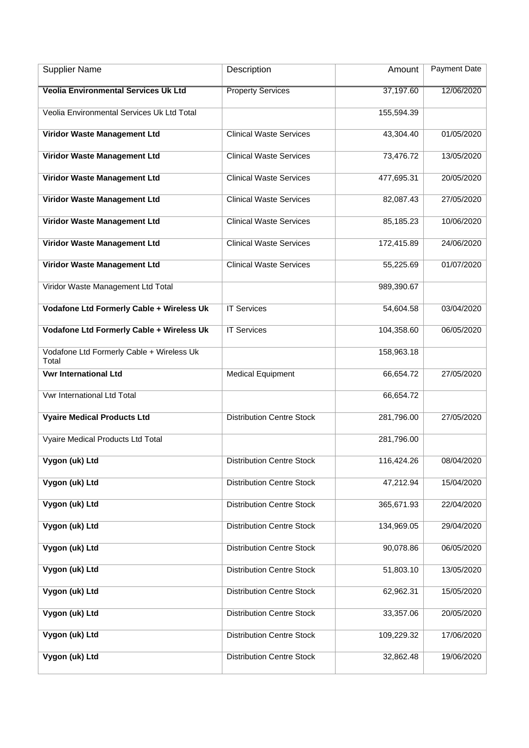| <b>Supplier Name</b>                               | Description                      | Amount     | <b>Payment Date</b> |
|----------------------------------------------------|----------------------------------|------------|---------------------|
| <b>Veolia Environmental Services Uk Ltd</b>        | <b>Property Services</b>         | 37,197.60  | 12/06/2020          |
| Veolia Environmental Services Uk Ltd Total         |                                  | 155,594.39 |                     |
| Viridor Waste Management Ltd                       | <b>Clinical Waste Services</b>   | 43,304.40  | 01/05/2020          |
| Viridor Waste Management Ltd                       | <b>Clinical Waste Services</b>   | 73,476.72  | 13/05/2020          |
| Viridor Waste Management Ltd                       | <b>Clinical Waste Services</b>   | 477,695.31 | 20/05/2020          |
| Viridor Waste Management Ltd                       | <b>Clinical Waste Services</b>   | 82,087.43  | 27/05/2020          |
| Viridor Waste Management Ltd                       | <b>Clinical Waste Services</b>   | 85,185.23  | 10/06/2020          |
| Viridor Waste Management Ltd                       | <b>Clinical Waste Services</b>   | 172,415.89 | 24/06/2020          |
| Viridor Waste Management Ltd                       | <b>Clinical Waste Services</b>   | 55,225.69  | 01/07/2020          |
| Viridor Waste Management Ltd Total                 |                                  | 989,390.67 |                     |
| <b>Vodafone Ltd Formerly Cable + Wireless Uk</b>   | <b>IT Services</b>               | 54,604.58  | 03/04/2020          |
| Vodafone Ltd Formerly Cable + Wireless Uk          | <b>IT Services</b>               | 104,358.60 | 06/05/2020          |
| Vodafone Ltd Formerly Cable + Wireless Uk<br>Total |                                  | 158,963.18 |                     |
| <b>Vwr International Ltd</b>                       | <b>Medical Equipment</b>         | 66,654.72  | 27/05/2020          |
| Vwr International Ltd Total                        |                                  | 66,654.72  |                     |
| <b>Vyaire Medical Products Ltd</b>                 | <b>Distribution Centre Stock</b> | 281,796.00 | 27/05/2020          |
| Vyaire Medical Products Ltd Total                  |                                  | 281,796.00 |                     |
| Vygon (uk) Ltd                                     | <b>Distribution Centre Stock</b> | 116,424.26 | 08/04/2020          |
| Vygon (uk) Ltd                                     | <b>Distribution Centre Stock</b> | 47,212.94  | 15/04/2020          |
| Vygon (uk) Ltd                                     | <b>Distribution Centre Stock</b> | 365,671.93 | 22/04/2020          |
| Vygon (uk) Ltd                                     | <b>Distribution Centre Stock</b> | 134,969.05 | 29/04/2020          |
| Vygon (uk) Ltd                                     | <b>Distribution Centre Stock</b> | 90,078.86  | 06/05/2020          |
| Vygon (uk) Ltd                                     | <b>Distribution Centre Stock</b> | 51,803.10  | 13/05/2020          |
| Vygon (uk) Ltd                                     | <b>Distribution Centre Stock</b> | 62,962.31  | 15/05/2020          |
| Vygon (uk) Ltd                                     | <b>Distribution Centre Stock</b> | 33,357.06  | 20/05/2020          |
| Vygon (uk) Ltd                                     | <b>Distribution Centre Stock</b> | 109,229.32 | 17/06/2020          |
| Vygon (uk) Ltd                                     | <b>Distribution Centre Stock</b> | 32,862.48  | 19/06/2020          |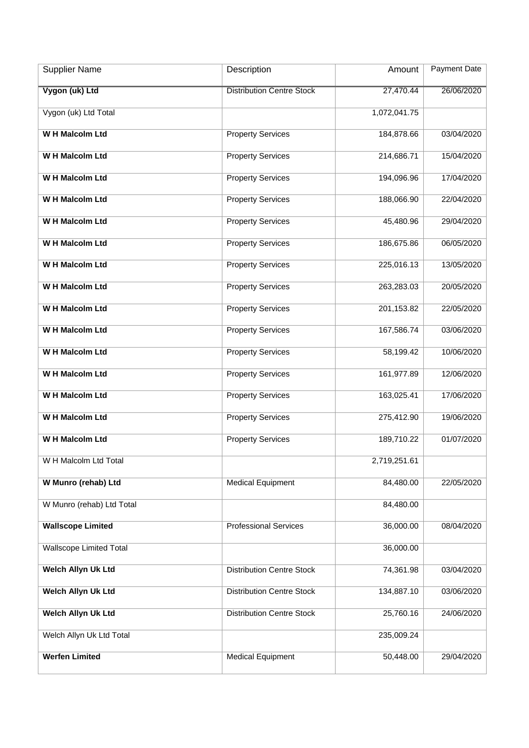| <b>Supplier Name</b>           | Description                      | Amount       | <b>Payment Date</b> |
|--------------------------------|----------------------------------|--------------|---------------------|
| Vygon (uk) Ltd                 | <b>Distribution Centre Stock</b> | 27,470.44    | 26/06/2020          |
| Vygon (uk) Ltd Total           |                                  | 1,072,041.75 |                     |
| <b>WH Malcolm Ltd</b>          | <b>Property Services</b>         | 184,878.66   | 03/04/2020          |
| <b>WH Malcolm Ltd</b>          | <b>Property Services</b>         | 214,686.71   | 15/04/2020          |
| <b>WH Malcolm Ltd</b>          | <b>Property Services</b>         | 194,096.96   | 17/04/2020          |
| <b>WH Malcolm Ltd</b>          | <b>Property Services</b>         | 188,066.90   | 22/04/2020          |
| <b>WH Malcolm Ltd</b>          | <b>Property Services</b>         | 45,480.96    | 29/04/2020          |
| <b>WH Malcolm Ltd</b>          | <b>Property Services</b>         | 186,675.86   | 06/05/2020          |
| <b>WH Malcolm Ltd</b>          | <b>Property Services</b>         | 225,016.13   | 13/05/2020          |
| W H Malcolm Ltd                | <b>Property Services</b>         | 263,283.03   | 20/05/2020          |
| <b>WH Malcolm Ltd</b>          | <b>Property Services</b>         | 201,153.82   | 22/05/2020          |
| W H Malcolm Ltd                | <b>Property Services</b>         | 167,586.74   | 03/06/2020          |
| W H Malcolm Ltd                | <b>Property Services</b>         | 58,199.42    | 10/06/2020          |
| <b>WH Malcolm Ltd</b>          | <b>Property Services</b>         | 161,977.89   | 12/06/2020          |
| <b>WH Malcolm Ltd</b>          | <b>Property Services</b>         | 163,025.41   | 17/06/2020          |
| <b>WH Malcolm Ltd</b>          | <b>Property Services</b>         | 275,412.90   | 19/06/2020          |
| <b>WH Malcolm Ltd</b>          | <b>Property Services</b>         | 189,710.22   | 01/07/2020          |
| W H Malcolm Ltd Total          |                                  | 2,719,251.61 |                     |
| W Munro (rehab) Ltd            | <b>Medical Equipment</b>         | 84,480.00    | 22/05/2020          |
| W Munro (rehab) Ltd Total      |                                  | 84,480.00    |                     |
| <b>Wallscope Limited</b>       | <b>Professional Services</b>     | 36,000.00    | 08/04/2020          |
| <b>Wallscope Limited Total</b> |                                  | 36,000.00    |                     |
| Welch Allyn Uk Ltd             | <b>Distribution Centre Stock</b> | 74,361.98    | 03/04/2020          |
| Welch Allyn Uk Ltd             | <b>Distribution Centre Stock</b> | 134,887.10   | 03/06/2020          |
| <b>Welch Allyn Uk Ltd</b>      | <b>Distribution Centre Stock</b> | 25,760.16    | 24/06/2020          |
| Welch Allyn Uk Ltd Total       |                                  | 235,009.24   |                     |
| <b>Werfen Limited</b>          | <b>Medical Equipment</b>         | 50,448.00    | 29/04/2020          |